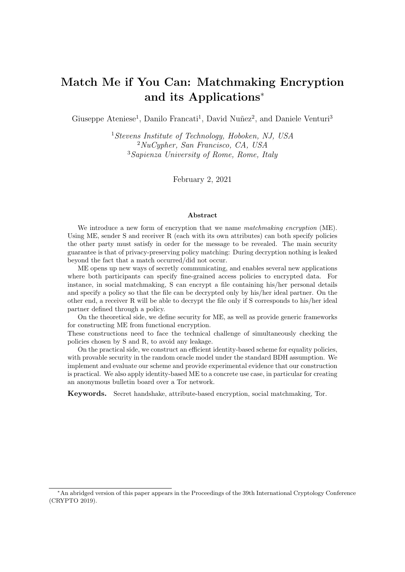# Match Me if You Can: Matchmaking Encryption and its Applications<sup>∗</sup>

Giuseppe Ateniese<sup>1</sup>, Danilo Francati<sup>1</sup>, David Nuñez<sup>2</sup>, and Daniele Venturi<sup>3</sup>

<sup>1</sup>Stevens Institute of Technology, Hoboken, NJ, USA  $2NuCumber, San Francisco, CA, USA$ <sup>3</sup>Sapienza University of Rome, Rome, Italy

February 2, 2021

#### Abstract

We introduce a new form of encryption that we name *matchmaking encryption* (ME). Using ME, sender S and receiver R (each with its own attributes) can both specify policies the other party must satisfy in order for the message to be revealed. The main security guarantee is that of privacy-preserving policy matching: During decryption nothing is leaked beyond the fact that a match occurred/did not occur.

ME opens up new ways of secretly communicating, and enables several new applications where both participants can specify fine-grained access policies to encrypted data. For instance, in social matchmaking, S can encrypt a file containing his/her personal details and specify a policy so that the file can be decrypted only by his/her ideal partner. On the other end, a receiver R will be able to decrypt the file only if S corresponds to his/her ideal partner defined through a policy.

On the theoretical side, we define security for ME, as well as provide generic frameworks for constructing ME from functional encryption.

These constructions need to face the technical challenge of simultaneously checking the policies chosen by S and R, to avoid any leakage.

On the practical side, we construct an efficient identity-based scheme for equality policies, with provable security in the random oracle model under the standard BDH assumption. We implement and evaluate our scheme and provide experimental evidence that our construction is practical. We also apply identity-based ME to a concrete use case, in particular for creating an anonymous bulletin board over a Tor network.

Keywords. Secret handshake, attribute-based encryption, social matchmaking, Tor.

<sup>∗</sup>An abridged version of this paper appears in the Proceedings of the 39th International Cryptology Conference (CRYPTO 2019).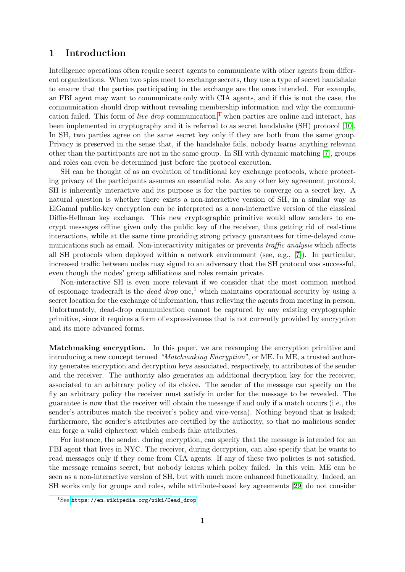# 1 Introduction

Intelligence operations often require secret agents to communicate with other agents from different organizations. When two spies meet to exchange secrets, they use a type of secret handshake to ensure that the parties participating in the exchange are the ones intended. For example, an FBI agent may want to communicate only with CIA agents, and if this is not the case, the communication should drop without revealing membership information and why the communication failed. This form of *live drop* communication,<sup>[1](#page-1-0)</sup> when parties are online and interact, has been implemented in cryptography and it is referred to as secret handshake (SH) protocol [\[10\]](#page-41-0). In SH, two parties agree on the same secret key only if they are both from the same group. Privacy is preserved in the sense that, if the handshake fails, nobody learns anything relevant other than the participants are not in the same group. In SH with dynamic matching [\[7\]](#page-41-1), groups and roles can even be determined just before the protocol execution.

SH can be thought of as an evolution of traditional key exchange protocols, where protecting privacy of the participants assumes an essential role. As any other key agreement protocol, SH is inherently interactive and its purpose is for the parties to converge on a secret key. A natural question is whether there exists a non-interactive version of SH, in a similar way as ElGamal public-key encryption can be interpreted as a non-interactive version of the classical Diffie-Hellman key exchange. This new cryptographic primitive would allow senders to encrypt messages offline given only the public key of the receiver, thus getting rid of real-time interactions, while at the same time providing strong privacy guarantees for time-delayed communications such as email. Non-interactivity mitigates or prevents traffic analysis which affects all SH protocols when deployed within a network environment (see, e.g., [\[7\]](#page-41-1)). In particular, increased traffic between nodes may signal to an adversary that the SH protocol was successful, even though the nodes' group affiliations and roles remain private.

Non-interactive SH is even more relevant if we consider that the most common method of espionage tradecraft is the *dead drop* one,<sup>1</sup> which maintains operational security by using a secret location for the exchange of information, thus relieving the agents from meeting in person. Unfortunately, dead-drop communication cannot be captured by any existing cryptographic primitive, since it requires a form of expressiveness that is not currently provided by encryption and its more advanced forms.

Matchmaking encryption. In this paper, we are revamping the encryption primitive and introducing a new concept termed "Matchmaking Encryption", or ME. In ME, a trusted authority generates encryption and decryption keys associated, respectively, to attributes of the sender and the receiver. The authority also generates an additional decryption key for the receiver, associated to an arbitrary policy of its choice. The sender of the message can specify on the fly an arbitrary policy the receiver must satisfy in order for the message to be revealed. The guarantee is now that the receiver will obtain the message if and only if a match occurs (i.e., the sender's attributes match the receiver's policy and vice-versa). Nothing beyond that is leaked; furthermore, the sender's attributes are certified by the authority, so that no malicious sender can forge a valid ciphertext which embeds fake attributes.

For instance, the sender, during encryption, can specify that the message is intended for an FBI agent that lives in NYC. The receiver, during decryption, can also specify that he wants to read messages only if they come from CIA agents. If any of these two policies is not satisfied, the message remains secret, but nobody learns which policy failed. In this vein, ME can be seen as a non-interactive version of SH, but with much more enhanced functionality. Indeed, an SH works only for groups and roles, while attribute-based key agreements [\[29\]](#page-42-0) do not consider

<span id="page-1-0"></span> ${}^{1}$ See [https://en.wikipedia.org/wiki/Dead\\_drop](https://en.wikipedia.org/wiki/Dead_drop).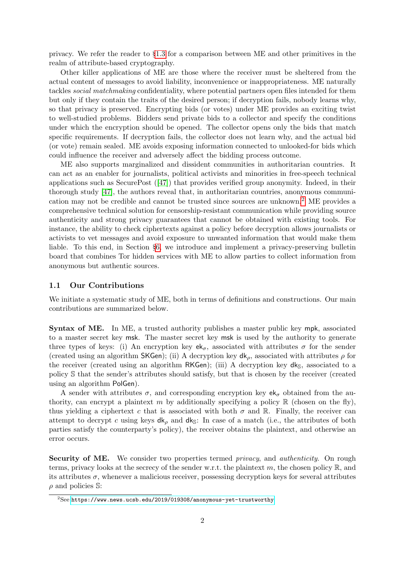privacy. We refer the reader to §[1.3](#page-7-0) for a comparison between ME and other primitives in the realm of attribute-based cryptography.

Other killer applications of ME are those where the receiver must be sheltered from the actual content of messages to avoid liability, inconvenience or inappropriateness. ME naturally tackles social matchmaking confidentiality, where potential partners open files intended for them but only if they contain the traits of the desired person; if decryption fails, nobody learns why, so that privacy is preserved. Encrypting bids (or votes) under ME provides an exciting twist to well-studied problems. Bidders send private bids to a collector and specify the conditions under which the encryption should be opened. The collector opens only the bids that match specific requirements. If decryption fails, the collector does not learn why, and the actual bid (or vote) remain sealed. ME avoids exposing information connected to unlooked-for bids which could influence the receiver and adversely affect the bidding process outcome.

ME also supports marginalized and dissident communities in authoritarian countries. It can act as an enabler for journalists, political activists and minorities in free-speech technical applications such as SecurePost ([\[47\]](#page-43-0)) that provides verified group anonymity. Indeed, in their thorough study [\[47\]](#page-43-0), the authors reveal that, in authoritarian countries, anonymous communication may not be credible and cannot be trusted since sources are unknown.[2](#page-2-0) ME provides a comprehensive technical solution for censorship-resistant communication while providing source authenticity and strong privacy guarantees that cannot be obtained with existing tools. For instance, the ability to check ciphertexts against a policy before decryption allows journalists or activists to vet messages and avoid exposure to unwanted information that would make them liable. To this end, in Section §[6,](#page-37-0) we introduce and implement a privacy-preserving bulletin board that combines Tor hidden services with ME to allow parties to collect information from anonymous but authentic sources.

#### 1.1 Our Contributions

We initiate a systematic study of ME, both in terms of definitions and constructions. Our main contributions are summarized below.

Syntax of ME. In ME, a trusted authority publishes a master public key mpk, associated to a master secret key msk. The master secret key msk is used by the authority to generate three types of keys: (i) An encryption key  $ek_{\sigma}$ , associated with attributes  $\sigma$  for the sender (created using an algorithm SKGen); (ii) A decryption key  $dk_{\rho}$ , associated with attributes  $\rho$  for the receiver (created using an algorithm RKGen); (iii) A decryption key  $dk_{\mathbb{S}}$ , associated to a policy S that the sender's attributes should satisfy, but that is chosen by the receiver (created using an algorithm PolGen).

A sender with attributes  $\sigma$ , and corresponding encryption key ek<sub> $\sigma$ </sub> obtained from the authority, can encrypt a plaintext m by additionally specifying a policy  $\mathbb R$  (chosen on the fly), thus yielding a ciphertext c that is associated with both  $\sigma$  and R. Finally, the receiver can attempt to decrypt c using keys  $dk_\rho$  and  $dk_s$ : In case of a match (i.e., the attributes of both parties satisfy the counterparty's policy), the receiver obtains the plaintext, and otherwise an error occurs.

Security of ME. We consider two properties termed *privacy*, and *authenticity*. On rough terms, privacy looks at the secrecy of the sender w.r.t. the plaintext m, the chosen policy  $\mathbb{R}$ , and its attributes  $\sigma$ , whenever a malicious receiver, possessing decryption keys for several attributes  $\rho$  and policies S:

<span id="page-2-0"></span> $^{2}$ See <https://www.news.ucsb.edu/2019/019308/anonymous-yet-trustworthy>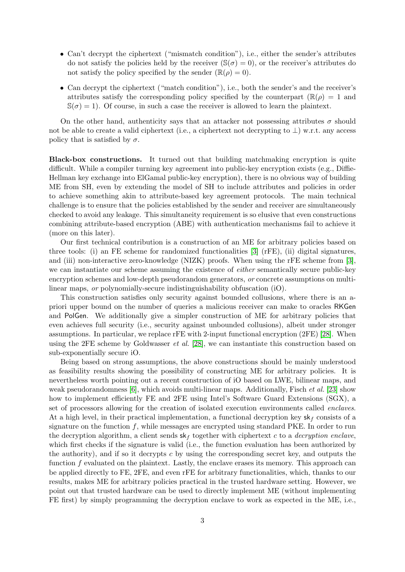- Can't decrypt the ciphertext ("mismatch condition"), i.e., either the sender's attributes do not satisfy the policies held by the receiver  $(\mathbb{S}(\sigma) = 0)$ , or the receiver's attributes do not satisfy the policy specified by the sender  $(\mathbb{R}(\rho) = 0)$ .
- Can decrypt the ciphertext ("match condition"), i.e., both the sender's and the receiver's attributes satisfy the corresponding policy specified by the counterpart  $(\mathbb{R}(\rho) = 1$  and  $\mathbb{S}(\sigma) = 1$ . Of course, in such a case the receiver is allowed to learn the plaintext.

On the other hand, authenticity says that an attacker not possessing attributes  $\sigma$  should not be able to create a valid ciphertext (i.e., a ciphertext not decrypting to  $\perp$ ) w.r.t. any access policy that is satisfied by  $\sigma$ .

Black-box constructions. It turned out that building matchmaking encryption is quite difficult. While a compiler turning key agreement into public-key encryption exists (e.g., Diffie-Hellman key exchange into ElGamal public-key encryption), there is no obvious way of building ME from SH, even by extending the model of SH to include attributes and policies in order to achieve something akin to attribute-based key agreement protocols. The main technical challenge is to ensure that the policies established by the sender and receiver are simultaneously checked to avoid any leakage. This simultaneity requirement is so elusive that even constructions combining attribute-based encryption (ABE) with authentication mechanisms fail to achieve it (more on this later).

Our first technical contribution is a construction of an ME for arbitrary policies based on three tools: (i) an FE scheme for randomized functionalities [\[3\]](#page-41-2) (rFE), (ii) digital signatures, and (iii) non-interactive zero-knowledge (NIZK) proofs. When using the rFE scheme from [\[3\]](#page-41-2), we can instantiate our scheme assuming the existence of *either* semantically secure public-key encryption schemes and low-depth pseudorandom generators, or concrete assumptions on multilinear maps, or polynomially-secure indistinguishability obfuscation (iO).

This construction satisfies only security against bounded collusions, where there is an apriori upper bound on the number of queries a malicious receiver can make to oracles RKGen and PolGen. We additionally give a simpler construction of ME for arbitrary policies that even achieves full security (i.e., security against unbounded collusions), albeit under stronger assumptions. In particular, we replace rFE with 2-input functional encryption (2FE) [\[28\]](#page-42-1). When using the  $2FE$  scheme by Goldwasser *et al.* [\[28\]](#page-42-1), we can instantiate this construction based on sub-exponentially secure iO.

Being based on strong assumptions, the above constructions should be mainly understood as feasibility results showing the possibility of constructing ME for arbitrary policies. It is nevertheless worth pointing out a recent construction of iO based on LWE, bilinear maps, and weak pseudorandomness [\[6\]](#page-41-3), which avoids multi-linear maps. Additionally, Fisch et al. [\[23\]](#page-42-2) show how to implement efficiently FE and 2FE using Intel's Software Guard Extensions (SGX), a set of processors allowing for the creation of isolated execution environments called enclaves. At a high level, in their practical implementation, a functional decryption key  $sk_f$  consists of a signature on the function  $f$ , while messages are encrypted using standard PKE. In order to run the decryption algorithm, a client sends  $sk_f$  together with ciphertext c to a *decryption enclave*, which first checks if the signature is valid (i.e., the function evaluation has been authorized by the authority), and if so it decrypts c by using the corresponding secret key, and outputs the function f evaluated on the plaintext. Lastly, the enclave erases its memory. This approach can be applied directly to FE, 2FE, and even rFE for arbitrary functionalities, which, thanks to our results, makes ME for arbitrary policies practical in the trusted hardware setting. However, we point out that trusted hardware can be used to directly implement ME (without implementing FE first) by simply programming the decryption enclave to work as expected in the ME, i.e.,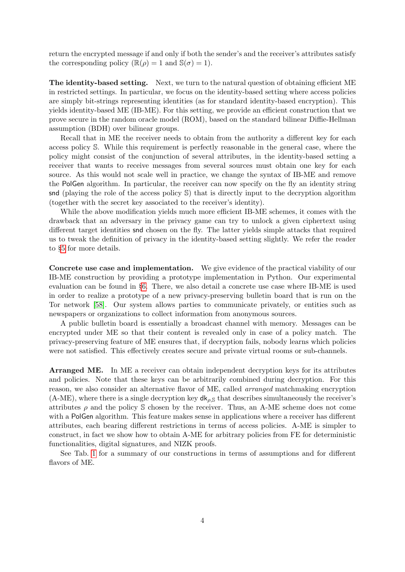return the encrypted message if and only if both the sender's and the receiver's attributes satisfy the corresponding policy ( $\mathbb{R}(\rho) = 1$  and  $\mathbb{S}(\sigma) = 1$ ).

The identity-based setting. Next, we turn to the natural question of obtaining efficient ME in restricted settings. In particular, we focus on the identity-based setting where access policies are simply bit-strings representing identities (as for standard identity-based encryption). This yields identity-based ME (IB-ME). For this setting, we provide an efficient construction that we prove secure in the random oracle model (ROM), based on the standard bilinear Diffie-Hellman assumption (BDH) over bilinear groups.

Recall that in ME the receiver needs to obtain from the authority a different key for each access policy S. While this requirement is perfectly reasonable in the general case, where the policy might consist of the conjunction of several attributes, in the identity-based setting a receiver that wants to receive messages from several sources must obtain one key for each source. As this would not scale well in practice, we change the syntax of IB-ME and remove the PolGen algorithm. In particular, the receiver can now specify on the fly an identity string snd (playing the role of the access policy S) that is directly input to the decryption algorithm (together with the secret key associated to the receiver's identity).

While the above modification yields much more efficient IB-ME schemes, it comes with the drawback that an adversary in the privacy game can try to unlock a given ciphertext using different target identities snd chosen on the fly. The latter yields simple attacks that required us to tweak the definition of privacy in the identity-based setting slightly. We refer the reader to §[5](#page-29-0) for more details.

Concrete use case and implementation. We give evidence of the practical viability of our IB-ME construction by providing a prototype implementation in Python. Our experimental evaluation can be found in §[6.](#page-37-0) There, we also detail a concrete use case where IB-ME is used in order to realize a prototype of a new privacy-preserving bulletin board that is run on the Tor network [\[58\]](#page-44-0). Our system allows parties to communicate privately, or entities such as newspapers or organizations to collect information from anonymous sources.

A public bulletin board is essentially a broadcast channel with memory. Messages can be encrypted under ME so that their content is revealed only in case of a policy match. The privacy-preserving feature of ME ensures that, if decryption fails, nobody learns which policies were not satisfied. This effectively creates secure and private virtual rooms or sub-channels.

Arranged ME. In ME a receiver can obtain independent decryption keys for its attributes and policies. Note that these keys can be arbitrarily combined during decryption. For this reason, we also consider an alternative flavor of ME, called arranged matchmaking encryption  $(A-ME)$ , where there is a single decryption key  $dk_{\rho, \mathbb{S}}$  that describes simultaneously the receiver's attributes  $\rho$  and the policy S chosen by the receiver. Thus, an A-ME scheme does not come with a PolGen algorithm. This feature makes sense in applications where a receiver has different attributes, each bearing different restrictions in terms of access policies. A-ME is simpler to construct, in fact we show how to obtain A-ME for arbitrary policies from FE for deterministic functionalities, digital signatures, and NIZK proofs.

See Tab. [1](#page-5-0) for a summary of our constructions in terms of assumptions and for different flavors of ME.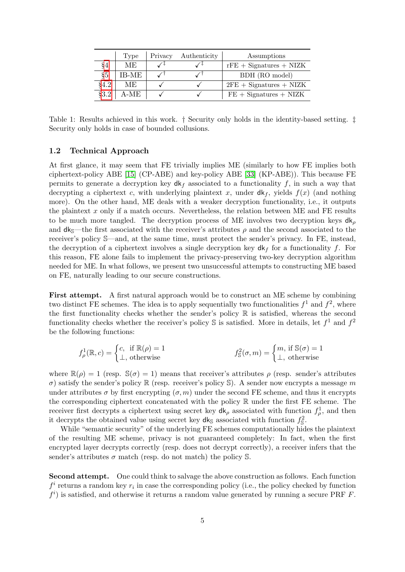|       | Type   | Privacy | Authenticity | Assumptions               |
|-------|--------|---------|--------------|---------------------------|
| $\S4$ | МE     |         |              | $rFE + Signatures + NIZK$ |
| $\S5$ | 'B-ME- |         |              | BDH (RO model)            |
| 84.2  | ME.    |         |              | $2FE + Signatures + NIZK$ |
| 83.2  | A-ME   |         |              | $FE + Signatures + NIZK$  |

<span id="page-5-0"></span>Table 1: Results achieved in this work. † Security only holds in the identity-based setting. ‡ Security only holds in case of bounded collusions.

### 1.2 Technical Approach

At first glance, it may seem that FE trivially implies ME (similarly to how FE implies both ciphertext-policy ABE [\[15\]](#page-41-4) (CP-ABE) and key-policy ABE [\[33\]](#page-42-3) (KP-ABE)). This because FE permits to generate a decryption key  $d\mathbf{k}_f$  associated to a functionality f, in such a way that decrypting a ciphertext c, with underlying plaintext x, under  $d\mathbf{k}_f$ , yields  $f(x)$  (and nothing more). On the other hand, ME deals with a weaker decryption functionality, i.e., it outputs the plaintext  $x$  only if a match occurs. Nevertheless, the relation between ME and FE results to be much more tangled. The decryption process of ME involves two decryption keys  $d\mathbf{k}_p$ and  $dk_{\mathbb{S}}$ —the first associated with the receiver's attributes  $\rho$  and the second associated to the receiver's policy S—and, at the same time, must protect the sender's privacy. In FE, instead, the decryption of a ciphertext involves a single decryption key  $d\mathbf{k}_f$  for a functionality f. For this reason, FE alone fails to implement the privacy-preserving two-key decryption algorithm needed for ME. In what follows, we present two unsuccessful attempts to constructing ME based on FE, naturally leading to our secure constructions.

First attempt. A first natural approach would be to construct an ME scheme by combining two distinct FE schemes. The idea is to apply sequentially two functionalities  $f^1$  and  $f^2$ , where the first functionality checks whether the sender's policy R is satisfied, whereas the second functionality checks whether the receiver's policy  $\mathbb S$  is satisfied. More in details, let  $f^1$  and  $f^2$ be the following functions:

$$
f_{\rho}^{1}(\mathbb{R}, c) = \begin{cases} c, & \text{if } \mathbb{R}(\rho) = 1 \\ \perp, & \text{otherwise} \end{cases}
$$
  

$$
f_{\mathbb{S}}^{2}(\sigma, m) = \begin{cases} m, & \text{if } \mathbb{S}(\sigma) = 1 \\ \perp, & \text{otherwise} \end{cases}
$$

where  $\mathbb{R}(\rho) = 1$  (resp.  $\mathbb{S}(\sigma) = 1$ ) means that receiver's attributes  $\rho$  (resp. sender's attributes σ) satisfy the sender's policy R (resp. receiver's policy S). A sender now encrypts a message m under attributes  $\sigma$  by first encrypting  $(\sigma, m)$  under the second FE scheme, and thus it encrypts the corresponding ciphertext concatenated with the policy R under the first FE scheme. The receiver first decrypts a ciphertext using secret key  $dk_\rho$  associated with function  $f_\rho^1$ , and then it decrypts the obtained value using secret key  $dk_{\mathbb{S}}$  associated with function  $f_{\mathbb{S}}^2$ .

While "semantic security" of the underlying FE schemes computationally hides the plaintext of the resulting ME scheme, privacy is not guaranteed completely: In fact, when the first encrypted layer decrypts correctly (resp. does not decrypt correctly), a receiver infers that the sender's attributes  $\sigma$  match (resp. do not match) the policy S.

Second attempt. One could think to salvage the above construction as follows. Each function  $f^i$  returns a random key  $r_i$  in case the corresponding policy (i.e., the policy checked by function  $f<sup>i</sup>$ ) is satisfied, and otherwise it returns a random value generated by running a secure PRF F.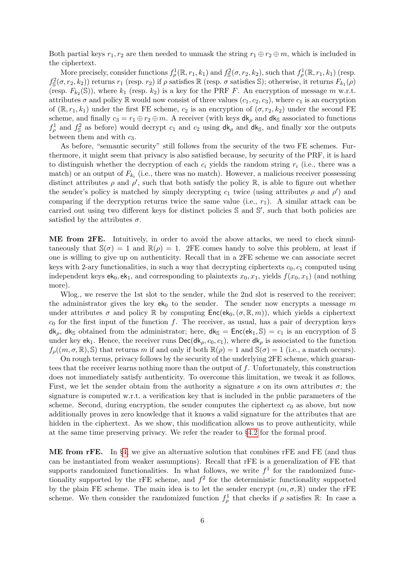Both partial keys  $r_1, r_2$  are then needed to unmask the string  $r_1 \oplus r_2 \oplus m$ , which is included in the ciphertext.

More precisely, consider functions  $f^1_\rho(\mathbb{R}, r_1, k_1)$  and  $f^2_\mathbb{S}(\sigma, r_2, k_2)$ , such that  $f^1_\rho(\mathbb{R}, r_1, k_1)$  (resp.  $f_{\mathcal{S}}^2(\sigma, r_2, k_2)$  returns  $r_1$  (resp.  $r_2$ ) if  $\rho$  satisfies  $\mathbb{R}$  (resp.  $\sigma$  satisfies  $\mathbb{S}$ ); otherwise, it returns  $F_{k_1}(\rho)$ (resp.  $F_{k_2}(\mathbb{S})$ ), where  $k_1$  (resp.  $k_2$ ) is a key for the PRF F. An encryption of message m w.r.t. attributes  $\sigma$  and policy R would now consist of three values  $(c_1, c_2, c_3)$ , where  $c_1$  is an encryption of  $(\mathbb{R}, r_1, k_1)$  under the first FE scheme,  $c_2$  is an encryption of  $(\sigma, r_2, k_2)$  under the second FE scheme, and finally  $c_3 = r_1 \oplus r_2 \oplus m$ . A receiver (with keys  $d\mathbf{k}_{\rho}$  and  $d\mathbf{k}_{\mathcal{S}}$  associated to functions  $f_{\rho}^1$  and  $f_{\mathcal{S}}^2$  as before) would decrypt  $c_1$  and  $c_2$  using  $d\mathsf{k}_{\rho}$  and  $d\mathsf{k}_{\mathcal{S}}$ , and finally xor the outputs between them and with  $c_3$ .

As before, "semantic security" still follows from the security of the two FE schemes. Furthermore, it might seem that privacy is also satisfied because, by security of the PRF, it is hard to distinguish whether the decryption of each  $c_i$  yields the random string  $r_i$  (i.e., there was a match) or an output of  $F_{k_i}$  (i.e., there was no match). However, a malicious receiver possessing distinct attributes  $\rho$  and  $\rho'$ , such that both satisfy the policy R, is able to figure out whether the sender's policy is matched by simply decrypting  $c_1$  twice (using attributes  $\rho$  and  $\rho'$ ) and comparing if the decryption returns twice the same value (i.e.,  $r_1$ ). A similar attack can be carried out using two different keys for distinct policies  $\mathbb{S}$  and  $\mathbb{S}'$ , such that both policies are satisfied by the attributes  $\sigma$ .

ME from 2FE. Intuitively, in order to avoid the above attacks, we need to check simultaneously that  $\mathcal{S}(\sigma) = 1$  and  $\mathbb{R}(\rho) = 1$ . 2FE comes handy to solve this problem, at least if one is willing to give up on authenticity. Recall that in a 2FE scheme we can associate secret keys with 2-ary functionalities, in such a way that decrypting ciphertexts  $c_0, c_1$  computed using independent keys  $ek_0, ek_1$ , and corresponding to plaintexts  $x_0, x_1$ , yields  $f(x_0, x_1)$  (and nothing more).

Wlog., we reserve the 1st slot to the sender, while the 2nd slot is reserved to the receiver; the administrator gives the key  $ek_0$  to the sender. The sender now encrypts a message m under attributes  $\sigma$  and policy R by computing  $Enc(ek_0, (\sigma, \mathbb{R}, m))$ , which yields a ciphertext  $c_0$  for the first input of the function f. The receiver, as usual, has a pair of decryption keys  $dk_\rho$ ,  $dk_\rho$  obtained from the administrator; here,  $dk_\rho = \text{Enc}(ek_1, \mathbb{S}) = c_1$  is an encryption of  $\mathbb{S}$ under key ek<sub>1</sub>. Hence, the receiver runs  $\mathsf{Dec}(\mathsf{d}k_\rho, c_0, c_1)$ , where  $\mathsf{d}k_\rho$  is associated to the function  $f_{\rho}((m,\sigma,\mathbb{R}),\mathbb{S})$  that returns m if and only if both  $\mathbb{R}(\rho) = 1$  and  $\mathbb{S}(\sigma) = 1$  (i.e., a match occurs).

On rough terms, privacy follows by the security of the underlying 2FE scheme, which guarantees that the receiver learns nothing more than the output of f. Unfortunately, this construction does not immediately satisfy authenticity. To overcome this limitation, we tweak it as follows. First, we let the sender obtain from the authority a signature s on its own attributes  $\sigma$ ; the signature is computed w.r.t. a verification key that is included in the public parameters of the scheme. Second, during encryption, the sender computes the ciphertext  $c_0$  as above, but now additionally proves in zero knowledge that it knows a valid signature for the attributes that are hidden in the ciphertext. As we show, this modification allows us to prove authenticity, while at the same time preserving privacy. We refer the reader to §[4.2](#page-24-0) for the formal proof.

ME from rFE. In §[4,](#page-20-0) we give an alternative solution that combines rFE and FE (and thus can be instantiated from weaker assumptions). Recall that rFE is a generalization of FE that supports randomized functionalities. In what follows, we write  $f<sup>1</sup>$  for the randomized functionality supported by the rFE scheme, and  $f^2$  for the deterministic functionality supported by the plain FE scheme. The main idea is to let the sender encrypt  $(m, \sigma, \mathbb{R})$  under the rFE scheme. We then consider the randomized function  $f_{\rho}^1$  that checks if  $\rho$  satisfies R: In case a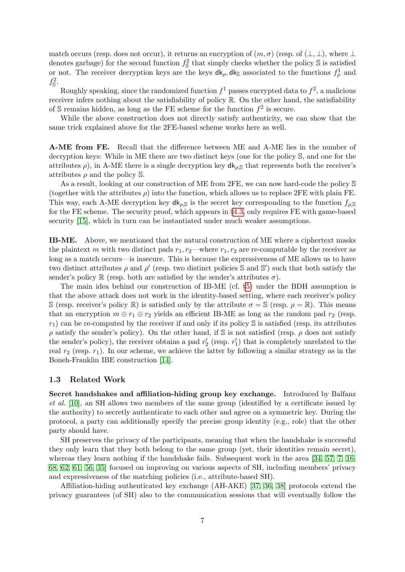match occurs (resp. does not occur), it returns an encryption of  $(m, \sigma)$  (resp. of  $(\perp, \perp)$ , where  $\perp$ denotes garbage) for the second function  $f_{\mathbb{S}}^2$  that simply checks whether the policy S is satisfied or not. The receiver decryption keys are the keys  $dk_{\rho}$ ,  $dk_{\mathcal{S}}$  associated to the functions  $f_{\rho}^1$  and  $f_{\mathbb{S}}^2$ .

Roughly speaking, since the randomized function  $f^1$  passes encrypted data to  $f^2$ , a malicious receiver infers nothing about the satisfiability of policy R. On the other hand, the satisfiability of S remains hidden, as long as the FE scheme for the function  $f^2$  is secure.

While the above construction does not directly satisfy authenticity, we can show that the same trick explained above for the 2FE-based scheme works here as well.

A-ME from FE. Recall that the difference between ME and A-ME lies in the number of decryption keys: While in ME there are two distinct keys (one for the policy S, and one for the attributes  $\rho$ ), in A-ME there is a single decryption key  $d\mathsf{k}_{\rho,S}$  that represents both the receiver's attributes  $\rho$  and the policy S.

As a result, looking at our construction of ME from 2FE, we can now hard-code the policy S (together with the attributes  $\rho$ ) into the function, which allows us to replace 2FE with plain FE. This way, each A-ME decryption key dk<sub>ρ</sub>, is the secret key corresponding to the function  $f_{\rho, \mathbb{S}}$ for the FE scheme. The security proof, which appears in §[4.3,](#page-27-0) only requires FE with game-based security [\[15\]](#page-41-4), which in turn can be instantiated under much weaker assumptions.

IB-ME. Above, we mentioned that the natural construction of ME where a ciphertext masks the plaintext m with two distinct pads  $r_1, r_2$ —where  $r_1, r_2$  are re-computable by the receiver as long as a match occurs—is insecure. This is because the expressiveness of ME allows us to have two distinct attributes  $\rho$  and  $\rho'$  (resp. two distinct policies S and S') such that both satisfy the sender's policy R (resp. both are satisfied by the sender's attributes  $\sigma$ ).

The main idea behind our construction of IB-ME (cf. §[5\)](#page-29-0) under the BDH assumption is that the above attack does not work in the identity-based setting, where each receiver's policy S (resp. receiver's policy R) is satisfied only by the attribute  $\sigma = \mathbb{S}$  (resp.  $\rho = \mathbb{R}$ ). This means that an encryption  $m \oplus r_1 \oplus r_2$  yields an efficient IB-ME as long as the random pad  $r_2$  (resp.  $r_1$ ) can be re-computed by the receiver if and only if its policy S is satisfied (resp. its attributes  $\rho$  satisfy the sender's policy). On the other hand, if S is not satisfied (resp.  $\rho$  does not satisfy the sender's policy), the receiver obtains a pad  $r'_{2}$  (resp.  $r'_{1}$ ) that is completely unrelated to the real  $r_2$  (resp.  $r_1$ ). In our scheme, we achieve the latter by following a similar strategy as in the Boneh-Franklin IBE construction [\[14\]](#page-41-5).

#### <span id="page-7-0"></span>1.3 Related Work

Secret handshakes and affiliation-hiding group key exchange. Introduced by Balfanz et al. [\[10\]](#page-41-0), an SH allows two members of the same group (identified by a certificate issued by the authority) to secretly authenticate to each other and agree on a symmetric key. During the protocol, a party can additionally specify the precise group identity (e.g., role) that the other party should have.

SH preserves the privacy of the participants, meaning that when the handshake is successful they only learn that they both belong to the same group (yet, their identities remain secret), whereas they learn nothing if the handshake fails. Subsequent work in the area [\[34,](#page-42-4) [57,](#page-44-1) [7,](#page-41-1) [16,](#page-41-6) [68,](#page-45-0) [62,](#page-44-2) [61,](#page-44-3) [56,](#page-44-4) [35\]](#page-42-5) focused on improving on various aspects of SH, including members' privacy and expressiveness of the matching policies (i.e., attribute-based SH).

Affiliation-hiding authenticated key exchange (AH-AKE) [\[37,](#page-43-1) [36,](#page-43-2) [38\]](#page-43-3) protocols extend the privacy guarantees (of SH) also to the communication sessions that will eventually follow the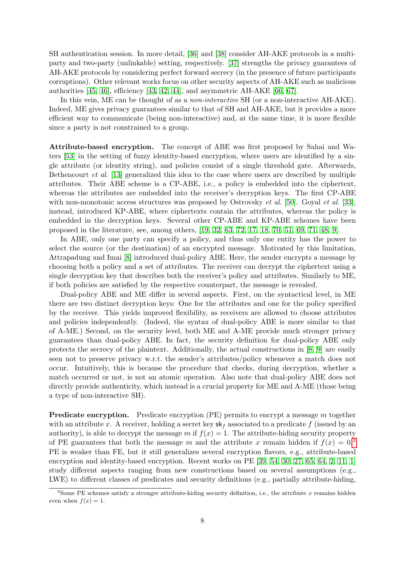SH authentication session. In more detail, [\[36\]](#page-43-2) and [\[38\]](#page-43-3) consider AH-AKE protocols in a multiparty and two-party (unlinkable) setting, respectively. [\[37\]](#page-43-1) strengths the privacy guarantees of AH-AKE protocols by considering perfect forward secrecy (in the presence of future participants corruptions). Other relevant works focus on other security aspects of AH-AKE such as malicious authorities [\[45,](#page-43-4) [46\]](#page-43-5), efficiency [\[43,](#page-43-6) [42,](#page-43-7) [44\]](#page-43-8), and asymmetric AH-AKE  $[66, 67]$  $[66, 67]$ .

In this vein, ME can be thought of as a *non-interactive* SH (or a non-interactive AH-AKE). Indeed, ME gives privacy guarantees similar to that of SH and AH-AKE, but it provides a more efficient way to communicate (being non-interactive) and, at the same time, it is more flexible since a party is not constrained to a group.

Attribute-based encryption. The concept of ABE was first proposed by Sahai and Waters [\[53\]](#page-44-7) in the setting of fuzzy identity-based encryption, where users are identified by a single attribute (or identity string), and policies consist of a single threshold gate. Afterwards, Bethencourt et al. [\[13\]](#page-41-7) generalized this idea to the case where users are described by multiple attributes. Their ABE scheme is a CP-ABE, i.e., a policy is embedded into the ciphertext, whereas the attributes are embedded into the receiver's decryption keys. The first CP-ABE with non-monotonic access structures was proposed by Ostrovsky *et al.* [\[50\]](#page-43-9). Goyal *et al.* [\[33\]](#page-42-3), instead, introduced KP-ABE, where ciphertexts contain the attributes, whereas the policy is embedded in the decryption keys. Several other CP-ABE and KP-ABE schemes have been proposed in the literature, see, among others, [\[19,](#page-42-6) [32,](#page-42-7) [63,](#page-44-8) [72,](#page-45-1) [17,](#page-41-8) [18,](#page-41-9) [70,](#page-45-2) [51,](#page-44-9) [69,](#page-45-3) [71,](#page-45-4) [48,](#page-43-10) [9\]](#page-41-10).

In ABE, only one party can specify a policy, and thus only one entity has the power to select the source (or the destination) of an encrypted message. Motivated by this limitation, Attrapadung and Imai [\[8\]](#page-41-11) introduced dual-policy ABE. Here, the sender encrypts a message by choosing both a policy and a set of attributes. The receiver can decrypt the ciphertext using a single decryption key that describes both the receiver's policy and attributes. Similarly to ME, if both policies are satisfied by the respective counterpart, the message is revealed.

Dual-policy ABE and ME differ in several aspects. First, on the syntactical level, in ME there are two distinct decryption keys: One for the attributes and one for the policy specified by the receiver. This yields improved flexibility, as receivers are allowed to choose attributes and policies independently. (Indeed, the syntax of dual-policy ABE is more similar to that of A-ME.) Second, on the security level, both ME and A-ME provide much stronger privacy guarantees than dual-policy ABE. In fact, the security definition for dual-policy ABE only protects the secrecy of the plaintext. Additionally, the actual constructions in [\[8,](#page-41-11) [9\]](#page-41-10) are easily seen not to preserve privacy w.r.t. the sender's attributes/policy whenever a match does not occur. Intuitively, this is because the procedure that checks, during decryption, whether a match occurred or not, is not an atomic operation. Also note that dual-policy ABE does not directly provide authenticity, which instead is a crucial property for ME and A-ME (those being a type of non-interactive SH).

**Predicate encryption.** Predicate encryption  $(PE)$  permits to encrypt a message m together with an attribute x. A receiver, holding a secret key  $s \nmid f$  associated to a predicate f (issued by an authority), is able to decrypt the message m if  $f(x) = 1$ . The attribute-hiding security property of PE guarantees that both the message m and the attribute x remain hidden if  $f(x) = 0.3$  $f(x) = 0.3$ PE is weaker than FE, but it still generalizes several encryption flavors, e.g., attribute-based encryption and identity-based encryption. Recent works on PE [\[39,](#page-43-11) [54,](#page-44-10) [30,](#page-42-8) [27,](#page-42-9) [65,](#page-44-11) [64,](#page-44-12) [2,](#page-40-0) [11,](#page-41-12) [1\]](#page-40-1) study different aspects ranging from new constructions based on several assumptions (e.g., LWE) to different classes of predicates and security definitions (e.g., partially attribute-hiding,

<span id="page-8-0"></span><sup>&</sup>lt;sup>3</sup>Some PE schemes satisfy a stronger attribute-hiding security definition, i.e., the attribute x remains hidden even when  $f(x) = 1$ .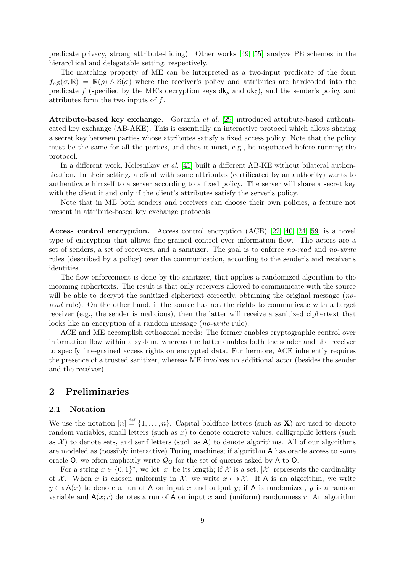predicate privacy, strong attribute-hiding). Other works [\[49,](#page-43-12) [55\]](#page-44-13) analyze PE schemes in the hierarchical and delegatable setting, respectively.

The matching property of ME can be interpreted as a two-input predicate of the form  $f_{\rho,S}(\sigma,\mathbb{R}) = \mathbb{R}(\rho) \wedge \mathbb{S}(\sigma)$  where the receiver's policy and attributes are hardcoded into the predicate f (specified by the ME's decryption keys  $dk_\rho$  and  $dk_\delta$ ), and the sender's policy and attributes form the two inputs of  $f$ .

Attribute-based key exchange. Gorantla et al. [\[29\]](#page-42-0) introduced attribute-based authenticated key exchange (AB-AKE). This is essentially an interactive protocol which allows sharing a secret key between parties whose attributes satisfy a fixed access policy. Note that the policy must be the same for all the parties, and thus it must, e.g., be negotiated before running the protocol.

In a different work, Kolesnikov *et al.* [\[41\]](#page-43-13) built a different AB-KE without bilateral authentication. In their setting, a client with some attributes (certificated by an authority) wants to authenticate himself to a server according to a fixed policy. The server will share a secret key with the client if and only if the client's attributes satisfy the server's policy.

Note that in ME both senders and receivers can choose their own policies, a feature not present in attribute-based key exchange protocols.

Access control encryption. Access control encryption (ACE) [\[22,](#page-42-10) [40,](#page-43-14) [24,](#page-42-11) [59\]](#page-44-14) is a novel type of encryption that allows fine-grained control over information flow. The actors are a set of senders, a set of receivers, and a sanitizer. The goal is to enforce no-read and no-write rules (described by a policy) over the communication, according to the sender's and receiver's identities.

The flow enforcement is done by the sanitizer, that applies a randomized algorithm to the incoming ciphertexts. The result is that only receivers allowed to communicate with the source will be able to decrypt the sanitized ciphertext correctly, obtaining the original message (noread rule). On the other hand, if the source has not the rights to communicate with a target receiver (e.g., the sender is malicious), then the latter will receive a sanitized ciphertext that looks like an encryption of a random message (*no-write* rule).

ACE and ME accomplish orthogonal needs: The former enables cryptographic control over information flow within a system, whereas the latter enables both the sender and the receiver to specify fine-grained access rights on encrypted data. Furthermore, ACE inherently requires the presence of a trusted sanitizer, whereas ME involves no additional actor (besides the sender and the receiver).

# 2 Preliminaries

#### 2.1 Notation

We use the notation  $[n] \stackrel{\text{def}}{=} \{1, \ldots, n\}$ . Capital boldface letters (such as **X**) are used to denote random variables, small letters (such as x) to denote concrete values, calligraphic letters (such as  $\mathcal{X}$ ) to denote sets, and serif letters (such as A) to denote algorithms. All of our algorithms are modeled as (possibly interactive) Turing machines; if algorithm A has oracle access to some oracle  $O$ , we often implicitly write  $\mathcal{Q}_O$  for the set of queries asked by A to  $O$ .

For a string  $x \in \{0,1\}^*$ , we let |x| be its length; if X is a set, |X| represents the cardinality of X. When x is chosen uniformly in X, we write  $x \leftarrow^* X$ . If A is an algorithm, we write  $y \leftarrow s \mathsf{A}(x)$  to denote a run of A on input x and output y; if A is randomized, y is a random variable and  $A(x; r)$  denotes a run of A on input x and (uniform) randomness r. An algorithm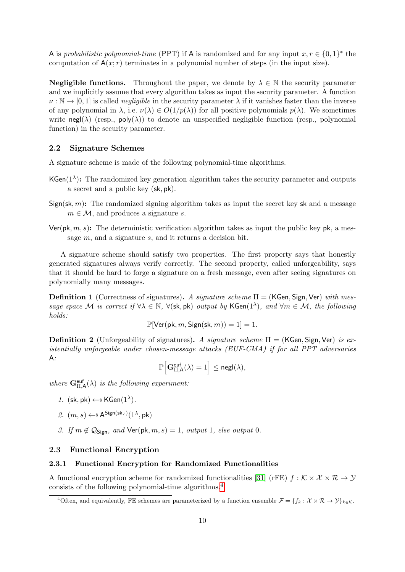A is probabilistic polynomial-time (PPT) if A is randomized and for any input  $x, r \in \{0,1\}^*$  the computation of  $A(x; r)$  terminates in a polynomial number of steps (in the input size).

**Negligible functions.** Throughout the paper, we denote by  $\lambda \in \mathbb{N}$  the security parameter and we implicitly assume that every algorithm takes as input the security parameter. A function  $\nu : \mathbb{N} \to [0, 1]$  is called *negligible* in the security parameter  $\lambda$  if it vanishes faster than the inverse of any polynomial in  $\lambda$ , i.e.  $\nu(\lambda) \in O(1/p(\lambda))$  for all positive polynomials  $p(\lambda)$ . We sometimes write negl( $\lambda$ ) (resp., poly( $\lambda$ )) to denote an unspecified negligible function (resp., polynomial function) in the security parameter.

#### 2.2 Signature Schemes

A signature scheme is made of the following polynomial-time algorithms.

- KGen( $1^{\lambda}$ ): The randomized key generation algorithm takes the security parameter and outputs a secret and a public key (sk, pk).
- $Sign(s, m)$ : The randomized signing algorithm takes as input the secret key sk and a message  $m \in \mathcal{M}$ , and produces a signature s.
- Ver( $\mathsf{pk}, m, s$ ): The deterministic verification algorithm takes as input the public key  $\mathsf{pk}, a$  message m, and a signature s, and it returns a decision bit.

A signature scheme should satisfy two properties. The first property says that honestly generated signatures always verify correctly. The second property, called unforgeability, says that it should be hard to forge a signature on a fresh message, even after seeing signatures on polynomially many messages.

**Definition 1** (Correctness of signatures). A signature scheme  $\Pi = (KGen, Sign, Ver)$  with message space M is correct if  $\forall \lambda \in \mathbb{N}$ ,  $\forall$ (sk, pk) output by KGen(1<sup> $\lambda$ </sup>), and  $\forall m \in \mathcal{M}$ , the following holds:

$$
\mathbb{P}[\text{Ver}(\text{pk}, m, \text{Sign}(\text{sk}, m)) = 1] = 1.
$$

<span id="page-10-1"></span>**Definition 2** (Unforgeability of signatures). A signature scheme  $\Pi = (KGen, Sign, Ver)$  is existentially unforgeable under chosen-message attacks (EUF-CMA) if for all PPT adversaries A:

$$
\mathbb{P}\Big[\mathbf{G}_{\mathrm{II},\mathrm{A}}^{\mathrm{euf}}(\lambda)=1\Big]\leq \mathsf{negl}(\lambda),
$$

where  $\mathbf{G}_{\Pi,\mathsf{A}}^{\text{euf}}(\lambda)$  is the following experiment:

- 1.  $(\mathsf{sk}, \mathsf{pk}) \leftarrow \{ \mathsf{KGen}(1^{\lambda}) \}.$
- 2.  $(m, s) \leftarrow s \mathsf{A}^{\mathsf{Sign}(\mathsf{sk}, \cdot)}(1^{\lambda}, \mathsf{pk})$
- 3. If  $m \notin Q_{\text{Sign}}$ , and  $\text{Ver}(\text{pk}, m, s) = 1$ , output 1, else output 0.

### 2.3 Functional Encryption

#### 2.3.1 Functional Encryption for Randomized Functionalities

A functional encryption scheme for randomized functionalities [\[31\]](#page-42-12) (rFE)  $f : K \times X \times \mathcal{R} \to Y$ consists of the following polynomial-time algorithms.[4](#page-10-0)

<span id="page-10-0"></span><sup>&</sup>lt;sup>4</sup>Often, and equivalently, FE schemes are parameterized by a function ensemble  $\mathcal{F} = \{f_k : \mathcal{X} \times \mathcal{R} \to \mathcal{Y}\}_{k \in \mathcal{K}}$ .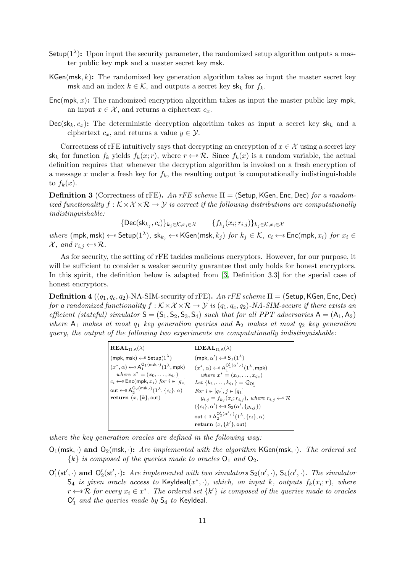- Setup( $1^{\lambda}$ ): Upon input the security parameter, the randomized setup algorithm outputs a master public key mpk and a master secret key msk.
- KGen(msk,  $k$ ): The randomized key generation algorithm takes as input the master secret key msk and an index  $k \in \mathcal{K}$ , and outputs a secret key sk<sub>k</sub> for  $f_k$ .
- $Enc(mpk, x)$ : The randomized encryption algorithm takes as input the master public key mpk, an input  $x \in \mathcal{X}$ , and returns a ciphertext  $c_x$ .
- $Dec(\mathsf{sk}_k, c_x)$ : The deterministic decryption algorithm takes as input a secret key  $\mathsf{sk}_k$  and a ciphertext  $c_x$ , and returns a value  $y \in \mathcal{Y}$ .

Correctness of rFE intuitively says that decrypting an encryption of  $x \in \mathcal{X}$  using a secret key  $\mathsf{sk}_k$  for function  $f_k$  yields  $f_k(x; r)$ , where  $r \leftarrow \mathcal{R}$ . Since  $f_k(x)$  is a random variable, the actual definition requires that whenever the decryption algorithm is invoked on a fresh encryption of a message x under a fresh key for  $f_k$ , the resulting output is computationally indistinguishable to  $f_k(x)$ .

**Definition 3** (Correctness of rFE). An rFE scheme  $\Pi$  = (Setup, KGen, Enc, Dec) for a randomized functionality  $f: K \times \mathcal{X} \times \mathcal{R} \to \mathcal{Y}$  is correct if the following distributions are computationally indistinguishable:

 $\{\mathsf{Dec}(\mathsf{sk}_{k_j},c_i)\}_{k_j\in\mathcal{K},x_i\in\mathcal{X}} \qquad \{f_{k_j}(x_i;r_{i,j})\}_{k_j\in\mathcal{K},x_i\in\mathcal{X}}$ 

where  $(\text{mpk}, \text{msk}) \leftarrow s \text{Setup}(1^{\lambda}), \text{sk}_{k_j} \leftarrow s \text{KGen}(\text{msk}, k_j) \text{ for } k_j \in \mathcal{K}, \text{ } c_i \leftarrow s \text{Enc}(\text{mpk}, x_i) \text{ for } x_i \in \mathcal{K}$  $\mathcal{X}, \text{ and } r_{i,j} \leftarrow \mathcal{R}.$ 

As for security, the setting of rFE tackles malicious encryptors. However, for our purpose, it will be sufficient to consider a weaker security guarantee that only holds for honest encryptors. In this spirit, the definition below is adapted from [\[3,](#page-41-2) Definition 3.3] for the special case of honest encryptors.

<span id="page-11-0"></span>**Definition 4**  $((q_1, q_c, q_2)$ -NA-SIM-security of rFE). An rFE scheme  $\Pi =$  (Setup, KGen, Enc, Dec) for a randomized functionality  $f : K \times X \times \mathbb{R} \to Y$  is  $(q_1, q_c, q_2)$ -NA-SIM-secure if there exists an efficient (stateful) simulator  $S = (S_1, S_2, S_3, S_4)$  such that for all PPT adversaries  $A = (A_1, A_2)$ where  $A_1$  makes at most  $q_1$  key generation queries and  $A_2$  makes at most  $q_2$  key generation query, the output of the following two experiments are computationally indistinguishable:

| $\mathbf{REAL}_{\Pi,\mathsf{A}}(\lambda)$                                                              | $\mathbf{IDEAL}_{\Pi,\mathbf{A}}(\lambda)$                                                                                          |
|--------------------------------------------------------------------------------------------------------|-------------------------------------------------------------------------------------------------------------------------------------|
| $(mpk, msk) \leftarrow$ Setup $(1^{\lambda})$                                                          | $(mpk, \alpha') \leftarrow$ \$ S <sub>1</sub> $(1^{\lambda})$                                                                       |
| $(x^*, \alpha) \leftarrow \mathsf{A}_1^{\mathsf{O}_1(\mathsf{msk}, \cdot)}(1^{\lambda}, \mathsf{mpk})$ | $(x^*, \alpha) \leftarrow$ A <sub>1</sub> <sup>O</sup> <sub>1</sub> <sup>(<math>\alpha', \cdot</math>)</sup> ( $1^{\lambda}$ , mpk) |
| where $x^* = (x_0, , x_{q_c})$                                                                         | where $x^* = (x_0, \ldots, x_{a_c})$                                                                                                |
| $c_i \leftarrow$ Enc(mpk, $x_i$ ) for $i \in [q_c]$                                                    | Let $\{k_1, \ldots, k_{q_1}\} = \mathcal{Q}_{\mathsf{O}_1'}$                                                                        |
| out $\leftarrow$ $A_2^{O_2(msk,.)}(1^{\lambda}, \{c_i\}, \alpha)$                                      | For $i \in [q_c], j \in [q_1]$                                                                                                      |
| return $(x, \{k\}, \text{out})$                                                                        | $y_{i,j} = f_{k_j}(x_i; r_{i,j})$ , where $r_{i,j} \leftarrow^* \mathcal{R}$                                                        |
|                                                                                                        | $(\{c_i\}, \alpha') \leftarrow \$S_3(\alpha', \{y_{i,i}\})$                                                                         |
|                                                                                                        | out $\leftarrow$ $A_2^{O'_2(\alpha', \cdot)}(1^{\lambda}, \{c_i\}, \alpha)$                                                         |
|                                                                                                        | return $(x, \{k'\}, \text{out})$                                                                                                    |

where the key generation oracles are defined in the following way:

- $O_1(msk, \cdot)$  and  $O_2(msk, \cdot)$ : Are implemented with the algorithm KGen(msk,  $\cdot$ ). The ordered set  ${k}$  is composed of the queries made to oracles  $O_1$  and  $O_2$ .
- $O'_1(\mathsf{st}', \cdot)$  and  $O'_2(\mathsf{st}', \cdot)$ : Are implemented with two simulators  $S_2(\alpha', \cdot)$ ,  $S_4(\alpha', \cdot)$ . The simulator  $S_4$  is given oracle access to Keyldeal $(x^*,\cdot)$ , which, on input k, outputs  $f_k(x_i;r)$ , where  $r \leftarrow$ <sup>8</sup>R for every  $x_i \in x^*$ . The ordered set  $\{k'\}$  is composed of the queries made to oracles  $O'_1$  and the queries made by  $S_4$  to KeyIdeal.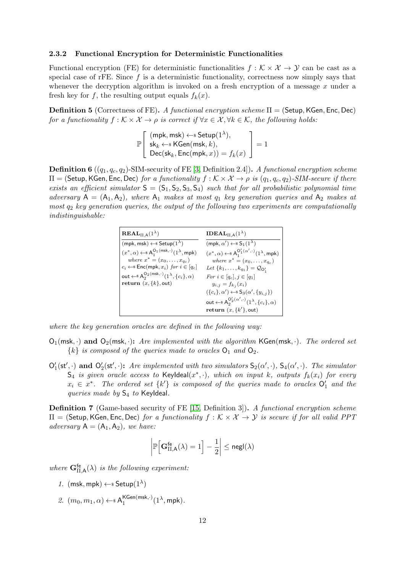#### 2.3.2 Functional Encryption for Deterministic Functionalities

Functional encryption (FE) for deterministic functionalities  $f : \mathcal{K} \times \mathcal{X} \to \mathcal{Y}$  can be cast as a special case of rFE. Since  $f$  is a deterministic functionality, correctness now simply says that whenever the decryption algorithm is invoked on a fresh encryption of a message  $x$  under a fresh key for f, the resulting output equals  $f_k(x)$ .

Definition 5 (Correctness of FE). A functional encryption scheme  $\Pi =$  (Setup, KGen, Enc, Dec) for a functionality  $f: \mathcal{K} \times \mathcal{X} \to \rho$  is correct if  $\forall x \in \mathcal{X}, \forall k \in \mathcal{K}$ , the following holds:

$$
\mathbb{P}\left[\begin{array}{l}(\mathsf{mpk},\mathsf{msk}) \mathop{\leftarrow} \mathsf{s}\mathsf{Setup}(1^{\lambda}), \\ \mathsf{sk}_k \mathop{\leftarrow} \mathsf{s}\mathsf{KGen}(\mathsf{msk},k), \\ \mathsf{Dec}(\mathsf{sk}_k,\mathsf{Enc}(\mathsf{mpk},x)) = f_k(x)\end{array}\right] = 1
$$

**Definition 6** ( $(q_1, q_c, q_2)$ -SIM-security of FE [\[3,](#page-41-2) Definition 2.4]). A functional encryption scheme  $\Pi =$  (Setup, KGen, Enc, Dec) for a functionality  $f : \mathcal{K} \times \mathcal{X} \to \rho$  is  $(q_1, q_c, q_2)$ -SIM-secure if there exists an efficient simulator  $S = (S_1, S_2, S_3, S_4)$  such that for all probabilistic polynomial time adversary  $A = (A_1, A_2)$ , where  $A_1$  makes at most  $q_1$  key generation queries and  $A_2$  makes at most  $q_2$  key generation queries, the output of the following two experiments are computationally indistinguishable:

| $REAL_{\Pi,A}(1^{\lambda})$                                                                            | $IDEALII.A(1λ)$                                                                   |
|--------------------------------------------------------------------------------------------------------|-----------------------------------------------------------------------------------|
| $(mpk, msk) \leftarrow$ Setup $(1^{\lambda})$                                                          | $(mpk, \alpha') \leftarrow s S_1(1^{\lambda})$                                    |
| $(x^*, \alpha) \leftarrow \mathsf{A}_1^{\mathsf{O}_1(\mathsf{msk}, \cdot)}(1^{\lambda}, \mathsf{mpk})$ | $(x^*, \alpha) \leftarrow$ A $_1^{O'_1(\alpha', \cdot)}(1^{\lambda}, \text{mpk})$ |
| where $x^* = (x_0, \ldots, x_{q_c})$                                                                   | where $x^* = (x_0, \ldots, x_{q_c})$                                              |
| $c_i \leftarrow$ Enc(mpk, $x_i$ ) for $i \in [q_c]$                                                    | Let $\{k_1, , k_{q_1}\} = Q_{Q'_1}$                                               |
| out $\leftarrow$ $A_2^{O_2(msk,.)}(1^{\lambda}, \{c_i\}, \alpha)$                                      | For $i \in [q_c], j \in [q_1]$                                                    |
| return $(x, \{k\}, \text{out})$                                                                        | $y_{i,j} = f_{k_j}(x_i)$                                                          |
|                                                                                                        | $(\{c_i\}, \alpha') \leftarrow \$S_3(\alpha', \{y_{i,j}\})$                       |
|                                                                                                        | out $\leftarrow$ $A_2^{O'_2(\alpha', \cdot)}(1^{\lambda}, \{c_i\}, \alpha)$       |
|                                                                                                        | return $(x, \{k'\}, \text{out})$                                                  |

where the key generation oracles are defined in the following way:

- $O_1(msk, \cdot)$  and  $O_2(msk, \cdot)$ : Are implemented with the algorithm KGen(msk,  $\cdot$ ). The ordered set  $\{k\}$  is composed of the queries made to oracles  $O_1$  and  $O_2$ .
- $O'_1(\mathsf{st}', \cdot)$  and  $O'_2(\mathsf{st}', \cdot)$ : Are implemented with two simulators  $S_2(\alpha', \cdot)$ ,  $S_4(\alpha', \cdot)$ . The simulator  $S_4$  is given oracle access to KeyIdeal $(x^*,\cdot)$ , which on input k, outputs  $f_k(x_i)$  for every  $x_i \in x^*$ . The ordered set  $\{k'\}$  is composed of the queries made to oracles  $\mathsf{O}'_1$  and the queries made by  $S_4$  to KeyIdeal.

<span id="page-12-0"></span>Definition 7 (Game-based security of FE [\[15,](#page-41-4) Definition 3]). A functional encryption scheme  $\Pi$  = (Setup, KGen, Enc, Dec) for a functionality  $f : K \times X \rightarrow Y$  is secure if for all valid PPT adversary  $A = (A_1, A_2)$ , we have:

$$
\left| \mathbb{P}\!\left[\mathbf{G}_{\Pi,\mathsf{A}}^{\mathsf{fe}}(\lambda) = 1 \right] - \frac{1}{2} \right| \leq \mathsf{negl}(\lambda)
$$

where  $\mathbf{G}_{\Pi,\mathsf{A}}^{\mathsf{fe}}(\lambda)$  is the following experiment:

- 1. (msk, mpk)  $\leftarrow$  Setup $(1^{\lambda})$
- 2.  $(m_0, m_1, \alpha) \leftarrow \text{A}^{\mathsf{KGen}(\textsf{msk}, \cdot)}_1$  $_1^{\mathsf{KGen}(\mathsf{msk},\cdot)}(1^\lambda,\mathsf{mpk}).$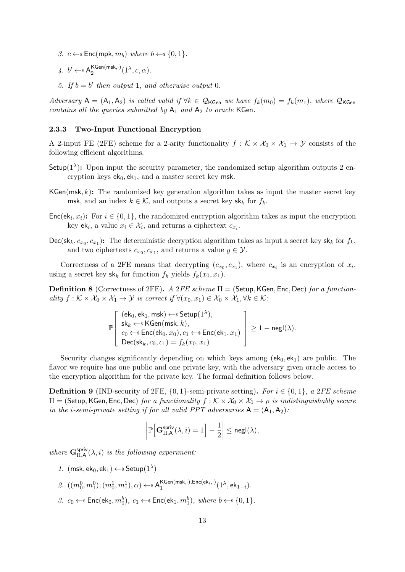- 3.  $c \leftarrow s \mathsf{Enc}(\mathsf{mpk}, m_b)$  where  $b \leftarrow s \{0, 1\}$ .
- 4.  $b' \leftarrow \{\mathsf{A}_2}^{\mathsf{KGen}(\mathsf{msk},\cdot)}$  $\frac{\mathsf{KGen}(\mathsf{msk},\cdot)}{2}(1^\lambda,c,\alpha).$
- 5. If  $b = b'$  then output 1, and otherwise output 0.

Adversary  $A = (A_1, A_2)$  is called valid if  $\forall k \in \mathcal{Q}_{\mathsf{KGen}}$  we have  $f_k(m_0) = f_k(m_1)$ , where  $\mathcal{Q}_{\mathsf{KGen}}$ contains all the queries submitted by  $A_1$  and  $A_2$  to oracle KGen.

#### 2.3.3 Two-Input Functional Encryption

A 2-input FE (2FE) scheme for a 2-arity functionality  $f : \mathcal{K} \times \mathcal{X}_0 \times \mathcal{X}_1 \to \mathcal{Y}$  consists of the following efficient algorithms.

- Setup( $1^{\lambda}$ ): Upon input the security parameter, the randomized setup algorithm outputs 2 encryption keys  $ek_0, ek_1$ , and a master secret key msk.
- KGen(msk,  $k$ ): The randomized key generation algorithm takes as input the master secret key msk, and an index  $k \in \mathcal{K}$ , and outputs a secret key sk<sub>k</sub> for  $f_k$ .
- $Enc(ek_i, x_i)$ : For  $i \in \{0, 1\}$ , the randomized encryption algorithm takes as input the encryption key e $\mathsf{k}_i$ , a value  $x_i \in \mathcal{X}_i$ , and returns a ciphertext  $c_{x_i}$ .
- $Dec(\mathsf{sk}_k, c_{x_0}, c_{x_1})$ : The deterministic decryption algorithm takes as input a secret key  $\mathsf{sk}_k$  for  $f_k$ , and two ciphertexts  $c_{x_0}, c_{x_1}$ , and returns a value  $y \in \mathcal{Y}$ .

Correctness of a 2FE means that decrypting  $(c_{x_0}, c_{x_1})$ , where  $c_{x_i}$  is an encryption of  $x_i$ , using a secret key  $sk_k$  for function  $f_k$  yields  $f_k(x_0, x_1)$ .

**Definition 8** (Correctness of 2FE). A 2FE scheme  $\Pi$  = (Setup, KGen, Enc, Dec) for a functionality  $f: \mathcal{K} \times \mathcal{X}_0 \times \mathcal{X}_1 \to \mathcal{Y}$  is correct if  $\forall (x_0, x_1) \in \mathcal{X}_0 \times \mathcal{X}_1, \forall k \in \mathcal{K}$ .

$$
\mathbb{P}\left[\begin{array}{l}(\mathsf{ek_0},\mathsf{ek_1},\mathsf{msk}) \leftarrow \mathsf{s}\mathsf{Setup}(1^\lambda), \\ \mathsf{sk}_k \leftarrow \mathsf{s}\mathsf{KGen}(\mathsf{msk},k), \\ c_0 \leftarrow \mathsf{s}\mathsf{Enc}(\mathsf{ek_0},x_0), c_1 \leftarrow \mathsf{s}\mathsf{Enc}(\mathsf{ek}_1,x_1) \\ \mathsf{Dec}(\mathsf{sk}_k,c_0,c_1) = f_k(x_0,x_1)\end{array}\right] \ge 1-\mathsf{negl}(\lambda).
$$

Security changes significantly depending on which keys among  $(ek_0, e k_1)$  are public. The flavor we require has one public and one private key, with the adversary given oracle access to the encryption algorithm for the private key. The formal definition follows below.

<span id="page-13-0"></span>**Definition 9** (IND-security of 2FE,  $\{0, 1\}$ -semi-private setting). For  $i \in \{0, 1\}$ , a 2FE scheme  $\Pi =$  (Setup, KGen, Enc, Dec) for a functionality  $f : \mathcal{K} \times \mathcal{X}_0 \times \mathcal{X}_1 \to \rho$  is indistinguishably secure in the *i*-semi-private setting if for all valid PPT adversaries  $A = (A_1, A_2)$ :

$$
\left| \mathbb{P}\Big[\mathbf{G}_{\Pi,\mathsf{A}}^{\mathsf{spriv}}(\lambda,i)=1\Big]-\frac{1}{2}\right| \leq \mathsf{negl}(\lambda),
$$

where  $G_{\Pi A}^{\text{spriv}}$  $\lim_{\Pi,\mathsf{A}} (\lambda,i)$  is the following experiment:

- 1.  $(msk, ek_0, ek_1) \leftarrow s$  Setup $(1^{\lambda})$
- 2.  $((m_0^0, m_1^0), (m_0^1, m_1^1), \alpha) \leftarrow \mathsf{s} \mathsf{A}_1^{\mathsf{KGen}(\mathsf{msk}, \cdot), \mathsf{Enc}(\mathsf{ek}_i, \cdot)}$  $\frac{\mathsf{KGen}(\mathsf{msk},\cdot), \mathsf{Enc}(\mathsf{ek}_i,\cdot)}{1}(1^{\lambda},\mathsf{ek}_{1-i}).$
- 3.  $c_0 \leftarrow s \mathsf{Enc}(\mathsf{ek}_0, m_0^b), \ c_1 \leftarrow s \mathsf{Enc}(\mathsf{ek}_1, m_1^b), \ where \ b \leftarrow s \{0, 1\}.$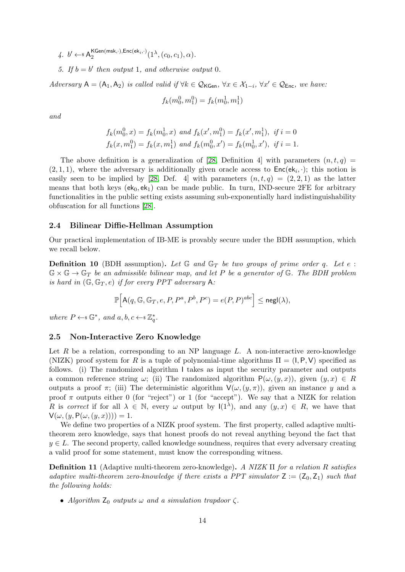$4. \, b' \leftarrow \, \, A_2^{\mathsf{KGen}(\mathsf{msk}, \cdot), \mathsf{Enc}(\mathsf{ek}_i, \cdot)}$ KGen $(\mathsf{msk},\cdot),\mathsf{Enc}(\mathsf{ek}_i,\cdot)\big(1^\lambda,(c_0,c_1),\alpha\big).$ 

5. If  $b = b'$  then output 1, and otherwise output 0.

Adversary  $A = (A_1, A_2)$  is called valid if  $\forall k \in \mathcal{Q}_{\mathsf{KGen}}, \forall x \in \mathcal{X}_{1-i}, \forall x' \in \mathcal{Q}_{\mathsf{Enc}},$  we have:

$$
f_k(m_0^0, m_1^0) = f_k(m_0^1, m_1^1)
$$

and

$$
f_k(m_0^0, x) = f_k(m_0^1, x) \text{ and } f_k(x', m_1^0) = f_k(x', m_1^1), \text{ if } i = 0
$$
  

$$
f_k(x, m_1^0) = f_k(x, m_1^1) \text{ and } f_k(m_0^0, x') = f_k(m_0^1, x'), \text{ if } i = 1.
$$

The above definition is a generalization of [\[28,](#page-42-1) Definition 4] with parameters  $(n, t, q)$  =  $(2, 1, 1)$ , where the adversary is additionally given oracle access to  $Enc(ek<sub>i</sub>, ·)$ ; this notion is easily seen to be implied by [\[28,](#page-42-1) Def. 4] with parameters  $(n, t, q) = (2, 2, 1)$  as the latter means that both keys  $(\mathsf{ek}_0, \mathsf{ek}_1)$  can be made public. In turn, IND-secure 2FE for arbitrary functionalities in the public setting exists assuming sub-exponentially hard indistinguishability obfuscation for all functions [\[28\]](#page-42-1).

#### 2.4 Bilinear Diffie-Hellman Assumption

Our practical implementation of IB-ME is provably secure under the BDH assumption, which we recall below.

<span id="page-14-1"></span>**Definition 10** (BDH assumption). Let G and  $\mathbb{G}_T$  be two groups of prime order q. Let e:  $\mathbb{G} \times \mathbb{G} \to \mathbb{G}_T$  be an admissible bilinear map, and let P be a generator of  $\mathbb{G}$ . The BDH problem is hard in  $(\mathbb{G}, \mathbb{G}_T, e)$  if for every PPT adversary A:

$$
\mathbb{P}\Big[\mathsf{A}(q,\mathbb{G},\mathbb{G}_T,e,P,P^a,P^b,P^c)=e(P,P)^{abc}\Big]\leq \mathsf{negl}(\lambda),
$$

where  $P \leftarrow^* \mathbb{G}^*$ , and  $a, b, c \leftarrow^* \mathbb{Z}_q^*$ .

#### 2.5 Non-Interactive Zero Knowledge

Let  $R$  be a relation, corresponding to an NP language  $L$ . A non-interactive zero-knowledge (NIZK) proof system for R is a tuple of polynomial-time algorithms  $\Pi = (I, P, V)$  specified as follows. (i) The randomized algorithm I takes as input the security parameter and outputs a common reference string  $\omega$ ; (ii) The randomized algorithm  $P(\omega,(y,x))$ , given  $(y,x) \in R$ outputs a proof  $\pi$ ; (iii) The deterministic algorithm  $\mathsf{V}(\omega,(y,\pi))$ , given an instance y and a proof  $\pi$  outputs either 0 (for "reject") or 1 (for "accept"). We say that a NIZK for relation R is correct if for all  $\lambda \in \mathbb{N}$ , every  $\omega$  output by  $I(1^{\lambda})$ , and any  $(y, x) \in R$ , we have that  $V(\omega, (y, P(\omega, (y, x)))) = 1.$ 

We define two properties of a NIZK proof system. The first property, called adaptive multitheorem zero knowledge, says that honest proofs do not reveal anything beyond the fact that  $y \in L$ . The second property, called knowledge soundness, requires that every adversary creating a valid proof for some statement, must know the corresponding witness.

<span id="page-14-0"></span>Definition 11 (Adaptive multi-theorem zero-knowledge). A NIZK Π for a relation R satisfies adaptive multi-theorem zero-knowledge if there exists a PPT simulator  $Z := (Z_0, Z_1)$  such that the following holds:

• Algorithm  $Z_0$  outputs  $\omega$  and a simulation trapdoor  $\zeta$ .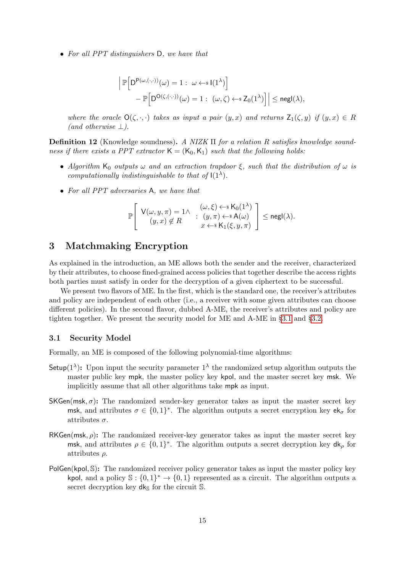• For all PPT distinguishers D, we have that

$$
\begin{aligned} \left| \mathbb{P} \Big[ D^{\mathsf{P}(\omega, (\cdot, \cdot))}(\omega) = 1: \ \omega \leftarrow \mathsf{s} \ \mathsf{l}(1^{\lambda}) \Big] \\ &- \mathbb{P} \Big[ D^{\mathsf{O}(\zeta, (\cdot, \cdot))}(\omega) = 1: \ (\omega, \zeta) \leftarrow \mathsf{s} \ \mathsf{Z}_0(1^{\lambda}) \Big] \right| \leq \mathsf{negl}(\lambda), \end{aligned}
$$

where the oracle  $O(\zeta, \cdot, \cdot)$  takes as input a pair  $(y, x)$  and returns  $Z_1(\zeta, y)$  if  $(y, x) \in R$ (and otherwise  $\perp$ ).

<span id="page-15-1"></span>**Definition 12** (Knowledge soundness). A NIZK  $\Pi$  for a relation R satisfies knowledge soundness if there exists a PPT extractor  $K = (K_0, K_1)$  such that the following holds:

- Algorithm K<sub>0</sub> outputs  $\omega$  and an extraction trapdoor  $\xi$ , such that the distribution of  $\omega$  is computationally indistinguishable to that of  $I(1^{\lambda})$ .
- For all PPT adversaries A, we have that

$$
\mathbb{P}\left[\begin{array}{ccc} \mathsf{V}(\omega,y,\pi)=1 \wedge & (\omega,\xi) \leftarrow \mathsf{s}\, \mathsf{K}_0(1^\lambda) \\ (y,x)\not\in R & : (y,\pi) \leftarrow \mathsf{s}\, \mathsf{A}(\omega) \\ x \leftarrow \mathsf{s}\, \mathsf{K}_1(\xi,y,\pi) \end{array}\right] \leq \mathsf{negl}(\lambda).
$$

# <span id="page-15-2"></span>3 Matchmaking Encryption

As explained in the introduction, an ME allows both the sender and the receiver, characterized by their attributes, to choose fined-grained access policies that together describe the access rights both parties must satisfy in order for the decryption of a given ciphertext to be successful.

We present two flavors of ME. In the first, which is the standard one, the receiver's attributes and policy are independent of each other (i.e., a receiver with some given attributes can choose different policies). In the second flavor, dubbed A-ME, the receiver's attributes and policy are tighten together. We present the security model for ME and A-ME in §[3.1](#page-15-0) and §[3.2.](#page-18-0)

### <span id="page-15-0"></span>3.1 Security Model

Formally, an ME is composed of the following polynomial-time algorithms:

- Setup( $1^{\lambda}$ ): Upon input the security parameter  $1^{\lambda}$  the randomized setup algorithm outputs the master public key mpk, the master policy key kpol, and the master secret key msk. We implicitly assume that all other algorithms take mpk as input.
- SKGen(msk,  $\sigma$ ): The randomized sender-key generator takes as input the master secret key msk, and attributes  $\sigma \in \{0,1\}^*$ . The algorithm outputs a secret encryption key ek<sub> $\sigma$ </sub> for attributes  $\sigma$ .
- RKGen(msk,  $\rho$ ): The randomized receiver-key generator takes as input the master secret key msk, and attributes  $\rho \in \{0,1\}^*$ . The algorithm outputs a secret decryption key dk<sub>p</sub> for attributes  $\rho$ .
- $PolGen(kpol, \mathbb{S})$ : The randomized receiver policy generator takes as input the master policy key kpol, and a policy  $\mathbb{S}: \{0,1\}^* \to \{0,1\}$  represented as a circuit. The algorithm outputs a secret decryption key  $dk_{\mathbb{S}}$  for the circuit  $\mathbb{S}$ .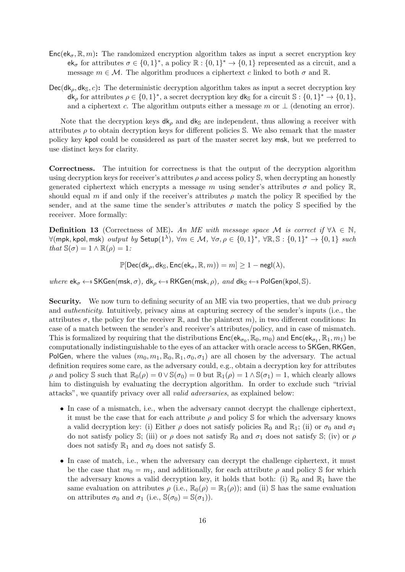- $Enc(\mathsf{ek}_{\sigma}, \mathbb{R}, m)$ : The randomized encryption algorithm takes as input a secret encryption key  $\mathsf{ek}_{\sigma}$  for attributes  $\sigma \in \{0,1\}^*$ , a policy  $\mathbb{R}:\{0,1\}^* \to \{0,1\}$  represented as a circuit, and a message  $m \in \mathcal{M}$ . The algorithm produces a ciphertext c linked to both  $\sigma$  and R.
- $Dec(dk_{\rho}, dk_{\mathbb{S}}, c)$ : The deterministic decryption algorithm takes as input a secret decryption key  $\mathsf{d}\mathsf{k}_{\rho}$  for attributes  $\rho \in \{0,1\}^*$ , a secret decryption key  $\mathsf{d}\mathsf{k}_{\mathbb{S}}$  for a circuit  $\mathbb{S}: \{0,1\}^* \to \{0,1\}$ , and a ciphertext c. The algorithm outputs either a message m or  $\perp$  (denoting an error).

Note that the decryption keys  $d\mathbf{k}_{\rho}$  and  $d\mathbf{k}_{\mathcal{S}}$  are independent, thus allowing a receiver with attributes  $\rho$  to obtain decryption keys for different policies S. We also remark that the master policy key kpol could be considered as part of the master secret key msk, but we preferred to use distinct keys for clarity.

Correctness. The intuition for correctness is that the output of the decryption algorithm using decryption keys for receiver's attributes  $\rho$  and access policy S, when decrypting an honestly generated ciphertext which encrypts a message m using sender's attributes  $\sigma$  and policy  $\mathbb{R}$ , should equal m if and only if the receiver's attributes  $\rho$  match the policy R specified by the sender, and at the same time the sender's attributes  $\sigma$  match the policy S specified by the receiver. More formally:

**Definition 13** (Correctness of ME). An ME with message space M is correct if  $\forall \lambda \in \mathbb{N}$ ,  $\forall$ (mpk, kpol, msk)  $output\;by\;\mathsf{Setup}(1^\lambda),\;\forall m\in\mathcal{M},\;\forall \sigma,\rho\in\{0,1\}^*,\;\forall \mathbb{R},\mathbb{S}:\{0,1\}^*\rightarrow\{0,1\}\;\mathit{such}$ that  $\mathbb{S}(\sigma) = 1 \wedge \mathbb{R}(\rho) = 1$ :

$$
\mathbb{P}[\mathsf{Dec}(\mathsf{dk}_{\rho},\mathsf{dk}_{\mathbb{S}},\mathsf{Enc}(\mathsf{ek}_{\sigma},\mathbb{R},m))=m]\geq 1-\mathsf{negl}(\lambda),
$$

where  $ek_{\sigma} \leftarrow s$  SKGen(msk,  $\sigma$ ), dk<sub> $\rho$ </sub>  $\leftarrow$  RKGen(msk,  $\rho$ ), and dk<sub>S</sub>  $\leftarrow$  s PolGen(kpol, S).

Security. We now turn to defining security of an ME via two properties, that we dub *privacy* and authenticity. Intuitively, privacy aims at capturing secrecy of the sender's inputs (i.e., the attributes  $\sigma$ , the policy for the receiver R, and the plaintext m), in two different conditions: In case of a match between the sender's and receiver's attributes/policy, and in case of mismatch. This is formalized by requiring that the distributions  $\mathsf{Enc}(\mathsf{ek}_{\sigma_0}, \mathbb{R}_0, m_0)$  and  $\mathsf{Enc}(\mathsf{ek}_{\sigma_1}, \mathbb{R}_1, m_1)$  be computationally indistinguishable to the eyes of an attacker with oracle access to SKGen, RKGen, PolGen, where the values  $(m_0, m_1, \mathbb{R}_0, \mathbb{R}_1, \sigma_0, \sigma_1)$  are all chosen by the adversary. The actual definition requires some care, as the adversary could, e.g., obtain a decryption key for attributes  $\rho$  and policy S such that  $\mathbb{R}_0(\rho) = 0 \vee \mathbb{S}(\sigma_0) = 0$  but  $\mathbb{R}_1(\rho) = 1 \wedge \mathbb{S}(\sigma_1) = 1$ , which clearly allows him to distinguish by evaluating the decryption algorithm. In order to exclude such "trivial attacks", we quantify privacy over all valid adversaries, as explained below:

- In case of a mismatch, i.e., when the adversary cannot decrypt the challenge ciphertext, it must be the case that for each attribute  $\rho$  and policy S for which the adversary knows a valid decryption key: (i) Either  $\rho$  does not satisfy policies  $\mathbb{R}_0$  and  $\mathbb{R}_1$ ; (ii) or  $\sigma_0$  and  $\sigma_1$ do not satisfy policy S; (iii) or  $\rho$  does not satisfy  $\mathbb{R}_0$  and  $\sigma_1$  does not satisfy S; (iv) or  $\rho$ does not satisfy  $\mathbb{R}_1$  and  $\sigma_0$  does not satisfy S.
- In case of match, i.e., when the adversary can decrypt the challenge ciphertext, it must be the case that  $m_0 = m_1$ , and additionally, for each attribute  $\rho$  and policy S for which the adversary knows a valid decryption key, it holds that both: (i)  $\mathbb{R}_0$  and  $\mathbb{R}_1$  have the same evaluation on attributes  $\rho$  (i.e.,  $\mathbb{R}_0(\rho) = \mathbb{R}_1(\rho)$ ); and (ii) S has the same evaluation on attributes  $\sigma_0$  and  $\sigma_1$  (i.e.,  $\mathbb{S}(\sigma_0) = \mathbb{S}(\sigma_1)$ ).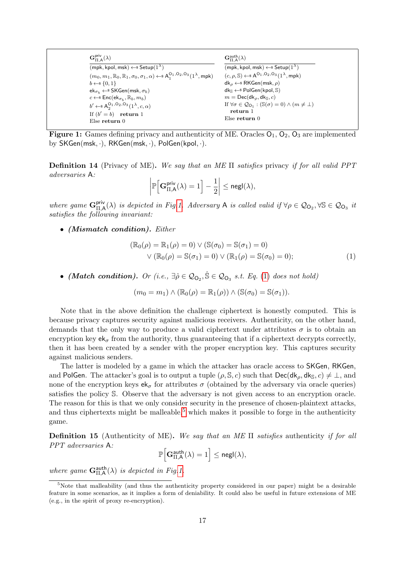<span id="page-17-0"></span>

| ${\bf G}^{\sf priv}_{\Pi.{\sf A}}(\lambda)$                                                                                               | $\mathbf{G}_{\Pi \; A}^{\text{auth}}(\lambda)$                                                 |
|-------------------------------------------------------------------------------------------------------------------------------------------|------------------------------------------------------------------------------------------------|
| $(mpk, kpol, msk) \leftarrow$ Setup $(1^{\lambda})$                                                                                       | (mpk, kpol, msk) $\leftarrow$ Setup $(1^{\lambda})$                                            |
| $(m_0, m_1, \mathbb{R}_0, \mathbb{R}_1, \sigma_0, \sigma_1, \alpha) \leftarrow \mathbb{S} A_1^{O_1, O_2, O_3}(1^{\lambda}, \mathsf{mpk})$ | $(c, \rho, \mathbb{S}) \leftarrow \mathbb{S} A^{O_1, O_2, O_3}(1^{\lambda}, \mathsf{mpk})$     |
| $b \leftarrow s \{0, 1\}$                                                                                                                 | $dk_{\rho} \leftarrow$ RKGen(msk, $\rho$ )                                                     |
| $ek_{\sigma_b} \leftarrow$ SKGen(msk, $\sigma_b$ )                                                                                        | $dk_{\mathbb{S}} \leftarrow$ PolGen(kpol, $\mathbb{S}$ )                                       |
| $c \leftarrow$ Enc(ek <sub><math>\sigma_b</math></sub> , $\mathbb{R}_b$ , $m_b$ )                                                         | $m = \mathsf{Dec}(\mathsf{dk}_o, \mathsf{dk}_\mathbb{S}, c)$                                   |
| $b' \leftarrow \mathcal{A}_2^{O_1, O_2, O_3} (1^{\lambda}, c, \alpha)$                                                                    | If $\forall \sigma \in \mathcal{Q}_{\Omega_1} : (\mathbb{S}(\sigma) = 0) \wedge (m \neq \bot)$ |
| If $(b' = b)$ return 1                                                                                                                    | return 1                                                                                       |
| $E$ lse return $0$                                                                                                                        | Else return $0$                                                                                |

Figure 1: Games defining privacy and authenticity of ME. Oracles  $O_1$ ,  $O_2$ ,  $O_3$  are implemented by SKGen(msk, ·), RKGen(msk, ·), PolGen(kpol, ·).

<span id="page-17-3"></span>**Definition 14** (Privacy of ME). We say that an ME  $\Pi$  satisfies privacy if for all valid PPT adversaries A:

<span id="page-17-1"></span>
$$
\left|\mathbb{P}\!\left[\mathbf{G}_{\Pi,\mathsf{A}}^{\mathsf{priv}}(\lambda)=1\right]-\frac{1}{2}\right|\leq \mathsf{negl}(\lambda),
$$

where game  $\mathbf{G}_{\Pi}^{\text{priv}}$  $\lim_{\Pi,A}(\lambda)$  is depicted in Fig[.1.](#page-17-0) Adversary A is called valid if  $\forall \rho \in \mathcal{Q}_{O_2}, \forall \mathbb{S} \in \mathcal{Q}_{O_3}$  it satisfies the following invariant:

• (Mismatch condition). Either

$$
(\mathbb{R}_0(\rho) = \mathbb{R}_1(\rho) = 0) \vee (\mathbb{S}(\sigma_0) = \mathbb{S}(\sigma_1) = 0) \vee (\mathbb{R}_0(\rho) = \mathbb{S}(\sigma_1) = 0) \vee (\mathbb{R}_1(\rho) = \mathbb{S}(\sigma_0) = 0);
$$
\n(1)

• (Match condition). Or (i.e.,  $\exists \hat{\rho} \in \mathcal{Q}_{O_2}, \hat{\mathbb{S}} \in \mathcal{Q}_{O_3}$  s.t. Eq. [\(1\)](#page-17-1) does not hold)

$$
(m_0 = m_1) \wedge (\mathbb{R}_0(\rho) = \mathbb{R}_1(\rho)) \wedge (\mathbb{S}(\sigma_0) = \mathbb{S}(\sigma_1)).
$$

Note that in the above definition the challenge ciphertext is honestly computed. This is because privacy captures security against malicious receivers. Authenticity, on the other hand, demands that the only way to produce a valid ciphertext under attributes  $\sigma$  is to obtain an encryption key  $ek_{\sigma}$  from the authority, thus guaranteeing that if a ciphertext decrypts correctly, then it has been created by a sender with the proper encryption key. This captures security against malicious senders.

The latter is modeled by a game in which the attacker has oracle access to SKGen, RKGen, and PolGen. The attacker's goal is to output a tuple  $(\rho, \mathbb{S}, c)$  such that  $\text{Dec}(\mathsf{dk}_\rho, \mathsf{dk}_\mathbb{S}, c) \neq \bot$ , and none of the encryption keys  $\mathsf{ek}_{\sigma}$  for attributes  $\sigma$  (obtained by the adversary via oracle queries) satisfies the policy S. Observe that the adversary is not given access to an encryption oracle. The reason for this is that we only consider security in the presence of chosen-plaintext attacks, and thus ciphertexts might be malleable,<sup>[5](#page-17-2)</sup> which makes it possible to forge in the authenticity game.

<span id="page-17-4"></span>Definition 15 (Authenticity of ME). We say that an ME Π satisfies authenticity if for all PPT adversaries A:

$$
\mathbb{P}\Big[\mathbf{G}_{\Pi,\mathsf{A}}^{\text{auth}}(\lambda) = 1\Big] \leq \mathsf{negl}(\lambda),
$$

where game  $\mathbf{G}_{\Pi,\mathsf{A}}^{\text{auth}}(\lambda)$  is depicted in Fig[.1.](#page-17-0)

<span id="page-17-2"></span><sup>5</sup>Note that malleability (and thus the authenticity property considered in our paper) might be a desirable feature in some scenarios, as it implies a form of deniability. It could also be useful in future extensions of ME (e.g., in the spirit of proxy re-encryption).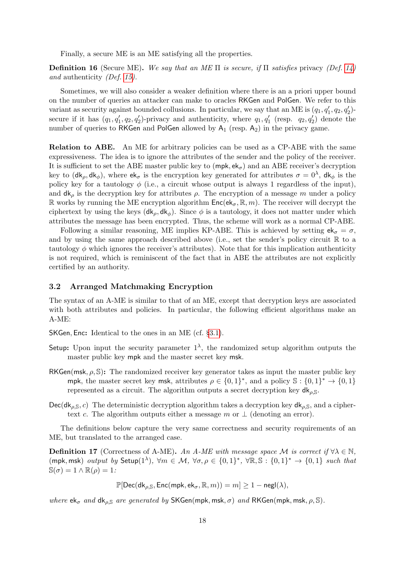Finally, a secure ME is an ME satisfying all the properties.

<span id="page-18-2"></span>**Definition 16** (Secure ME). We say that an ME  $\Pi$  is secure, if  $\Pi$  satisfies privacy (Def. [14\)](#page-17-3) and authenticity (Def. [15\)](#page-17-4).

Sometimes, we will also consider a weaker definition where there is an a priori upper bound on the number of queries an attacker can make to oracles RKGen and PolGen. We refer to this variant as security against bounded collusions. In particular, we say that an ME is  $(q_1, q'_1, q_2, q'_2)$ secure if it has  $(q_1, q'_1, q_2, q'_2)$ -privacy and authenticity, where  $q_1, q'_1$  (resp.  $q_2, q'_2$ ) denote the number of queries to RKGen and PolGen allowed by  $A_1$  (resp.  $A_2$ ) in the privacy game.

<span id="page-18-1"></span>Relation to ABE. An ME for arbitrary policies can be used as a CP-ABE with the same expressiveness. The idea is to ignore the attributes of the sender and the policy of the receiver. It is sufficient to set the ABE master public key to  $(\text{mpk}, ek_{\sigma})$  and an ABE receiver's decryption key to  $(dk_{\rho}, dk_{\phi})$ , where  $ek_{\sigma}$  is the encryption key generated for attributes  $\sigma = 0^{\lambda}$ ,  $dk_{\phi}$  is the policy key for a tautology  $\phi$  (i.e., a circuit whose output is always 1 regardless of the input), and  $d\mathsf{k}_{\rho}$  is the decryption key for attributes  $\rho$ . The encryption of a message m under a policy R works by running the ME encryption algorithm  $Enc(\mathsf{ek}_{\sigma}, \mathbb{R}, m)$ . The receiver will decrypt the ciphertext by using the keys ( $d\mathbf{k}_{\rho}, d\mathbf{k}_{\phi}$ ). Since  $\phi$  is a tautology, it does not matter under which attributes the message has been encrypted. Thus, the scheme will work as a normal CP-ABE.

Following a similar reasoning, ME implies KP-ABE. This is achieved by setting  $ek_{\sigma} = \sigma$ , and by using the same approach described above (i.e., set the sender's policy circuit  $\mathbb R$  to a tautology  $\phi$  which ignores the receiver's attributes). Note that for this implication authenticity is not required, which is reminiscent of the fact that in ABE the attributes are not explicitly certified by an authority.

#### <span id="page-18-0"></span>3.2 Arranged Matchmaking Encryption

The syntax of an A-ME is similar to that of an ME, except that decryption keys are associated with both attributes and policies. In particular, the following efficient algorithms make an A-ME:

SKGen, Enc: Identical to the ones in an ME (cf. §[3.1\)](#page-15-0).

- Setup: Upon input the security parameter  $1^{\lambda}$ , the randomized setup algorithm outputs the master public key mpk and the master secret key msk.
- RKGen(msk,  $\rho$ , S): The randomized receiver key generator takes as input the master public key mpk, the master secret key msk, attributes  $\rho \in \{0,1\}^*$ , and a policy  $\mathbb{S} : \{0,1\}^* \to \{0,1\}$ represented as a circuit. The algorithm outputs a secret decryption key  $dk_{\rho, \mathbb{S}}$ .
- $Dec(dk_{\alpha}s, c)$  The deterministic decryption algorithm takes a decryption key  $dk_{\alpha}s$ , and a ciphertext c. The algorithm outputs either a message m or  $\perp$  (denoting an error).

The definitions below capture the very same correctness and security requirements of an ME, but translated to the arranged case.

**Definition 17** (Correctness of A-ME). An A-ME with message space M is correct if  $\forall \lambda \in \mathbb{N}$ . (mpk, msk) output by Setup( $1^{\lambda}$ ),  $\forall m \in \mathcal{M}$ ,  $\forall \sigma, \rho \in \{0,1\}^*$ ,  $\forall \mathbb{R}, \mathbb{S} : \{0,1\}^* \to \{0,1\}$  such that  $\mathbb{S}(\sigma) = 1 \wedge \mathbb{R}(\rho) = 1$ :

 $\mathbb{P}[\mathsf{Dec}(\mathsf{dk}_{\rho,S},\mathsf{Enc}(\mathsf{mpk},\mathsf{ek}_{\sigma},\mathbb{R},m))=m] \geq 1-\mathsf{negl}(\lambda).$ 

where  $ek_{\sigma}$  and  $dk_{\rho,S}$  are generated by SKGen(mpk, msk,  $\sigma$ ) and RKGen(mpk, msk,  $\rho, S$ ).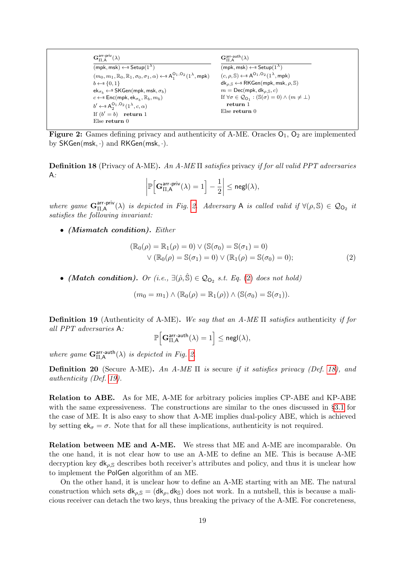<span id="page-19-0"></span>

| $\mathbf{G}_{\Pi,\mathrm{A}}^{\text{arr-priv}}(\lambda)$                                                                             | $\mathbf{G}_{\Pi,\mathrm{A}}^{\text{arr-auth}}(\lambda)$                                    |
|--------------------------------------------------------------------------------------------------------------------------------------|---------------------------------------------------------------------------------------------|
| $(mpk, msk) \leftarrow s$ Setup $(1^{\lambda})$                                                                                      | $(\mathsf{mpk}, \mathsf{msk}) \leftarrow \mathsf{s}\mathsf{Setup}(1^\lambda)$               |
| $(m_0, m_1, \mathbb{R}_0, \mathbb{R}_1, \sigma_0, \sigma_1, \alpha) \leftarrow \mathbb{R} A_1^{O_1, O_2}(1^{\lambda}, \mathsf{mpk})$ | $(c, \rho, \mathbb{S}) \leftarrow \mathbb{S} A^{O_1, O_2}(1^{\lambda}, \mathsf{mpk})$       |
| $b \leftarrow \{0, 1\}$                                                                                                              | $dk_{\rho, \mathbb{S}} \leftarrow$ RKGen(mpk, msk, $\rho, \mathbb{S}$ )                     |
| $ek_{\sigma_k} \leftarrow$ SKGen(mpk, msk, $\sigma_b$ )                                                                              | $m = \mathsf{Dec}(\mathsf{mpk}, \mathsf{dk}_{o. \mathbb{S}}, c)$                            |
| $c \leftarrow$ Enc(mpk, ek $_{\sigma_b}$ , $\mathbb{R}_b$ , $m_b$ )                                                                  | If $\forall \sigma \in \mathcal{Q}_{0}$ , : $(\mathbb{S}(\sigma) = 0) \wedge (m \neq \bot)$ |
| $b' \leftarrow \mathcal{B} \mathsf{A}_{2}^{\mathsf{O}_{1},\mathsf{O}_{2}}(1^{\lambda},c,\alpha)$                                     | return 1                                                                                    |
| If $(b' = b)$ return 1                                                                                                               | Else return $0$                                                                             |
| $E$ lse return 0                                                                                                                     |                                                                                             |

Figure 2: Games defining privacy and authenticity of A-ME. Oracles  $O_1$ ,  $O_2$  are implemented by  $SKGen(msk, \cdot)$  and  $RKGen(msk, \cdot)$ .

<span id="page-19-2"></span>**Definition 18** (Privacy of A-ME). An A-ME  $\Pi$  satisfies privacy if for all valid PPT adversaries A:

$$
\left| \mathbb{P}\Big[\mathbf{G}_{\Pi,\mathsf{A}}^{\mathsf{arr-priv}}(\lambda) = 1 \Big] - \frac{1}{2} \right| \leq \mathsf{negl}(\lambda),
$$

where game  $\mathbf{G}_{\Pi}^{\text{arr-priv}}$  $\lim_{\Pi,A} P^{\text{inv}}(\lambda)$  is depicted in Fig. [2.](#page-19-0) Adversary A is called valid if  $\forall (\rho, \mathbb{S}) \in \mathcal{Q}_{\mathsf{O}_2}$  it satisfies the following invariant:

• (Mismatch condition). Either

$$
(\mathbb{R}_0(\rho) = \mathbb{R}_1(\rho) = 0) \vee (\mathbb{S}(\sigma_0) = \mathbb{S}(\sigma_1) = 0) \vee (\mathbb{R}_0(\rho) = \mathbb{S}(\sigma_1) = 0) \vee (\mathbb{R}_1(\rho) = \mathbb{S}(\sigma_0) = 0);
$$
\n(2)

• (Match condition). Or (i.e.,  $\exists(\hat{\rho}, \hat{\mathbb{S}}) \in \mathcal{Q}_{O_2}$  s.t. Eq. [\(2\)](#page-19-1) does not hold)

$$
(m_0 = m_1) \wedge (\mathbb{R}_0(\rho) = \mathbb{R}_1(\rho)) \wedge (\mathbb{S}(\sigma_0) = \mathbb{S}(\sigma_1)).
$$

<span id="page-19-3"></span>**Definition 19** (Authenticity of A-ME). We say that an A-ME  $\Pi$  satisfies authenticity if for all PPT adversaries A:

<span id="page-19-1"></span>
$$
\mathbb{P}\Big[\mathbf{G}_{\mathrm{II},\mathrm{A}}^{\mathrm{arr} \text{-} \mathrm{auth}}(\lambda) = 1\Big] \leq \mathsf{negl}(\lambda),
$$

where game  $\mathbf{G}_{\Pi,\mathsf{A}}^{\text{arr-auth}}(\lambda)$  is depicted in Fig. [2.](#page-19-0)

<span id="page-19-4"></span>**Definition 20** (Secure A-ME). An A-ME  $\Pi$  is secure if it satisfies privacy (Def. [18\)](#page-19-2), and authenticity (Def. [19\)](#page-19-3).

Relation to ABE. As for ME, A-ME for arbitrary policies implies CP-ABE and KP-ABE with the same expressiveness. The constructions are similar to the ones discussed in §[3.1](#page-18-1) for the case of ME. It is also easy to show that A-ME implies dual-policy ABE, which is achieved by setting  $ek_{\sigma} = \sigma$ . Note that for all these implications, authenticity is not required.

Relation between ME and A-ME. We stress that ME and A-ME are incomparable. On the one hand, it is not clear how to use an A-ME to define an ME. This is because A-ME decryption key  $dk_{\rho, \mathbb{S}}$  describes both receiver's attributes and policy, and thus it is unclear how to implement the PolGen algorithm of an ME.

On the other hand, it is unclear how to define an A-ME starting with an ME. The natural construction which sets  $dk_{\rho, \mathbb{S}} = (dk_{\rho}, dk_{\mathbb{S}})$  does not work. In a nutshell, this is because a malicious receiver can detach the two keys, thus breaking the privacy of the A-ME. For concreteness,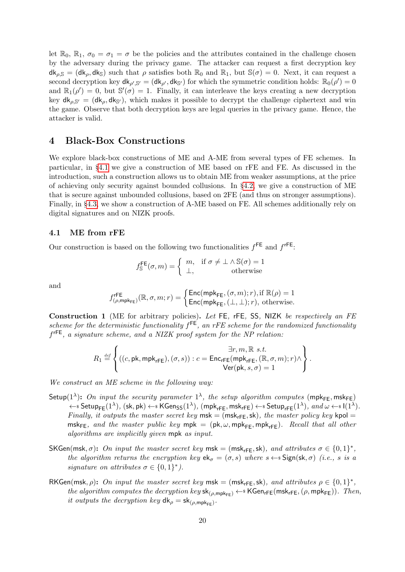let  $\mathbb{R}_0$ ,  $\mathbb{R}_1$ ,  $\sigma_0 = \sigma_1 = \sigma$  be the policies and the attributes contained in the challenge chosen by the adversary during the privacy game. The attacker can request a first decryption key  $dk_{\rho,S} = (dk_{\rho}, dk_{S})$  such that  $\rho$  satisfies both  $\mathbb{R}_{0}$  and  $\mathbb{R}_{1}$ , but  $\mathbb{S}(\sigma) = 0$ . Next, it can request a second decryption key  $dk_{\rho',S'} = (dk_{\rho'},dk_{S'})$  for which the symmetric condition holds:  $\mathbb{R}_0(\rho') = 0$ and  $\mathbb{R}_1(\rho') = 0$ , but  $\mathbb{S}'(\sigma) = 1$ . Finally, it can interleave the keys creating a new decryption key  $dk_{\rho,S'} = (dk_{\rho}, dk_{S'})$ , which makes it possible to decrypt the challenge ciphertext and win the game. Observe that both decryption keys are legal queries in the privacy game. Hence, the attacker is valid.

# <span id="page-20-0"></span>4 Black-Box Constructions

We explore black-box constructions of ME and A-ME from several types of FE schemes. In particular, in §[4.1](#page-20-1) we give a construction of ME based on rFE and FE. As discussed in the introduction, such a construction allows us to obtain ME from weaker assumptions, at the price of achieving only security against bounded collusions. In §[4.2,](#page-24-0) we give a construction of ME that is secure against unbounded collusions, based on 2FE (and thus on stronger assumptions). Finally, in §[4.3,](#page-27-0) we show a construction of A-ME based on FE. All schemes additionally rely on digital signatures and on NIZK proofs.

#### <span id="page-20-1"></span>4.1 ME from rFE

Our construction is based on the following two functionalities  $f^{\text{FE}}$  and  $f^{\text{rFE}}$ :

$$
f_{\mathbb{S}}^{\mathsf{FE}}(\sigma, m) = \begin{cases} m, & \text{if } \sigma \neq \bot \land \mathbb{S}(\sigma) = 1 \\ \bot, & \text{otherwise} \end{cases}
$$

and

$$
f^{\mathsf{rFE}}_{(\rho,\mathsf{mpk}_{\mathsf{FE}})}(\mathbb{R},\sigma,m;r) = \begin{cases} \mathsf{Enc}(\mathsf{mpk}_{\mathsf{FE}},(\sigma,m);r), \text{if } \mathbb{R}(\rho) = 1 \\ \mathsf{Enc}(\mathsf{mpk}_{\mathsf{FE}},(\bot,\bot);r), \text{ otherwise.} \end{cases}
$$

<span id="page-20-2"></span>Construction 1 (ME for arbitrary policies). Let FE, rFE, SS, NIZK be respectively an FE scheme for the deterministic functionality  $f^{\text{FE}}$ , an rFE scheme for the randomized functionality  $f^{\text{rFE}}$ , a signature scheme, and a NIZK proof system for the NP relation:

$$
R_1 \stackrel{\mathrm{\scriptscriptstyle def}}{=} \left\{ ((c,\mathsf{pk},\mathsf{mpk}_\mathsf{rFE}),(\sigma,s)) : c = \mathsf{Enc}_\mathsf{rFE}(\mathsf{mpk}_\mathsf{rFE},(\mathbb{R},\sigma,m);r) \wedge \right\}.
$$
 
$$
\mathsf{Ver}(\mathsf{pk},s,\sigma) = 1.
$$

We construct an ME scheme in the following way:

- Setup(1<sup> $\lambda$ </sup>): On input the security parameter 1<sup> $\lambda$ </sup>, the setup algorithm computes (mpk<sub>FE</sub>, msk<sub>FE</sub>)  $\leftarrow$  s Setup $_{\mathsf{FE}}(1^{\lambda}), (\mathsf{sk}, \mathsf{pk}) \leftarrow$  s KGen $_{\mathsf{SS}}(1^{\lambda}), (\mathsf{mpk}_\mathsf{rFE}, \mathsf{msk}_\mathsf{rFE}) \leftarrow$  s Setup $_{\mathsf{rFE}}(1^{\lambda}),$  and  $\omega \leftarrow$  s I $(1^{\lambda}).$ Finally, it outputs the master secret key msk = (msk<sub>rFE</sub>, sk), the master policy key kpol = msk<sub>FE</sub>, and the master public key mpk =  $(\mathsf{pk}, \omega, \mathsf{mpk}_{\mathsf{FE}}, \mathsf{mpk}_{\mathsf{FE}})$ . Recall that all other algorithms are implicitly given mpk as input.
- SKGen(msk,  $\sigma$ ): On input the master secret key msk = (msk<sub>rFE</sub>, sk), and attributes  $\sigma \in \{0,1\}^*$ , the algorithm returns the encryption key  $ek_{\sigma} = (\sigma, s)$  where  $s \leftarrow s$  Sign(sk,  $\sigma$ ) (i.e., s is a signature on attributes  $\sigma \in \{0,1\}^*$ ).
- RKGen(msk,  $\rho$ ): On input the master secret key msk = (msk<sub>rFE</sub>, sk), and attributes  $\rho \in \{0,1\}^*$ , the algorithm computes the decryption key  $\mathsf{sk}_{(\rho, \mathsf{mpk}_{\mathsf{FE}})} \leftarrow \mathsf{s}$  KGen<sub>rFE</sub>(msk<sub>rFE</sub>,( $\rho$ , mpk<sub>FE</sub>)). Then, it outputs the decryption key  $dk_{\rho} = sk_{(\rho, mpk_{FE})}$ .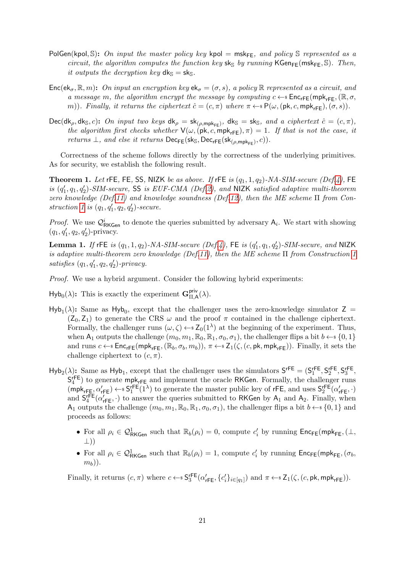- PolGen(kpol, S): On input the master policy key kpol = msk<sub>FE</sub>, and policy S represented as a circuit, the algorithm computes the function key sk<sub>S</sub> by running KGen<sub>FE</sub>(msk<sub>FE</sub>, S). Then, it outputs the decryption key  $dk_{\mathbb{S}} = sk_{\mathbb{S}}$ .
- $Enc(\mathsf{ek}_{\sigma}, \mathbb{R}, m)$ : On input an encryption key  $\mathsf{ek}_{\sigma} = (\sigma, s)$ , a policy  $\mathbb{R}$  represented as a circuit, and a message m, the algorithm encrypt the message by computing  $c \leftarrow s \text{Enc}_{\text{rFE}}(\text{mpk}_{\text{rFE}}, (\mathbb{R}, \sigma,$ m)). Finally, it returns the ciphertext  $\hat{c} = (c, \pi)$  where  $\pi \leftarrow s \mathsf{P}(\omega, (\mathsf{pk}, c, \mathsf{mpk}_{\mathsf{rFE}}), (\sigma, s)).$
- $\mathsf{Dec}(\mathsf{dk}_{\rho},\mathsf{dk}_{\mathbb{S}},c)$ : On input two keys  $\mathsf{dk}_{\rho} = \mathsf{sk}_{(\rho,\mathsf{mpk}_{\mathsf{FE}})}, \mathsf{dk}_{\mathbb{S}} = \mathsf{sk}_{\mathbb{S}}, \text{ and a ciphertext } \hat{c} = (c,\pi),$ the algorithm first checks whether  $V(\omega, \hat{p}k, c, mpk_{rFE}), \pi$  = 1. If that is not the case, it returns  $\perp$ , and else it returns Dec<sub>FE</sub>(sk<sub>S</sub>, Dec<sub>rFE</sub>(sk<sub>( $\rho,$ mpk<sub>FE</sub>), c)).</sub>

Correctness of the scheme follows directly by the correctness of the underlying primitives. As for security, we establish the following result.

**Theorem 1.** Let rFE, FE, SS, NIZK be as above. If rFE is  $(q_1, 1, q_2)$ -NA-SIM-secure (Def[.4\)](#page-11-0), FE is  $(q'_1, q_1, q'_2)$ -SIM-secure, SS is EUF-CMA (Def[.2\)](#page-10-1), and NIZK satisfied adaptive multi-theorem zero knowledge (Def[.11\)](#page-14-0) and knowledge soundness (Def[.12\)](#page-15-1), then the ME scheme  $\Pi$  from Con-struction [1](#page-20-2) is  $(q_1, q'_1, q_2, q'_2)$ -secure.

*Proof.* We use  $\mathcal{Q}_{\mathsf{RKGen}}^i$  to denote the queries submitted by adversary  $A_i$ . We start with showing  $(q_1, q'_1, q_2, q'_2)$ -privacy.

<span id="page-21-0"></span>**Lemma 1.** If rFE is  $(q_1, 1, q_2)$ -NA-SIM-secure (Def[.4\)](#page-11-0), FE is  $(q'_1, q_1, q'_2)$ -SIM-secure, and NIZK is adaptive multi-theorem zero knowledge (Def[.11\)](#page-14-0), then the ME scheme Π from Construction [1](#page-20-2) satisfies  $(q_1, q'_1, q_2, q'_2)$ -privacy.

Proof. We use a hybrid argument. Consider the following hybrid experiments:

Hyb<sub>0</sub>( $\lambda$ ): This is exactly the experiment  $\mathbf{G}_{\Pi,\rho}^{\text{priv}}$  $_{\Pi,A}^{\text{priv}}(\lambda)$ .

- Hyb<sub>1</sub>( $\lambda$ ): Same as Hyb<sub>0</sub>, except that the challenger uses the zero-knowledge simulator Z =  $(Z_0, Z_1)$  to generate the CRS  $\omega$  and the proof  $\pi$  contained in the challenge ciphertext. Formally, the challenger runs  $(\omega, \zeta) \leftarrow \mathcal{Z}_0(1^{\lambda})$  at the beginning of the experiment. Thus, when A<sub>1</sub> outputs the challenge  $(m_0, m_1, \mathbb{R}_0, \mathbb{R}_1, \sigma_0, \sigma_1)$ , the challenger flips a bit  $b \leftarrow s \{0, 1\}$ and runs  $c \leftarrow s \mathsf{Enc}_{\mathsf{rFE}}(\mathsf{mpk}_{\mathsf{rFE}}, (\mathbb{R}_b, \sigma_b, m_b)), \pi \leftarrow s \mathsf{Z}_1(\zeta, (c, \mathsf{pk}, \mathsf{mpk}_{\mathsf{rFE}})).$  Finally, it sets the challenge ciphertext to  $(c, \pi)$ .
- $Hyb_2(\lambda)$ : Same as  $Hyb_1$ , except that the challenger uses the simulators  $S^{rFE} = (S_1^{rFE}, S_2^{rFE}, S_3^{rFE})$  $S_4^{rFE}$ ) to generate mp $k_{rFE}$  and implement the oracle RKGen. Formally, the challenger runs  $(\text{mpk}_{\text{rFE}}, \alpha'_{\text{rFE}}) \leftarrow s S_1^{\text{rFE}}(1^{\lambda})$  to generate the master public key of rFE, and uses  $S_2^{\text{rFE}}(\alpha'_{\text{rFE}}, \cdot)$ and  $S_4^{\text{rFE}}(\alpha'_{\text{rFE}},\cdot)$  to answer the queries submitted to RKGen by A<sub>1</sub> and A<sub>2</sub>. Finally, when A<sub>1</sub> outputs the challenge  $(m_0, m_1, \mathbb{R}_0, \mathbb{R}_1, \sigma_0, \sigma_1)$ , the challenger flips a bit  $b \leftarrow s \{0, 1\}$  and proceeds as follows:
	- For all  $\rho_i \in \mathcal{Q}_{\mathsf{RKGen}}^1$  such that  $\mathbb{R}_b(\rho_i) = 0$ , compute  $c'_i$  by running  $\mathsf{Enc}_{\mathsf{FE}}(\mathsf{mpk}_{\mathsf{FE}}, \mathcal{L}, \mathcal{L})$ ⊥))
	- For all  $\rho_i \in \mathcal{Q}_{\text{RKGen}}^1$  such that  $\mathbb{R}_b(\rho_i) = 1$ , compute  $c'_i$  by running  $\text{Enc}_{\text{FE}}(\text{mpk}_{\text{FE}}, (\sigma_b,$  $(m_b)$ ).

Finally, it returns  $(c, \pi)$  where  $c \leftarrow s S_3^{\text{rFE}}(\alpha'_{\text{rFE}}, \{c'_i\}_{i \in [q_1]})$  and  $\pi \leftarrow s Z_1(\zeta, (c, \text{pk}, \text{mpk}_{\text{rFE}})).$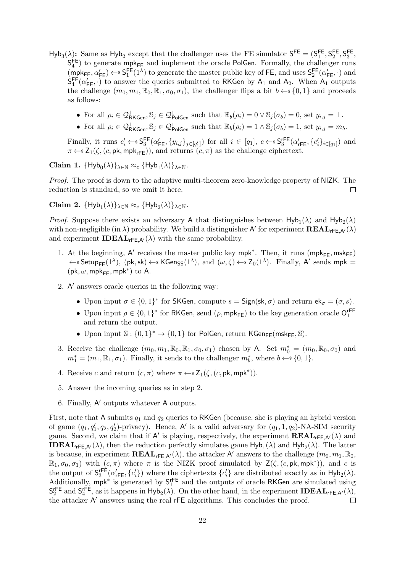- $Hyb_3(\lambda)$ : Same as  $Hyb_2$  except that the challenger uses the FE simulator  $S^{FE} = (S_1^{FE}, S_2^{FE}, S_3^{FE}, S_4^{FE})$  $S_4^{\text{FE}}$ ) to generate mpk<sub>FE</sub> and implement the oracle PolGen. Formally, the challenger runs  $(\text{mpk}_{FE}, \alpha'_{FE}) \leftarrow s S_1^{FE}(1^{\lambda})$  to generate the master public key of FE, and uses  $S_2^{FE}(\alpha'_{FE}, \cdot)$  and  $S_4^{\text{FE}}(\alpha'_{\text{FE}},\cdot)$  to answer the queries submitted to RKGen by A<sub>1</sub> and A<sub>2</sub>. When A<sub>1</sub> outputs the challenge  $(m_0, m_1, \mathbb{R}_0, \mathbb{R}_1, \sigma_0, \sigma_1)$ , the challenger flips a bit  $b \leftarrow s \{0, 1\}$  and proceeds as follows:
	- For all  $\rho_i \in \mathcal{Q}_{\mathsf{RKGen}}^1, \mathbb{S}_j \in \mathcal{Q}_{\mathsf{PolGen}}^1$  such that  $\mathbb{R}_b(\rho_i) = 0 \vee \mathbb{S}_j(\sigma_b) = 0$ , set  $y_{i,j} = \bot$ .
	- For all  $\rho_i \in \mathcal{Q}_{\mathsf{RKGen}}^1, \mathbb{S}_j \in \mathcal{Q}_{\mathsf{PolGen}}^1$  such that  $\mathbb{R}_b(\rho_i) = 1 \wedge \mathbb{S}_j(\sigma_b) = 1$ , set  $y_{i,j} = m_b$ .

Finally, it runs  $c'_i \leftarrow s \mathsf{S}_3^{\mathsf{FE}}(\alpha'_{\mathsf{FE}}, \{y_{i,j}\}_{j \in [q'_1]})$  for all  $i \in [q_1], c \leftarrow s \mathsf{S}_3^{\mathsf{rFE}}(\alpha'_{\mathsf{rFE}}, \{c'_i\}_{i \in [q_1]})$  and  $\pi \leftarrow \mathcal{Z}_1(\zeta, (c, \mathsf{pk}, \mathsf{mpk}_{\mathsf{rFE}})),$  and returns  $(c, \pi)$  as the challenge ciphertext.

<span id="page-22-1"></span>**Claim 1.** {Hyb<sub>0</sub> $(\lambda)$ } $_{\lambda \in \mathbb{N}} \approx_c$  {Hyb<sub>1</sub> $(\lambda)$ } $_{\lambda \in \mathbb{N}}$ .

Proof. The proof is down to the adaptive multi-theorem zero-knowledge property of NIZK. The reduction is standard, so we omit it here.  $\Box$ 

<span id="page-22-0"></span>Claim 2.  $\{Hyb_1(\lambda)\}_{\lambda \in \mathbb{N}} \approx_c \{Hyb_2(\lambda)\}_{\lambda \in \mathbb{N}}$ .

*Proof.* Suppose there exists an adversary A that distinguishes between  $Hyb_1(\lambda)$  and  $Hyb_2(\lambda)$ with non-negligible (in  $\lambda$ ) probability. We build a distinguisher A' for experiment  $\mathbf{REAL}_{\mathsf{rFE},\mathsf{A'}}(\lambda)$ and experiment **IDEAL**<sub>rFE,A'</sub>( $\lambda$ ) with the same probability.

- 1. At the beginning, A' receives the master public key mpk<sup>∗</sup>. Then, it runs (mpk<sub>FE</sub>, msk<sub>FE</sub>)  $\leftarrow$  Setup<sub>FE</sub>(1<sup> $\lambda$ </sup>), (pk, sk)  $\leftarrow$  s KGen<sub>SS</sub>(1<sup> $\lambda$ </sup>), and ( $\omega$ ,  $\zeta$ )  $\leftarrow$  s Z<sub>0</sub>(1 $\lambda$ ). Finally, A' sends mpk =  $(\mathsf{pk}, \omega, \mathsf{mpk}_{\mathsf{FE}}, \mathsf{mpk}^*)$  to A.
- 2. A' answers oracle queries in the following way:
	- Upon input  $\sigma \in \{0,1\}^*$  for SKGen, compute  $s = \text{Sign}(\textsf{sk}, \sigma)$  and return  $\textsf{ek}_{\sigma} = (\sigma, s)$ .
	- Upon input  $\rho \in \{0,1\}^*$  for RKGen, send  $(\rho, \text{mpk}_{FE})$  to the key generation oracle  $O_1^{rFE}$ and return the output.
	- Upon input  $\mathbb{S}: \{0,1\}^* \to \{0,1\}$  for PolGen, return KGen<sub>FE</sub>(msk<sub>FE</sub>,  $\mathbb{S}$ ).
- 3. Receive the challenge  $(m_0, m_1, \mathbb{R}_0, \mathbb{R}_1, \sigma_0, \sigma_1)$  chosen by A. Set  $m_0^* = (m_0, \mathbb{R}_0, \sigma_0)$  and  $m_1^* = (m_1, \mathbb{R}_1, \sigma_1)$ . Finally, it sends to the challenger  $m_b^*$ , where  $b \leftarrow s \{0, 1\}$ .
- 4. Receive c and return  $(c, \pi)$  where  $\pi \leftarrow \mathsf{s} Z_1(\zeta, (c, \mathsf{pk}, \mathsf{mpk}^*)$ .
- 5. Answer the incoming queries as in step 2.
- 6. Finally, A' outputs whatever A outputs.

First, note that A submits  $q_1$  and  $q_2$  queries to RKGen (because, she is playing an hybrid version of game  $(q_1, q'_1, q_2, q'_2)$ -privacy). Hence, A' is a valid adversary for  $(q_1, 1, q_2)$ -NA-SIM security game. Second, we claim that if A' is playing, respectively, the experiment  $\mathbf{REAL}_{\mathsf{rFE},\mathsf{A}'}(\lambda)$  and **IDEAL**<sub>rFE,A'</sub>( $\lambda$ ), then the reduction perfectly simulates game  $Hyb_1(\lambda)$  and  $Hyb_2(\lambda)$ . The latter is because, in experiment **REAL**<sub>rFE,A'</sub>( $\lambda$ ), the attacker A' answers to the challenge  $(m_0, m_1, \mathbb{R}_0,$  $\mathbb{R}_1, \sigma_0, \sigma_1$ ) with  $(c, \pi)$  where  $\pi$  is the NIZK proof simulated by  $\mathsf{Z}(\zeta, (c, \mathsf{pk}, \mathsf{mpk}^*))$ , and c is the output of  $S_3^{\text{rFE}}(\alpha'_{\text{rFE}}, \{c'_i\})$  where the ciphertexts  $\{c'_i\}$  are distributed exactly as in  $\text{Hyb}_2(\lambda)$ . Additionally, mpk<sup>\*</sup> is generated by  $S_1^{\text{rFE}}$  and the outputs of oracle RKGen are simulated using  $S_2^{rFE}$  and  $S_4^{rFE}$ , as it happens in  $Hyb_2(\lambda)$ . On the other hand, in the experiment **IDEAL**<sub>rFE,A'</sub>( $\lambda$ ), the attacker A' answers using the real rFE algorithms. This concludes the proof.  $\Box$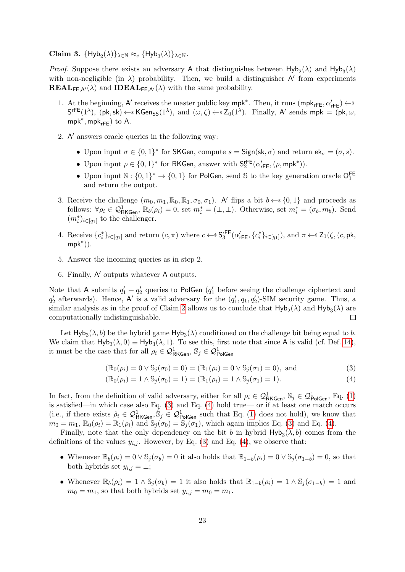<span id="page-23-2"></span>**Claim 3.** {Hyb<sub>2</sub>( $\lambda$ )}<sub> $\lambda \in \mathbb{N} \approx_c$  {Hyb<sub>3</sub>( $\lambda$ )} $\lambda \in \mathbb{N}$ .</sub>

*Proof.* Suppose there exists an adversary A that distinguishes between  $Hyb_2(\lambda)$  and  $Hyb_3(\lambda)$ with non-negligible (in  $\lambda$ ) probability. Then, we build a distinguisher A' from experiments  $\mathbf{REAL}_{\mathsf{FE},\mathsf{A}'}(\lambda)$  and  $\mathbf{IDEAL}_{\mathsf{FE},\mathsf{A}'}(\lambda)$  with the same probability.

- 1. At the beginning, A' receives the master public key mpk<sup>\*</sup>. Then, it runs (mpk<sub>rFE</sub>,  $\alpha'_{rFE}$ )  $\leftarrow$  \$  $S_1^{\text{rFE}}(1^{\lambda}),$  (pk, sk)  $\leftarrow$  \* KGen<sub>SS</sub>(1<sup> $\lambda$ </sup>), and ( $\omega, \zeta$ )  $\leftarrow$  \* Z<sub>0</sub>(1<sup> $\lambda$ </sup>). Finally, A' sends mpk = (pk,  $\omega$ , mpk<sup>\*</sup>, mpk<sub>rFE</sub>) to A.
- 2. A' answers oracle queries in the following way:
	- Upon input  $\sigma \in \{0,1\}^*$  for SKGen, compute  $s = \text{Sign}(\textsf{sk}, \sigma)$  and return  $\textsf{ek}_{\sigma} = (\sigma, s)$ .
	- Upon input  $\rho \in \{0,1\}^*$  for RKGen, answer with  $S_2^{\mathsf{FE}}(\alpha'_{\mathsf{rFE}}, (\rho, \mathsf{mpk}^*)$ ).
	- Upon input  $\mathbb{S}: \{0,1\}^* \to \{0,1\}$  for PolGen, send  $\mathbb S$  to the key generation oracle  $\mathsf{O}^{\mathsf{FE}}_1$ and return the output.
- 3. Receive the challenge  $(m_0, m_1, \mathbb{R}_0, \mathbb{R}_1, \sigma_0, \sigma_1)$ . A' flips a bit  $b \leftarrow s \{0, 1\}$  and proceeds as follows:  $\forall \rho_i \in \mathcal{Q}_{\mathsf{RKGen}}^1$ ,  $\mathbb{R}_b(\rho_i) = 0$ , set  $m_i^* = (\perp, \perp)$ . Otherwise, set  $m_i^* = (\sigma_b, m_b)$ . Send  $(m_i^*)_{i \in [q_1]}$  to the challenger.
- 4. Receive  $\{c_i^*\}_{i\in[q_1]}$  and return  $(c,\pi)$  where  $c \leftarrow s \mathsf{S}_3^{\mathsf{rFE}}(\alpha'_{\mathsf{rFE}}, \{c_i^*\}_{i\in[q_1]})$ , and  $\pi \leftarrow s \mathsf{Z}_1(\zeta, (c, \mathsf{pk}, \mathsf{pr})$ mpk<sup>∗</sup> )).
- 5. Answer the incoming queries as in step 2.
- 6. Finally, A' outputs whatever A outputs.

Note that A submits  $q'_1 + q'_2$  queries to PolGen ( $q'_1$  before seeing the challenge ciphertext and  $q'_2$  afterwards). Hence, A' is a valid adversary for the  $(q'_1, q_1, q'_2)$ -SIM security game. Thus, a similar analysis as in the proof of Claim [2](#page-22-0) allows us to conclude that  $Hyb_2(\lambda)$  and  $Hyb_3(\lambda)$  are computationally indistinguishable.  $\Box$ 

Let  $Hyb_3(\lambda, b)$  be the hybrid game  $Hyb_3(\lambda)$  conditioned on the challenge bit being equal to b. We claim that  $Hyb_3(\lambda, 0) \equiv Hyb_3(\lambda, 1)$ . To see this, first note that since A is valid (cf. Def. [14\)](#page-17-3), it must be the case that for all  $\rho_i \in \mathcal{Q}_{\mathsf{RKGen}}^1$ ,  $\mathbb{S}_j \in \mathcal{Q}_{\mathsf{PolGen}}^1$ 

$$
(\mathbb{R}_0(\rho_i) = 0 \vee \mathbb{S}_j(\sigma_0) = 0) = (\mathbb{R}_1(\rho_i) = 0 \vee \mathbb{S}_j(\sigma_1) = 0), \text{ and } (3)
$$

<span id="page-23-1"></span><span id="page-23-0"></span>
$$
(\mathbb{R}_0(\rho_i) = 1 \land \mathbb{S}_j(\sigma_0) = 1) = (\mathbb{R}_1(\rho_i) = 1 \land \mathbb{S}_j(\sigma_1) = 1).
$$
\n(4)

In fact, from the definition of valid adversary, either for all  $\rho_i \in \mathcal{Q}_{\text{RKGen}}^1$ ,  $\mathbb{S}_j \in \mathcal{Q}_{\text{PolGen}}^1$ , Eq. [\(1\)](#page-17-1) is satisfied—in which case also Eq. [\(3\)](#page-23-0) and Eq. [\(4\)](#page-23-1) hold true— or if at least one match occurs (i.e., if there exists  $\hat{\rho}_i \in \mathcal{Q}_{\text{RKGen}}^1$ ,  $\hat{\mathbb{S}}_j \in \mathcal{Q}_{\text{PolGen}}^1$  such that Eq. [\(1\)](#page-17-1) does not hold), we know that  $m_0 = m_1$ ,  $\mathbb{R}_0(\rho_i) = \mathbb{R}_1(\rho_i)$  and  $\mathbb{S}_i(\sigma_0) = \mathbb{S}_i(\sigma_1)$ , which again implies Eq. [\(3\)](#page-23-0) and Eq. [\(4\)](#page-23-1).

Finally, note that the only dependency on the bit b in hybrid  $Hyb_3(\lambda, b)$  comes from the definitions of the values  $y_{i,j}$ . However, by Eq. [\(3\)](#page-23-0) and Eq. [\(4\)](#page-23-1), we observe that:

- Whenever  $\mathbb{R}_b(\rho_i) = 0 \vee \mathbb{S}_i(\sigma_b) = 0$  it also holds that  $\mathbb{R}_{1-b}(\rho_i) = 0 \vee \mathbb{S}_i(\sigma_{1-b}) = 0$ , so that both hybrids set  $y_{i,j} = \perp$ ;
- Whenever  $\mathbb{R}_b(\rho_i) = 1 \wedge \mathbb{S}_i(\sigma_b) = 1$  it also holds that  $\mathbb{R}_{1-b}(\rho_i) = 1 \wedge \mathbb{S}_i(\sigma_{1-b}) = 1$  and  $m_0 = m_1$ , so that both hybrids set  $y_{i,j} = m_0 = m_1$ .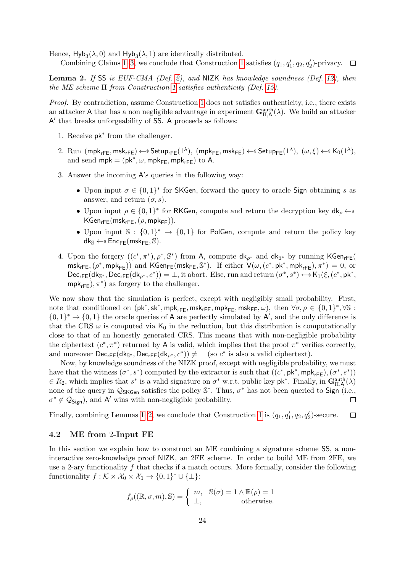Hence,  $\mathsf{Hyb}_3(\lambda, 0)$  and  $\mathsf{Hyb}_3(\lambda, 1)$  are identically distributed.

Combining Claims [1](#page-20-2)[–3,](#page-23-2) we conclude that Construction 1 satisfies  $(q_1, q'_1, q_2, q'_2)$ -privacy.  $\Box$ 

<span id="page-24-1"></span>Lemma 2. If SS is EUF-CMA (Def. [2\)](#page-10-1), and NIZK has knowledge soundness (Def. [12\)](#page-15-1), then the ME scheme  $\Pi$  from Construction [1](#page-20-2) satisfies authenticity (Def. [15\)](#page-17-4).

Proof. By contradiction, assume Construction [1](#page-20-2) does not satisfies authenticity, i.e., there exists an attacker A that has a non negligible advantage in experiment  $\mathbf{G}_{\Pi,\mathsf{A}}^{\text{auth}}(\lambda)$ . We build an attacker A' that breaks unforgeability of SS. A proceeds as follows:

- 1. Receive pk<sup>∗</sup> from the challenger.
- $2. \text{ Run } (\mathsf{mpk}_\mathsf{rFE}, \mathsf{msk}_\mathsf{rFE}) \leftarrow \$ \mathsf{Setup}_\mathsf{rFE}(1^\lambda), \ (\mathsf{mpk}_\mathsf{FE}, \mathsf{msk}_\mathsf{FE}) \leftarrow \$ \mathsf{Setup}_\mathsf{FE}(1^\lambda), \ (\omega, \xi) \leftarrow \$ \mathsf{K}_0(1^\lambda),$ and send  $mpk = (pk^*, \omega, mpk_{FE}, mpk_{rFE})$  to A.
- 3. Answer the incoming A's queries in the following way:
	- Upon input  $\sigma \in \{0,1\}^*$  for SKGen, forward the query to oracle Sign obtaining s as answer, and return  $(\sigma, s)$ .
	- Upon input  $\rho \in \{0,1\}^*$  for RKGen, compute and return the decryption key  $dk_\rho \leftarrow$  $KGen_{rFE}(msk_{rFE}, (\rho, mpk_{FF})).$
	- Upon input  $\mathbb{S}: \{0,1\}^* \to \{0,1\}$  for PolGen, compute and return the policy key  $dk_{\mathbb{S}} \leftarrow$  Enc<sub>FE</sub>(msk<sub>FE</sub>,  $\mathbb{S}$ ).
- 4. Upon the forgery  $((c^*, \pi^*), \rho^*, \mathbb{S}^*)$  from A, compute  $d\mathsf{k}_{\rho^*}$  and  $d\mathsf{k}_{\mathbb{S}^*}$  by running KGen<sub>rFE</sub>  $\textsf{msk}_{\textsf{rFE}},(\rho^*,\textsf{mpk}_{\textsf{FE}}))$  and  $\textsf{KGen}_{\textsf{FE}}(\textsf{msk}_{\textsf{FE}},\mathbb{S}^*).$  If either  $\textsf{V}(\omega,(c^*,\textsf{pk}^*,\textsf{mpk}_{\textsf{rFE}}),\pi^*)=0,$  or  $\mathsf{Dec}_{\mathsf{rFE}}(\mathsf{dk}_{\mathbb{S}^*}, \mathsf{Dec}_{\mathsf{rFE}}(\mathsf{dk}_{\rho^*}, c^*)) = \bot$ , it abort. Else, run and return  $(\sigma^*, s^*) \leftarrow \mathsf{sK}_1(\xi, (c^*, \mathsf{pk}^*, c^*))$  $\mathsf{mpk}_\mathsf{rFE}), \pi^*$  as forgery to the challenger.

We now show that the simulation is perfect, except with negligibly small probability. First, note that conditioned on  $(\mathsf{pk}^*, \mathsf{sk}^*, \mathsf{mpk}_{\mathsf{rFE}}, \mathsf{msk}_{\mathsf{rFE}}, \mathsf{msk}_{\mathsf{FE}}, \omega)$ , then  $\forall \sigma, \rho \in \{0, 1\}^*, \forall \mathbb{S}$ :  $\{0,1\}^* \to \{0,1\}$  the oracle queries of A are perfectly simulated by A', and the only difference is that the CRS  $\omega$  is computed via  $K_0$  in the reduction, but this distribution is computationally close to that of an honestly generated CRS. This means that with non-negligible probability the ciphertext  $(c^*, \pi^*)$  returned by A is valid, which implies that the proof  $\pi^*$  verifies correctly, and moreover  $\mathsf{Dec}_{\mathsf{rFE}}(\mathsf{dk}_{\mathsf{S}^*}, \mathsf{Dec}_{\mathsf{rFE}}(\mathsf{dk}_{\rho^*}, c^*)) \neq \bot$  (so  $c^*$  is also a valid ciphertext).

Now, by knowledge soundness of the NIZK proof, except with negligible probability, we must have that the witness  $(\sigma^*, s^*)$  computed by the extractor is such that  $((c^*, \mathsf{pk}^*, \mathsf{mpk}_{\mathsf{rFE}}), (\sigma^*, s^*))$  $\in R_2$ , which implies that s<sup>\*</sup> is a valid signature on  $\sigma^*$  w.r.t. public key pk<sup>\*</sup>. Finally, in  $\mathbf{G}_{\Pi,\mathsf{A}}^{\text{auth}}(\lambda)$ none of the query in  $\mathcal{Q}_{SKGen}$  satisfies the policy  $\mathbb{S}^*$ . Thus,  $\sigma^*$  has not been queried to Sign (i.e.,  $\sigma^* \notin \mathcal{Q}_{Sign}$ , and A' wins with non-negligible probability.  $\Box$ 

Finally, combining Lemmas [1–](#page-21-0)[2,](#page-24-1) we conclude that Construction [1](#page-20-2) is  $(q_1, q'_1, q_2, q'_2)$ -secure.  $\Box$ 

### <span id="page-24-0"></span>4.2 ME from 2-Input FE

In this section we explain how to construct an ME combining a signature scheme SS, a noninteractive zero-knowledge proof NIZK, an 2FE scheme. In order to build ME from 2FE, we use a 2-ary functionality  $f$  that checks if a match occurs. More formally, consider the following functionality  $f : \mathcal{K} \times \mathcal{X}_0 \times \mathcal{X}_1 \to \{0,1\}^* \cup \{\perp\}$ :

$$
f_{\rho}((\mathbb{R}, \sigma, m), \mathbb{S}) = \begin{cases} m, & \mathbb{S}(\sigma) = 1 \land \mathbb{R}(\rho) = 1 \\ \perp, & \text{otherwise.} \end{cases}
$$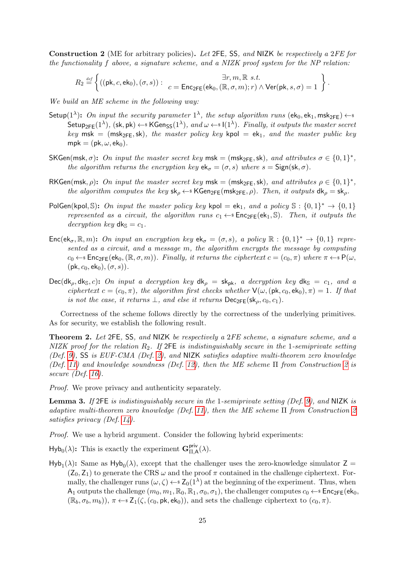<span id="page-25-0"></span>Construction 2 (ME for arbitrary policies). Let 2FE, SS, and NIZK be respectively a 2FE for the functionality f above, a signature scheme, and a NIZK proof system for the NP relation:

$$
R_2 \stackrel{\mathrm{\scriptscriptstyle def}}{=} \left\{ ((\mathsf{pk}, c, \mathsf{ek}_0), (\sigma, s)) : \begin{array}{c} \exists r,m,\mathbb{R}\ s.t. \\ c = \mathsf{Enc}_{2\mathsf{FE}}(\mathsf{ek}_0, (\mathbb{R}, \sigma, m); r) \wedge \mathsf{Ver}(\mathsf{pk}, s, \sigma) = 1 \end{array} \right\}.
$$

We build an ME scheme in the following way:

- Setup(1<sup> $\lambda$ </sup>): On input the security parameter 1<sup> $\lambda$ </sup>, the setup algorithm runs (ek<sub>0</sub>, ek<sub>1</sub>, msk<sub>2FE</sub>)  $\leftarrow$  s Setup<sub>2FE</sub>(1<sup> $\lambda$ </sup>), (sk, pk)  $\leftarrow$  \* KGen<sub>SS</sub>(1 $\lambda$ ), and  $\omega \leftarrow$  \* I(1 $\lambda$ ). *Finally, it outputs the master secret* key msk = (msk<sub>2FE</sub>, sk), the master policy key kpol =  $ek_1$ , and the master public key  $mpk = (pk, \omega, ek_0).$
- SKGen(msk,  $\sigma$ ): On input the master secret key msk = (msk<sub>2FE</sub>, sk), and attributes  $\sigma \in \{0,1\}^*$ , the algorithm returns the encryption key  $ek_{\sigma} = (\sigma, s)$  where  $s =$  Sign(sk,  $\sigma$ ).
- RKGen(msk,  $\rho$ ): On input the master secret key msk = (msk<sub>2FE</sub>, sk), and attributes  $\rho \in \{0,1\}^*$ , the algorithm computes the key  $sk_{\rho} \leftarrow$  KGen<sub>2FE</sub>(msk<sub>2FE</sub>,  $\rho$ ). Then, it outputs  $dk_{\rho} = sk_{\rho}$ .
- PolGen(kpol, S): On input the master policy key kpol =  $ek_1$ , and a policy S:  $\{0,1\}^* \rightarrow \{0,1\}$ represented as a circuit, the algorithm runs  $c_1 \leftarrow$   $\mathsf{Enc}_{2\mathsf{FE}}(\mathsf{ek}_1, \mathbb{S})$ . Then, it outputs the decryption key dks =  $c_1$ .
- $Enc(\mathsf{ek}_{\sigma}, \mathbb{R}, m)$ : On input an encryption key  $\mathsf{ek}_{\sigma} = (\sigma, s)$ , a policy  $\mathbb{R} : \{0,1\}^* \to \{0,1\}$  represented as a circuit, and a message m, the algorithm encrypts the message by computing  $c_0 \leftarrow s \text{Enc}_{2FF}(\text{ek}_0, (\mathbb{R}, \sigma, m))$ . Finally, it returns the ciphertext  $c = (c_0, \pi)$  where  $\pi \leftarrow s \mathsf{P}(\omega, \pi)$  $(\mathsf{pk}, c_0, \mathsf{ek}_0), (\sigma, s)$ ).
- Dec(dk<sub>p</sub>, dk<sub>S</sub>, c): On input a decryption key dk<sub>p</sub> = sk<sub>pk</sub>, a decryption key dk<sub>S</sub> = c<sub>1</sub>, and a ciphertext  $c = (c_0, \pi)$ , the algorithm first checks whether  $V(\omega, (\mathsf{pk}, c_0, \mathsf{ek}_0), \pi) = 1$ . If that is not the case, it returns  $\perp$ , and else it returns  $\mathsf{Dec}_{2\mathsf{FE}}(\mathsf{sk}_\rho, c_0, c_1)$ .

Correctness of the scheme follows directly by the correctness of the underlying primitives. As for security, we establish the following result.

<span id="page-25-2"></span>Theorem 2. Let 2FE, SS, and NIZK be respectively a 2FE scheme, a signature scheme, and a NIZK proof for the relation  $R_2$ . If  $2FE$  is indistinguishably secure in the 1-semiprivate setting (Def. [9\)](#page-13-0), SS is EUF-CMA (Def. [2\)](#page-10-1), and NIZK satisfies adaptive multi-theorem zero knowledge (Def. [11\)](#page-14-0) and knowledge soundness (Def. [12\)](#page-15-1), then the ME scheme  $\Pi$  from Construction [2](#page-25-0) is secure (Def. [16\)](#page-18-2).

Proof. We prove privacy and authenticity separately.

<span id="page-25-1"></span>**Lemma 3.** If  $2FE$  is indistinguishably secure in the 1-semiprivate setting (Def. [9\)](#page-13-0), and NIZK is adaptive multi-theorem zero knowledge (Def. [11\)](#page-14-0), then the ME scheme Π from Construction [2](#page-25-0) satisfies privacy (Def. [14\)](#page-17-3).

Proof. We use a hybrid argument. Consider the following hybrid experiments:

Hyb<sub>0</sub>( $\lambda$ ): This is exactly the experiment  $\mathbf{G}_{\Pi,\rho}^{\text{priv}}$  $_{\Pi,A}^{\text{priv}}(\lambda)$ .

Hyb<sub>1</sub>( $\lambda$ ): Same as Hyb<sub>0</sub>( $\lambda$ ), except that the challenger uses the zero-knowledge simulator Z =  $(Z_0, Z_1)$  to generate the CRS  $\omega$  and the proof  $\pi$  contained in the challenge ciphertext. Formally, the challenger runs  $(\omega, \zeta) \leftarrow \mathbf{Z}_0(1^{\lambda})$  at the beginning of the experiment. Thus, when A<sub>1</sub> outputs the challenge  $(m_0, m_1, \mathbb{R}_0, \mathbb{R}_1, \sigma_0, \sigma_1)$ , the challenger computes  $c_0 \leftarrow s \mathsf{Enc}_{2FE}(\mathsf{ek}_0,$  $(\mathbb{R}_b, \sigma_b, m_b)$ ,  $\pi \leftarrow s Z_1(\zeta, (c_0, \text{pk}, \text{ek}_0))$ , and sets the challenge ciphertext to  $(c_0, \pi)$ .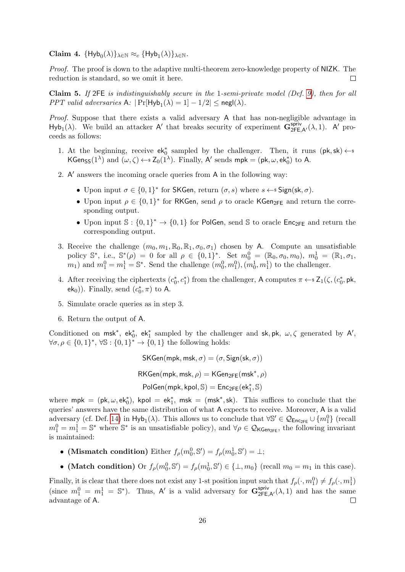<span id="page-26-0"></span>**Claim 4.**  $\{Hyb_0(\lambda)\}_\lambda \in \mathbb{N} \approx_c \{Hyb_1(\lambda)\}_\lambda \in \mathbb{N}$ .

Proof. The proof is down to the adaptive multi-theorem zero-knowledge property of NIZK. The reduction is standard, so we omit it here.  $\Box$ 

<span id="page-26-1"></span>**Claim 5.** If 2FE is indistinguishably secure in the 1-semi-private model (Def. [9\)](#page-13-0), then for all *PPT valid adversaries* A:  $|\Pr[\mathsf{Hyb}_1(\lambda) = 1] - 1/2| \le \mathsf{negl}(\lambda)$ .

Proof. Suppose that there exists a valid adversary A that has non-negligible advantage in Hyb<sub>1</sub>( $\lambda$ ). We build an attacker A' that breaks security of experiment  $\mathbf{G}_{2FE,A'}^{\text{spriv}}(\lambda,1)$ . A' proceeds as follows:

- 1. At the beginning, receive  $ek_0^*$  sampled by the challenger. Then, it runs  $(\mathsf{pk}, \mathsf{sk}) \leftarrow \mathsf{sk}$ KGen<sub>SS</sub>(1<sup> $\lambda$ </sup>) and ( $\omega$ ,  $\zeta$ )  $\leftarrow$   $Z_0(1^{\lambda})$ . Finally, A' sends mpk = (pk,  $\omega$ , ek $_0^*$ ) to A.
- 2. A' answers the incoming oracle queries from A in the following way:
	- Upon input  $\sigma \in \{0,1\}^*$  for SKGen, return  $(\sigma, s)$  where  $s \leftarrow s$  Sign(sk,  $\sigma$ ).
	- Upon input  $\rho \in \{0,1\}^*$  for RKGen, send  $\rho$  to oracle KGen<sub>2FE</sub> and return the corresponding output.
	- Upon input  $\mathbb{S}: \{0,1\}^* \to \{0,1\}$  for PolGen, send  $\mathbb S$  to oracle  $\mathsf{Enc}_{2FE}$  and return the corresponding output.
- 3. Receive the challenge  $(m_0, m_1, \mathbb{R}_0, \mathbb{R}_1, \sigma_0, \sigma_1)$  chosen by A. Compute an unsatisfiable policy  $\mathbb{S}^*$ , i.e.,  $\mathbb{S}^*(\rho) = 0$  for all  $\rho \in \{0,1\}^*$ . Set  $m_0^0 = (\mathbb{R}_0, \sigma_0, m_0)$ ,  $m_0^1 = (\mathbb{R}_1, \sigma_1,$  $(m_1)$  and  $m_1^0 = m_1^1 = \mathbb{S}^*$ . Send the challenge  $(m_0^0, m_1^0), (m_0^1, m_1^1)$  to the challenger.
- 4. After receiving the ciphertexts  $(c_0^*, c_1^*)$  from the challenger, A computes  $\pi \leftarrow \in \mathsf{Z}_1(\zeta, (c_0^*, \mathsf{pk},$  $e^{k_0}$ ). Finally, send  $(c_0^*, \pi)$  to A.
- 5. Simulate oracle queries as in step 3.
- 6. Return the output of A.

Conditioned on  $msk^*$ ,  $ek_0^*$ ,  $ek_1^*$  sampled by the challenger and  $sk, pk, \omega, \zeta$  generated by A',  $\forall \sigma, \rho \in \{0,1\}^*, \forall \mathbb{S} : \{0,1\}^* \rightarrow \{0,1\}$  the following holds:

> $SKGen(mpk, msk, \sigma) = (\sigma, Sign(sk, \sigma))$  $RKGen(mpk, msk, \rho) = KGen_{2FE}(msk^*, \rho)$  $PolGen(mpk, kpol, \mathbb{S}) = Enc_{2FE}(ek_1^*, \mathbb{S})$

where  $mpk = (pk, \omega, ek_0^*)$ , kpol =  $ek_1^*$ , msk = (msk<sup>\*</sup>, sk). This suffices to conclude that the queries' answers have the same distribution of what A expects to receive. Moreover, A is a valid adversary (cf. Def. [14\)](#page-17-3) in  $Hyb_1(\lambda)$ . This allows us to conclude that  $\forall \mathbb{S}' \in \mathcal{Q}_{Enc_{2FE}} \cup \{m_1^0\}$  (recall  $m_1^0 = m_1^1 = \mathbb{S}^*$  where  $\mathbb{S}^*$  is an unsatisfiable policy), and  $\forall \rho \in \mathcal{Q}_{\mathsf{KGen}_{2\mathsf{FE}}}$ , the following invariant is maintained:

- (Mismatch condition) Either  $f_{\rho}(m_0^0, \mathbb{S}') = f_{\rho}(m_0^1, \mathbb{S}') = \perp;$
- (Match condition) Or  $f_{\rho}(m_0^0, \mathbb{S}') = f_{\rho}(m_0^1, \mathbb{S}') \in \{\perp, m_0\}$  (recall  $m_0 = m_1$  in this case).

Finally, it is clear that there does not exist any 1-st position input such that  $f_{\rho}(\cdot,m_1^0) \neq f_{\rho}(\cdot,m_1^1)$ (since  $m_1^0 = m_1^1 = \mathbb{S}^*$ ). Thus, A' is a valid adversary for  $\mathbf{G}_{2FE,A'}^{spriv}(\lambda,1)$  and has the same advantage of A.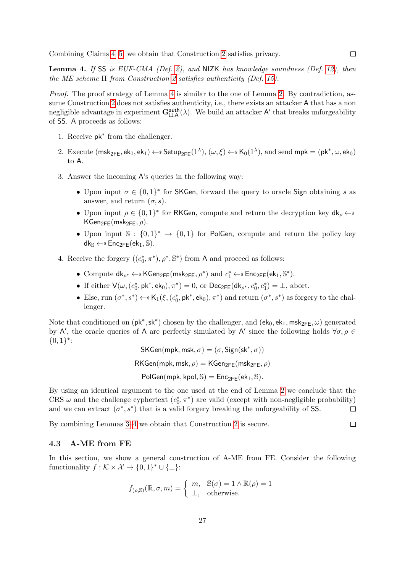Combining Claims [4–](#page-26-0)[5,](#page-26-1) we obtain that Construction [2](#page-25-0) satisfies privacy.

<span id="page-27-1"></span>Lemma 4. If SS is EUF-CMA (Def. [2\)](#page-10-1), and NIZK has knowledge soundness (Def. [12\)](#page-15-1), then the ME scheme  $\Pi$  from Construction [2](#page-25-0) satisfies authenticity (Def. [15\)](#page-17-4).

Proof. The proof strategy of Lemma [4](#page-27-1) is similar to the one of Lemma [2.](#page-24-1) By contradiction, assume Construction [2](#page-25-0) does not satisfies authenticity, i.e., there exists an attacker A that has a non negligible advantage in experiment  $\mathbf{G}_{\Pi,\mathsf{A}}^{\text{auth}}(\lambda)$ . We build an attacker A' that breaks unforgeability of SS. A proceeds as follows:

- 1. Receive pk<sup>∗</sup> from the challenger.
- 2. Execute  $({\sf msk}_{2{\sf FE}},{\sf ek}_0,{\sf ek}_1)\leftarrow {\sf s}\, {\sf Setup}_{2{\sf FE}}(1^\lambda),\, (\omega,\xi)\leftarrow {\sf s}\, {\sf K}_0(1^\lambda),\, {\rm and\,\, send}\, {\sf mpk}=({\sf pk}^*,\omega,{\sf ek}_0)$ to A.
- 3. Answer the incoming A's queries in the following way:
	- Upon input  $\sigma \in \{0,1\}^*$  for SKGen, forward the query to oracle Sign obtaining s as answer, and return  $(\sigma, s)$ .
	- Upon input  $\rho \in \{0,1\}^*$  for RKGen, compute and return the decryption key  $dk_\rho \leftarrow$  $KGen<sub>2FE</sub>(msk<sub>2FE</sub>, \rho).$
	- Upon input  $\mathbb{S}: \{0,1\}^* \to \{0,1\}$  for PolGen, compute and return the policy key  $dk_{\mathbb{S}} \leftarrow$  Enc<sub>2FF</sub>(ek<sub>1</sub>,  $\mathbb{S}$ ).
- 4. Receive the forgery  $((c_0^*, \pi^*), \rho^*, \mathbb{S}^*)$  from A and proceed as follows:
	- Compute  $dk_{\rho^*} \leftarrow$  KGen<sub>2FE</sub>(msk<sub>2FE</sub>,  $\rho^*$ ) and  $c_1^* \leftarrow$  sEnc<sub>2FE</sub>(ek<sub>1</sub>, S<sup>\*</sup>).
	- If either  $V(\omega, (c_0^*, p k^*, e k_0), \pi^*) = 0$ , or  $Dec_{2FE}(dk_{\rho^*}, c_0^*, c_1^*) = \bot$ , abort.
	- Else, run  $(\sigma^*, s^*) \leftarrow \kappa_1(\xi, (c_0^*, \mathsf{pk}^*, \mathsf{ek}_0), \pi^*)$  and return  $(\sigma^*, s^*)$  as forgery to the challenger.

Note that conditioned on  $(\mathsf{pk}^*, \mathsf{sk}^*)$  chosen by the challenger, and  $(\mathsf{ek}_0, \mathsf{ek}_1, \mathsf{msk}_{2\mathsf{FE}}, \omega)$  generated by A', the oracle queries of A are perfectly simulated by A' since the following holds  $\forall \sigma, \rho \in$  ${0,1}^*$ :

> $SKGen(mpk, msk, \sigma) = (\sigma, Sign(sk^*, \sigma))$  $RKGen(mpk, msk, \rho) = KGen_{2FF}(msk_{2FF}, \rho)$  $PolGen(mpk, kpol, S) = Enc_{2FF}(ek_1, S).$

By using an identical argument to the one used at the end of Lemma [2](#page-24-1) we conclude that the CRS  $\omega$  and the challenge cyphertext  $(c_0^*, \pi^*)$  are valid (except with non-negligible probability) and we can extract  $(\sigma^*, s^*)$  that is a valid forgery breaking the unforgeability of SS.  $\Box$ 

By combining Lemmas [3–](#page-25-1)[4](#page-27-1) we obtain that Construction [2](#page-25-0) is secure.

#### <span id="page-27-0"></span>4.3 A-ME from FE

In this section, we show a general construction of A-ME from FE. Consider the following functionality  $f : \mathcal{K} \times \mathcal{X} \to \{0,1\}^* \cup \{\perp\}$ :

$$
f_{(\rho,{\mathbb S})}({\mathbb R},\sigma,m)=\left\{\begin{array}{ll} m,&{\mathbb S}(\sigma)=1\wedge{\mathbb R}(\rho)=1\\ \bot,&\text{otherwise.}\end{array}\right.
$$

 $\Box$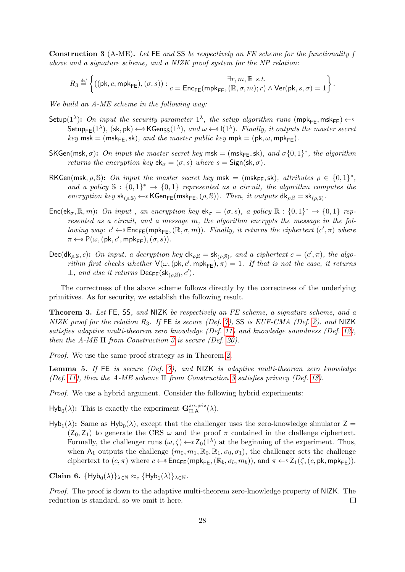<span id="page-28-0"></span>Construction 3 (A-ME). Let FE and SS be respectively an FE scheme for the functionality f above and a signature scheme, and a NIZK proof system for the NP relation:

$$
R_3 \stackrel{\mathrm{\scriptscriptstyle def}}{=} \left\{ ((\mathsf{pk}, c, \mathsf{mpk}_{\mathsf{FE}}), (\sigma, s)) : \begin{matrix} \exists r, m, \mathbb{R} \ s.t. \\ c = \mathsf{Enc}_{\mathsf{FE}}(\mathsf{mpk}_{\mathsf{FE}}, (\mathbb{R}, \sigma, m); r) \wedge \mathsf{Ver}(\mathsf{pk}, s, \sigma) = 1 \end{matrix} \right\}.
$$

We build an A-ME scheme in the following way:

- Setup(1<sup> $\lambda$ </sup>): On input the security parameter 1<sup> $\lambda$ </sup>, the setup algorithm runs (mpk<sub>FE</sub>, msk<sub>FE</sub>)  $\leftarrow$ \$ Setup $_{\sf FE}(1^\lambda)$ , (sk, pk)  $\leftarrow$  \* KGen<sub>SS</sub> $(1^\lambda)$ , and  $\omega \leftarrow$  \* I $(1^\lambda)$ . Finally, it outputs the master secret key msk = (msk<sub>FE</sub>, sk), and the master public key mpk = (pk,  $\omega$ , mpk<sub>FF</sub>).
- SKGen(msk,  $\sigma$ ): On input the master secret key msk = (msk<sub>FE</sub>, sk), and  $\sigma\{0,1\}^*$ , the algorithm returns the encryption key  $ek_{\sigma} = (\sigma, s)$  where  $s =$  Sign(sk,  $\sigma$ ).
- RKGen(msk,  $\rho$ , S): On input the master secret key msk = (mskFE, sk), attributes  $\rho \in \{0,1\}^*$ , and a policy  $\mathbb{S}: \{0,1\}^* \to \{0,1\}$  represented as a circuit, the algorithm computes the encryption key sk<sub>( $\rho, S$ )</sub>  $\leftarrow$  KGen<sub>FE</sub>(msk<sub>FE</sub>,( $\rho, S$ )). Then, it outputs  $dk_{\rho, S} = sk_{(\rho, S)}$ .
- $Enc(ek_{\sigma}, \mathbb{R}, m)$ : On input, an encryption key  $ek_{\sigma} = (\sigma, s)$ , a policy  $\mathbb{R} : \{0,1\}^* \to \{0,1\}$  represented as a circuit, and a message m, the algorithm encrypts the message in the fol*lowing way:*  $c' \leftarrow s \text{Enc}_{FE}(\text{mpk}_{FE}, (\mathbb{R}, \sigma, m))$ . Finally, it returns the ciphertext  $(c', \pi)$  where  $\pi \leftarrow \{ \mathsf{P}(\omega, (\mathsf{pk}, c', \mathsf{mpk}_{\mathsf{FE}}), (\sigma, s)).$
- Dec(dk<sub> $\rho, S$ </sub>, c): On input, a decryption key dk<sub> $\rho, S$ </sub> = sk<sub>( $\rho, S$ ), and a ciphertext  $c = (c', \pi)$ , the algo-</sub> rithm first checks whether  $V(\omega, (\mathsf{pk}, c', \mathsf{mpk}_{\mathsf{FE}}), \pi) = 1$ . If that is not the case, it returns  $\perp$ , and else it returns Dec<sub>FE</sub>(sk<sub>( $\rho$ ,  $\otimes$ ),  $c'$ ).</sub>

The correctness of the above scheme follows directly by the correctness of the underlying primitives. As for security, we establish the following result.

Theorem 3. Let FE, SS, and NIZK be respectively an FE scheme, a signature scheme, and a NIZK proof for the relation  $R_3$ . If FE is secure (Def. [7\)](#page-12-0), SS is EUF-CMA (Def. [2\)](#page-10-1), and NIZK satisfies adaptive multi-theorem zero knowledge (Def. [11\)](#page-14-0) and knowledge soundness (Def. [12\)](#page-15-1), then the A-ME  $\Pi$  from Construction [3](#page-28-0) is secure (Def. [20\)](#page-19-4).

Proof. We use the same proof strategy as in Theorem [2.](#page-25-2)

<span id="page-28-2"></span>Lemma 5. If FE is secure (Def. [7\)](#page-12-0), and NIZK is adaptive multi-theorem zero knowledge (Def. [11\)](#page-14-0), then the A-ME scheme  $\Pi$  from Construction [3](#page-28-0) satisfies privacy (Def. [18\)](#page-19-2).

Proof. We use a hybrid argument. Consider the following hybrid experiments:

Hyb<sub>0</sub>( $\lambda$ ): This is exactly the experiment  $\mathbf{G}_{\Pi,\mathbf{A}}^{\text{arr-priv}}$  $\lim_{\Pi,A}$ A $(n)$ .

Hyb<sub>1</sub>( $\lambda$ ): Same as Hyb<sub>0</sub>( $\lambda$ ), except that the challenger uses the zero-knowledge simulator  $Z =$  $(Z_0, Z_1)$  to generate the CRS  $\omega$  and the proof  $\pi$  contained in the challenge ciphertext. Formally, the challenger runs  $(\omega, \zeta) \leftarrow \mathbf{Z}_0(1^{\lambda})$  at the beginning of the experiment. Thus, when  $A_1$  outputs the challenge  $(m_0, m_1, \mathbb{R}_0, \mathbb{R}_1, \sigma_0, \sigma_1)$ , the challenger sets the challenge ciphertext to  $(c, \pi)$  where  $c \leftarrow s \mathsf{Enc}_{\mathsf{FE}}(\mathsf{mpk}_{\mathsf{FE}}, (\mathbb{R}_b, \sigma_b, m_b))$ , and  $\pi \leftarrow s \mathsf{Z}_1(\zeta, (c, \mathsf{pk}, \mathsf{mpk}_{\mathsf{FE}})).$ 

<span id="page-28-1"></span>Claim 6.  $\{Hyb_0(\lambda)\}_{\lambda \in \mathbb{N}} \approx_c \{Hyb_1(\lambda)\}_{\lambda \in \mathbb{N}}$ .

Proof. The proof is down to the adaptive multi-theorem zero-knowledge property of NIZK. The reduction is standard, so we omit it here.  $\Box$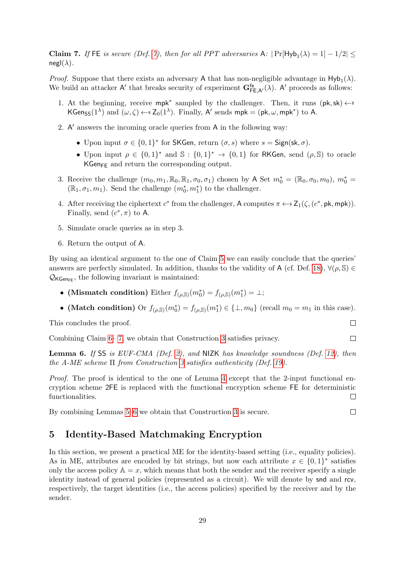<span id="page-29-1"></span>**Claim 7.** If FE is secure (Def. [7\)](#page-12-0), then for all PPT adversaries A:  $|\Pr[\text{Hyb}_1(\lambda) = 1] - 1/2| \le$  $negl(\lambda)$ .

*Proof.* Suppose that there exists an adversary A that has non-negligible advantage in  $Hyb_1(\lambda)$ . We build an attacker A' that breaks security of experiment  $\mathbf{G}^{\text{fe}}_{\mathsf{FE},\mathsf{A}'}(\lambda)$ . A' proceeds as follows:

- 1. At the beginning, receive  $mpk^*$  sampled by the challenger. Then, it runs  $(pk, sk) \leftarrow$ KGen<sub>SS</sub>(1<sup> $\lambda$ </sup>) and ( $\omega$ ,  $\zeta$ )  $\leftarrow$  s Z<sub>0</sub>(1<sup> $\lambda$ </sup>). Finally, A' sends mpk = (pk,  $\omega$ , mpk<sup>\*</sup>) to A.
- 2. A' answers the incoming oracle queries from A in the following way:
	- Upon input  $\sigma \in \{0,1\}^*$  for SKGen, return  $(\sigma, s)$  where  $s = \text{Sign}(\textsf{sk}, \sigma)$ .
	- Upon input  $\rho \in \{0,1\}^*$  and  $\mathbb{S} : \{0,1\}^* \to \{0,1\}$  for RKGen, send  $(\rho, \mathbb{S})$  to oracle  $KGen_{FE}$  and return the corresponding output.
- 3. Receive the challenge  $(m_0, m_1, \mathbb{R}_0, \mathbb{R}_1, \sigma_0, \sigma_1)$  chosen by A Set  $m_0^* = (\mathbb{R}_0, \sigma_0, m_0), m_0^* =$  $(\mathbb{R}_1, \sigma_1, m_1)$ . Send the challenge  $(m_0^*, m_1^*)$  to the challenger.
- 4. After receiving the ciphertext  $c^*$  from the challenger, A computes  $\pi \leftarrow \mathsf{Z}_1(\zeta, (c^*, \mathsf{pk}, \mathsf{mpk})).$ Finally, send  $(c^*, \pi)$  to A.
- 5. Simulate oracle queries as in step 3.
- 6. Return the output of A.

By using an identical argument to the one of Claim [5](#page-26-1) we can easily conclude that the queries' answers are perfectly simulated. In addition, thanks to the validity of A (cf. Def. [18\)](#page-19-2),  $\forall (\rho, \mathbb{S}) \in$  $\mathcal{Q}_{\mathsf{KGen}_{\mathsf{FE}}}$ , the following invariant is maintained:

- (Mismatch condition) Either  $f_{(\rho,S)}(m_0^*) = f_{(\rho,S)}(m_1^*) = \perp;$
- (Match condition) Or  $f_{(\rho, \mathbb{S})}(m_0^*) = f_{(\rho, \mathbb{S})}(m_1^*) \in {\{\perp, m_0\}}$  (recall  $m_0 = m_1$  in this case).

This concludes the proof.

Combining Claim [6–](#page-28-1) [7,](#page-29-1) we obtain that Construction [3](#page-28-0) satisfies privacy.

<span id="page-29-2"></span>Lemma 6. If SS is EUF-CMA (Def. [2\)](#page-10-1), and NIZK has knowledge soundness (Def. [12\)](#page-15-1), then the A-ME scheme  $\Pi$  from Construction [3](#page-28-0) satisfies authenticity (Def. [19\)](#page-19-3).

Proof. The proof is identical to the one of Lemma [4](#page-27-1) except that the 2-input functional encryption scheme 2FE is replaced with the functional encryption scheme FE for deterministic functionalities.  $\Box$ 

By combining Lemmas [5–](#page-28-2)[6](#page-29-2) we obtain that Construction [3](#page-28-0) is secure.

 $\Box$ 

 $\Box$ 

 $\Box$ 

# <span id="page-29-0"></span>5 Identity-Based Matchmaking Encryption

In this section, we present a practical ME for the identity-based setting (i.e., equality policies). As in ME, attributes are encoded by bit strings, but now each attribute  $x \in \{0,1\}^*$  satisfies only the access policy  $A = x$ , which means that both the sender and the receiver specify a single identity instead of general policies (represented as a circuit). We will denote by snd and rcv, respectively, the target identities (i.e., the access policies) specified by the receiver and by the sender.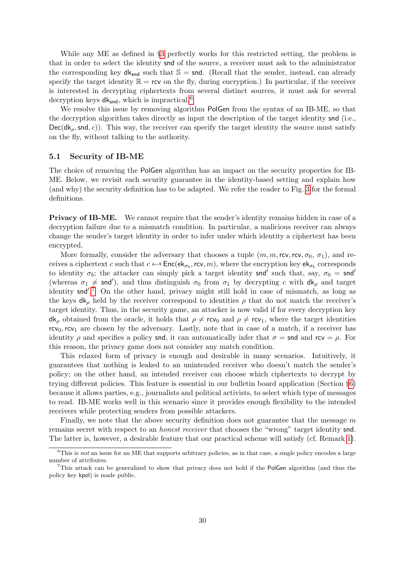While any ME as defined in §[3](#page-15-2) perfectly works for this restricted setting, the problem is that in order to select the identity snd of the source, a receiver must ask to the administrator the corresponding key  $dk_{\text{snd}}$  such that  $\mathbb{S} = \text{snd}$ . (Recall that the sender, instead, can already specify the target identity  $\mathbb{R} = \text{rcv}$  on the fly, during encryption.) In particular, if the receiver is interested in decrypting ciphertexts from several distinct sources, it must ask for several decryption keys  $dk_{\text{snd}}$ , which is impractical.<sup>[6](#page-30-0)</sup>

We resolve this issue by removing algorithm PolGen from the syntax of an IB-ME, so that the decryption algorithm takes directly as input the description of the target identity snd (i.e.,  $Dec(dk_{\rho}, \text{snd}, c)$ . This way, the receiver can specify the target identity the source must satisfy on the fly, without talking to the authority.

#### <span id="page-30-2"></span>5.1 Security of IB-ME

The choice of removing the PolGen algorithm has an impact on the security properties for IB-ME. Below, we revisit each security guarantee in the identity-based setting and explain how (and why) the security definition has to be adapted. We refer the reader to Fig. [3](#page-31-0) for the formal definitions.

Privacy of IB-ME. We cannot require that the sender's identity remains hidden in case of a decryption failure due to a mismatch condition. In particular, a malicious receiver can always change the sender's target identity in order to infer under which identity a ciphertext has been encrypted.

More formally, consider the adversary that chooses a tuple  $(m, m, \text{rcv}, \text{rcv}, \sigma_0, \sigma_1)$ , and receives a ciphertext c such that  $c \leftarrow s \text{Enc}(\text{ek}_{\sigma_b}, \text{rcv}, m)$ , where the encryption key  $\text{ek}_{\sigma_b}$  corresponds to identity  $\sigma_b$ ; the attacker can simply pick a target identity snd' such that, say,  $\sigma_0 = \text{snd}'$ (whereas  $\sigma_1 \neq \text{snd}'$ ), and thus distinguish  $\sigma_0$  from  $\sigma_1$  by decrypting c with  $d\mathsf{k}_{\rho}$  and target identity  $\mathsf{snd}^7$  $\mathsf{snd}^7$  On the other hand, privacy might still hold in case of mismatch, as long as the keys dk<sub>o</sub> held by the receiver correspond to identities  $\rho$  that do not match the receiver's target identity. Thus, in the security game, an attacker is now valid if for every decryption key  $d\mathsf{k}_{\rho}$  obtained from the oracle, it holds that  $\rho \neq \mathsf{rcv}_0$  and  $\rho \neq \mathsf{rcv}_1$ , where the target identities  $rcv_0,rcv_1$  are chosen by the adversary. Lastly, note that in case of a match, if a receiver has identity  $\rho$  and specifies a policy snd, it can automatically infer that  $\sigma = \text{snd}$  and  $\text{rcv} = \rho$ . For this reason, the privacy game does not consider any match condition.

This relaxed form of privacy is enough and desirable in many scenarios. Intuitively, it guarantees that nothing is leaked to an unintended receiver who doesn't match the sender's policy; on the other hand, an intended receiver can choose which ciphertexts to decrypt by trying different policies. This feature is essential in our bulletin board application (Section §[6\)](#page-37-0) because it allows parties, e.g., journalists and political activists, to select which type of messages to read. IB-ME works well in this scenario since it provides enough flexibility to the intended receivers while protecting senders from possible attackers.

Finally, we note that the above security definition does not guarantee that the message  $m$ remains secret with respect to an honest receiver that chooses the "wrong" target identity snd. The latter is, however, a desirable feature that our practical scheme will satisfy (cf. Remark [1\)](#page-33-0).

<span id="page-30-0"></span> $6$ This is not an issue for an ME that supports arbitrary policies, as in that case, a single policy encodes a large number of attributes.

<span id="page-30-1"></span><sup>&</sup>lt;sup>7</sup>This attack can be generalized to show that privacy does not hold if the PolGen algorithm (and thus the policy key kpol) is made public.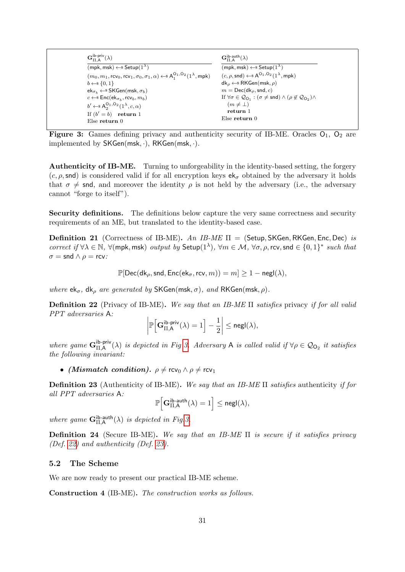<span id="page-31-0"></span>

| ${\bf G}^{\rm ib-priv}_{\Pi,A}(\lambda)$                                                                                                         | $\mathbf{G}_{\text{II A}}^{\text{ib-auth}}(\lambda)$                                                                |
|--------------------------------------------------------------------------------------------------------------------------------------------------|---------------------------------------------------------------------------------------------------------------------|
| $(mpk, msk) \leftarrow$ Setup $(1^{\lambda})$                                                                                                    | $(mpk, msk) \leftarrow$ Setup $(1^{\lambda})$                                                                       |
| $(m_0, m_1, \text{rcv}_0, \text{rcv}_1, \sigma_0, \sigma_1, \alpha) \leftarrow \text{A}_1^{\mathsf{O}_1, \mathsf{O}_2}(1^{\lambda}, \text{mpk})$ | $(c, \rho, \text{snd}) \leftarrow \text{A}^{O_1, O_2}(1^{\lambda}, \text{mpk})$                                     |
| $b \leftarrow \{0, 1\}$                                                                                                                          | $dk_{\rho} \leftarrow$ RKGen(msk, $\rho$ )                                                                          |
| $ek_{\sigma_k} \leftarrow$ SKGen(msk, $\sigma_b$ )                                                                                               | $m = \mathsf{Dec}(\mathsf{dk}_{\rho}, \mathsf{snd}, c)$                                                             |
| $c \leftarrow$ Enc(ek <sub><math>\sigma_h</math></sub> , rcv <sub>b</sub> , $m_b$ )                                                              | If $\forall \sigma \in \mathcal{Q}_{O_1} : (\sigma \neq \mathsf{snd}) \land (\rho \not\in \mathcal{Q}_{O_2}) \land$ |
| $b' \leftarrow \mathsf{A}_{2}^{0} \mathsf{A}_{2}^{0} (1^{\lambda}, c, \alpha)$                                                                   | $(m \neq \perp)$                                                                                                    |
| If $(b' = b)$ return 1                                                                                                                           | return 1                                                                                                            |
| Else return $0$                                                                                                                                  | $E$ lse return 0                                                                                                    |

Figure 3: Games defining privacy and authenticity security of IB-ME. Oracles  $O_1$ ,  $O_2$  are implemented by SKGen(msk, ·), RKGen(msk, ·).

Authenticity of IB-ME. Turning to unforgeability in the identity-based setting, the forgery  $(c, \rho, \text{snd})$  is considered valid if for all encryption keys  $ek_{\sigma}$  obtained by the adversary it holds that  $\sigma \neq$  snd, and moreover the identity  $\rho$  is not held by the adversary (i.e., the adversary cannot "forge to itself").

Security definitions. The definitions below capture the very same correctness and security requirements of an ME, but translated to the identity-based case.

**Definition 21** (Correctness of IB-ME). An IB-ME  $\Pi$  = (Setup, SKGen, RKGen, Enc, Dec) is correct if  $\forall \lambda \in \mathbb{N}$ ,  $\forall$ (mpk, msk) output by Setup(1<sup> $\lambda$ </sup>),  $\forall m \in \mathcal{M}$ ,  $\forall \sigma, \rho$ , rcv, snd  $\in \{0, 1\}^*$  such that  $\sigma = \text{snd} \land \rho = \text{rcv}$ :

 $\mathbb{P}[\text{Dec}(\text{dk}_o, \text{snd}, \text{Enc}(\text{ek}_o, \text{rcv}, m)) = m] > 1 - \text{negl}(\lambda),$ 

where  $ek_{\sigma}$ , dk<sub>ρ</sub> are generated by SKGen(msk,  $\sigma$ ), and RKGen(msk,  $\rho$ ).

<span id="page-31-1"></span>Definition 22 (Privacy of IB-ME). We say that an IB-ME Π satisfies privacy if for all valid PPT adversaries A:

$$
\left| \mathbb{P}\!\left[\mathbf{G}_{\Pi,\mathsf{A}}^{\mathsf{ib-priv}}(\lambda) = 1 \right] - \frac{1}{2} \right| \leq \mathsf{negl}(\lambda),
$$

where game  $\mathbf{G}_{\Pi}^{\text{ib-priv}}$  $\lim_{\Pi,A} (\lambda)$  is depicted in Fig [3.](#page-31-0) Adversary A is called valid if  $\forall \rho \in \mathcal{Q}_{O_2}$  it satisfies the following invariant:

• (Mismatch condition).  $\rho \neq rcv_0 \wedge \rho \neq rcv_1$ 

<span id="page-31-2"></span>Definition 23 (Authenticity of IB-ME). We say that an IB-ME Π satisfies authenticity if for all PPT adversaries A:

$$
\mathbb{P}\Big[\mathbf{G}_{\Pi,\mathsf{A}}^{\mathsf{ib}\text{-}\mathsf{auth}}(\lambda)=1\Big]\leq \mathsf{negl}(\lambda),
$$

where game  $\mathbf{G}_{\Pi,\mathsf{A}}^{\mathsf{ib}\text{-}\mathsf{auth}}(\lambda)$  is depicted in Fig[.3.](#page-31-0)

<span id="page-31-4"></span>**Definition 24** (Secure IB-ME). We say that an IB-ME  $\Pi$  is secure if it satisfies privacy (Def. [22\)](#page-31-1) and authenticity (Def. [23\)](#page-31-2).

### 5.2 The Scheme

We are now ready to present our practical IB-ME scheme.

<span id="page-31-3"></span>Construction 4 (IB-ME). The construction works as follows.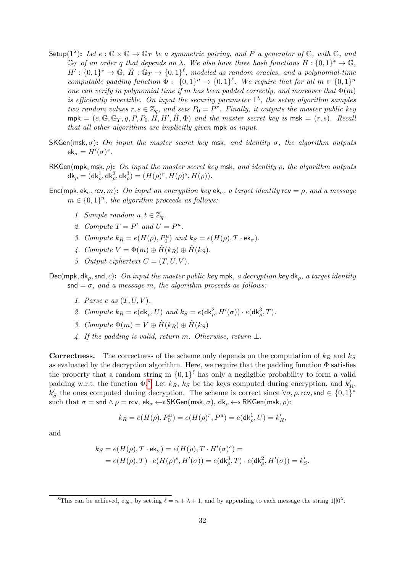- Setup( $1^{\lambda}$ ): Let  $e : \mathbb{G} \times \mathbb{G} \to \mathbb{G}_T$  be a symmetric pairing, and P a generator of  $\mathbb{G}$ , with  $\mathbb{G}$ , and  $\mathbb{G}_T$  of an order q that depends on  $\lambda$ . We also have three hash functions  $H: \{0,1\}^* \to \mathbb{G}$ ,  $H' : \{0,1\}^* \to \mathbb{G}, \hat{H} : \mathbb{G}_T \to \{0,1\}^{\ell}, \text{ modeled as random oracles, and a polynomial-time}$ computable padding function  $\Phi: \{0,1\}^n \to \{0,1\}^{\ell}$ . We require that for all  $m \in \{0,1\}^n$ one can verify in polynomial time if m has been padded correctly, and moreover that  $\Phi(m)$ is efficiently invertible. On input the security parameter  $1^{\lambda}$ , the setup algorithm samples two random values  $r, s \in \mathbb{Z}_q$ , and sets  $P_0 = P^r$ . Finally, it outputs the master public key  $mpk = (e, \mathbb{G}, \mathbb{G}_T, q, P, P_0, H, H', \hat{H}, \Phi)$  and the master secret key is  $msk = (r, s)$ . Recall that all other algorithms are implicitly given mpk as input.
- SKGen(msk,  $\sigma$ ): On input the master secret key msk, and identity  $\sigma$ , the algorithm outputs  $ek_{\sigma} = H'(\sigma)^s.$
- RKGen(mpk, msk,  $\rho$ ): On input the master secret key msk, and identity  $\rho$ , the algorithm outputs  $\mathsf{d} \mathsf{k}_\rho = (\mathsf{d} \mathsf{k}_\rho^1, \mathsf{d} \mathsf{k}_\rho^2, \mathsf{d} \mathsf{k}_\rho^3) = (H(\rho)^r, H(\rho)^s, H(\rho)).$
- Enc(mpk, ek<sub>σ</sub>, rcv, m): On input an encryption key ek<sub>σ</sub>, a target identity rcv =  $\rho$ , and a message  $m \in \{0,1\}^n$ , the algorithm proceeds as follows:
	- 1. Sample random  $u, t \in \mathbb{Z}_q$ .
	- 2. Compute  $T = P^t$  and  $U = P^u$ .
	- 3. Compute  $k_R = e(H(\rho), P_0^u)$  and  $k_S = e(H(\rho), T \cdot \mathsf{ek}_{\sigma})$ .
	- 4. Compute  $V = \Phi(m) \oplus \hat{H}(k_B) \oplus \hat{H}(k_S)$ .
	- 5. Output ciphertext  $C = (T, U, V)$ .
- Dec(mpk,  $dk_{\rho}$ , snd, c): On input the master public key mpk, a decryption key  $dk_{\rho}$ , a target identity  $\mathsf{snd} = \sigma$ , and a message m, the algorithm proceeds as follows:
	- 1. Parse c as  $(T, U, V)$ .
	- 2. Compute  $k_R = e(\mathsf{d}\mathsf{k}^1_\rho, U)$  and  $k_S = e(\mathsf{d}\mathsf{k}^2_\rho, H'(\sigma)) \cdot e(\mathsf{d}\mathsf{k}^3_\rho, T)$ .
	- 3. Compute  $\Phi(m) = V \oplus \hat{H}(k_B) \oplus \hat{H}(k_S)$
	- 4. If the padding is valid, return m. Otherwise, return  $\perp$ .

**Correctness.** The correctness of the scheme only depends on the computation of  $k_R$  and  $k_S$ as evaluated by the decryption algorithm. Here, we require that the padding function  $\Phi$  satisfies the property that a random string in  $\{0,1\}^{\ell}$  has only a negligible probability to form a valid padding w.r.t. the function  $\Phi$ .<sup>[8](#page-32-0)</sup> Let  $k_R$ ,  $k_S$  be the keys computed during encryption, and  $k'_R$ ,  $k'_{S}$  the ones computed during decryption. The scheme is correct since  $\forall \sigma, \rho$ , rcv, snd  $\in \{0,1\}^*$ such that  $\sigma = \mathsf{snd} \land \rho = \mathsf{rcv}, \mathsf{ek}_{\sigma} \leftarrow \mathsf{s} \mathsf{SKGen}(\mathsf{msk}, \sigma), \mathsf{dk}_{\rho} \leftarrow \mathsf{s} \mathsf{RKGen}(\mathsf{msk}, \rho)$ :

$$
k_R = e(H(\rho), P_0^u) = e(H(\rho)^r, P^u) = e(\mathsf{d}\mathsf{k}^1_\rho, U) = k'_R,
$$

and

$$
k_S = e(H(\rho), T \cdot \mathsf{ek}_{\sigma}) = e(H(\rho), T \cdot H'(\sigma)^s) =
$$
  
=  $e(H(\rho), T) \cdot e(H(\rho)^s, H'(\sigma)) = e(\mathsf{dk}_{\rho}^3, T) \cdot e(\mathsf{dk}_{\rho}^2, H'(\sigma)) = k'_S.$ 

<span id="page-32-0"></span><sup>&</sup>lt;sup>8</sup>This can be achieved, e.g., by setting  $\ell = n + \lambda + 1$ , and by appending to each message the string  $1||0^{\lambda}$ .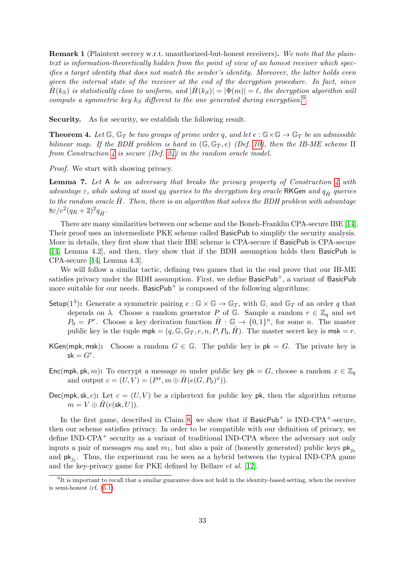<span id="page-33-0"></span>**Remark 1** (Plaintext secrecy w.r.t. unauthorized-but-honest receivers). We note that the plaintext is information-theoretically hidden from the point of view of an honest receiver which specifies a target identity that does not match the sender's identity. Moreover, the latter holds even given the internal state of the receiver at the end of the decryption procedure. In fact, since  $H(k_S)$  is statistically close to uniform, and  $|H(k_S)| = |\Phi(m)| = \ell$ , the decryption algorithm will compute a symmetric key  $k<sub>S</sub>$  different to the one generated during encryption.<sup>[9](#page-33-1)</sup>

Security. As for security, we establish the following result.

**Theorem 4.** Let  $\mathbb{G}$ ,  $\mathbb{G}_T$  be two groups of prime order q, and let  $e : \mathbb{G} \times \mathbb{G} \to \mathbb{G}_T$  be an admissible bilinear map. If the BDH problem is hard in  $(\mathbb{G}, \mathbb{G}_T, e)$  (Def. [10\)](#page-14-1), then the IB-ME scheme  $\Pi$ from Construction [4](#page-31-3) is secure (Def. [24\)](#page-31-4) in the random oracle model.

Proof. We start with showing privacy.

<span id="page-33-2"></span>**Lemma 7.** Let A be an adversary that breaks the privacy property of Construction  $\ddot{A}$  with advantage  $\varepsilon$ , while asking at most  $q_R$  queries to the decryption key oracle RKGen and  $q_{\hat{H}}$  queries to the random oracle  $\hat{H}$ . Then, there is an algorithm that solves the BDH problem with advantage  $8\varepsilon/e^2(q_R+2)^2q_{\hat{H}}$ .

There are many similarities between our scheme and the Boneh-Franklin CPA-secure IBE [\[14\]](#page-41-5). Their proof uses an intermediate PKE scheme called BasicPub to simplify the security analysis. More in details, they first show that their IBE scheme is CPA-secure if BasicPub is CPA-secure [\[14,](#page-41-5) Lemma 4.2], and then, they show that if the BDH assumption holds then BasicPub is CPA-secure [\[14,](#page-41-5) Lemma 4.3].

We will follow a similar tactic, defining two games that in the end prove that our IB-ME satisfies privacy under the BDH assumption. First, we define  $BasicPub<sup>+</sup>$ , a variant of BasicPub more suitable for our needs.  $\textsf{BasicPub}^+$  is composed of the following algorithms:

- Setup(1<sup> $\lambda$ </sup>): Generate a symmetric pairing  $e : \mathbb{G} \times \mathbb{G} \to \mathbb{G}_T$ , with  $\mathbb{G}$ , and  $\mathbb{G}_T$  of an order q that depends on  $\lambda$ . Choose a random generator P of G. Sample a random  $r \in \mathbb{Z}_q$  and set  $P_0 = P^r$ . Choose a key derivation function  $\hat{H}: \mathbb{G} \to \{0,1\}^n$ , for some n. The master public key is the tuple  $mpk = (q, \mathbb{G}, \mathbb{G}_T, e, n, P, P_0, \hat{H})$ . The master secret key is  $msk = r$ .
- KGen(mpk, msk): Choose a random  $G \in \mathbb{G}$ . The public key is pk = G. The private key is  $sk = G<sup>r</sup>$ .
- Enc(mpk, pk, m): To encrypt a message m under public key  $pk = G$ , choose a random  $x \in \mathbb{Z}_q$ and output  $c = (U, V) = (P^x, m \oplus \hat{H}(e(G, P_0)^x)).$
- Dec(mpk, sk, c): Let  $c = (U, V)$  be a ciphertext for public key pk, then the algorithm returns  $m = V \oplus \tilde{H}(e(\mathsf{sk}, U)).$

In the first game, described in Claim [8,](#page-34-0) we show that if  $BasicPub<sup>+</sup>$  is  $IND-CPA<sup>+</sup>$ -secure, then our scheme satisfies privacy. In order to be compatible with our definition of privacy, we define IND-CPA<sup>+</sup> security as a variant of traditional IND-CPA where the adversary not only inputs a pair of messages  $m_0$  and  $m_1$ , but also a pair of (honestly generated) public keys  $\mathsf{pk}_{j_0}$ and  $pk_{j_1}$ . Thus, the experiment can be seen as a hybrid between the typical IND-CPA game and the key-privacy game for PKE defined by Bellare et al. [\[12\]](#page-41-13).

<span id="page-33-1"></span><sup>9</sup> It is important to recall that a similar guarantee does not hold in the identity-based setting, when the receiver is semi-honest (cf. §[5.1\)](#page-30-2).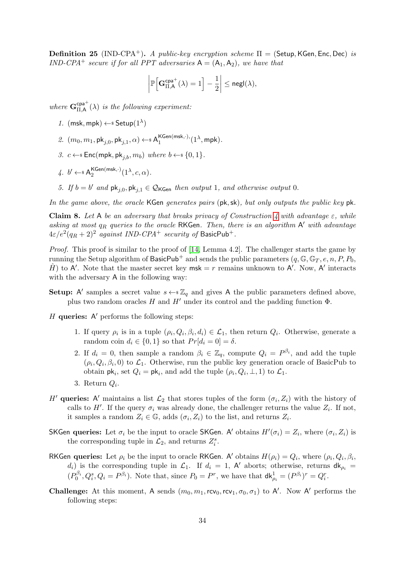**Definition 25** (IND-CPA<sup>+</sup>). A public-key encryption scheme  $\Pi =$  (Setup, KGen, Enc, Dec) is IND-CPA<sup>+</sup> secure if for all PPT adversaries  $A = (A_1, A_2)$ , we have that

$$
\left| \mathbb{P}\!\left[\mathbf{G}_{\Pi,\mathsf{A}}^{\mathsf{cpa}^+}(\lambda) = 1 \right] - \frac{1}{2} \right| \leq \mathsf{negl}(\lambda),
$$

where  $\mathbf{G}_{\Pi \ \mathbf{A}}^{\mathsf{cpa}^+}$  $T_{\text{II},\text{A}}^{G\text{pa}}(\lambda)$  is the following experiment:

- 1. (msk, mpk)  $\leftarrow$  Setup $(1^{\lambda})$
- 2.  $(m_0, m_1, \mathsf{pk}_{j,0}, \mathsf{pk}_{j,1}, \alpha) \leftarrow \mathsf{s} \mathsf{A}_1^{\mathsf{KGen}(\mathsf{msk}, \cdot)},$  $1^{\mathsf{KGen}(\mathsf{msk},\cdot)}, (1^\lambda,\mathsf{mpk}).$
- 3.  $c \leftarrow s \text{Enc}(\text{mpk}, \text{pk}_{i,b}, m_b)$  where  $b \leftarrow s \{0, 1\}.$
- 4.  $b' \leftarrow \{\mathsf{A}_2}^{\mathsf{KGen}(\mathsf{msk},\cdot)}$  $\frac{\mathsf{KGen}(\mathsf{msk},\cdot)}{2}(1^\lambda,c,\alpha).$
- 5. If  $b = b'$  and  $pk_{j,0}$ ,  $pk_{j,1} \in Q_{KG}$  then output 1, and otherwise output 0.

In the game above, the oracle KGen generates pairs (pk, sk), but only outputs the public key pk.

<span id="page-34-0"></span>**Claim 8.** Let A be an adversary that breaks privacy of Construction [4](#page-31-3) with advantage  $\varepsilon$ , while asking at most  $q_R$  queries to the oracle RKGen. Then, there is an algorithm  $A'$  with advantage  $4\varepsilon/e^2(q_R+2)^2$  against IND-CPA<sup>+</sup> security of BasicPub<sup>+</sup>.

Proof. This proof is similar to the proof of [\[14,](#page-41-5) Lemma 4.2]. The challenger starts the game by running the Setup algorithm of BasicPub<sup>+</sup> and sends the public parameters  $(q, \mathbb{G}, \mathbb{G}_T, e, n, P, P_0,$  $\hat{H}$ ) to A'. Note that the master secret key msk = r remains unknown to A'. Now, A' interacts with the adversary A in the following way:

- **Setup:** A' samples a secret value  $s \leftarrow \mathscr{Z}_q$  and gives A the public parameters defined above, plus two random oracles H and  $H'$  under its control and the padding function  $\Phi$ .
- $H$  queries: A' performs the following steps:
	- 1. If query  $\rho_i$  is in a tuple  $(\rho_i, Q_i, \beta_i, d_i) \in \mathcal{L}_1$ , then return  $Q_i$ . Otherwise, generate a random coin  $d_i \in \{0, 1\}$  so that  $Pr[d_i = 0] = \delta$ .
	- 2. If  $d_i = 0$ , then sample a random  $\beta_i \in \mathbb{Z}_q$ , compute  $Q_i = P^{\beta_i}$ , and add the tuple  $(\rho_i, Q_i, \beta_i, 0)$  to  $\mathcal{L}_1$ . Otherwise, run the public key generation oracle of BasicPub to obtain  $\mathsf{pk}_i$ , set  $Q_i = \mathsf{pk}_i$ , and add the tuple  $(\rho_i, Q_i, \perp, 1)$  to  $\mathcal{L}_1$ .
	- 3. Return  $Q_i$ .
- H' queries: A' maintains a list  $\mathcal{L}_2$  that stores tuples of the form  $(\sigma_i, Z_i)$  with the history of calls to H'. If the query  $\sigma_i$  was already done, the challenger returns the value  $Z_i$ . If not, it samples a random  $Z_i \in \mathbb{G}$ , adds  $(\sigma_i, Z_i)$  to the list, and returns  $Z_i$ .
- SKGen queries: Let  $\sigma_i$  be the input to oracle SKGen. A' obtains  $H'(\sigma_i) = Z_i$ , where  $(\sigma_i, Z_i)$  is the corresponding tuple in  $\mathcal{L}_2$ , and returns  $Z_i^s$ .
- RKGen queries: Let  $\rho_i$  be the input to oracle RKGen. A' obtains  $H(\rho_i) = Q_i$ , where  $(\rho_i, Q_i, \beta_i, \gamma_i)$  $d_i$ ) is the corresponding tuple in  $\mathcal{L}_1$ . If  $d_i = 1$ , A' aborts; otherwise, returns  $d\mathsf{k}_{\rho_i} =$  $(P_0^{\beta_i}, Q_i^s, Q_i = P^{\beta_i})$ . Note that, since  $P_0 = P^r$ , we have that  $d\mathsf{k}_{\rho_i}^1 = (P^{\beta_i})^r = Q_i^r$ .
- **Challenge:** At this moment, A sends  $(m_0, m_1, rcv_0, rcv_1, \sigma_0, \sigma_1)$  to A'. Now A' performs the following steps: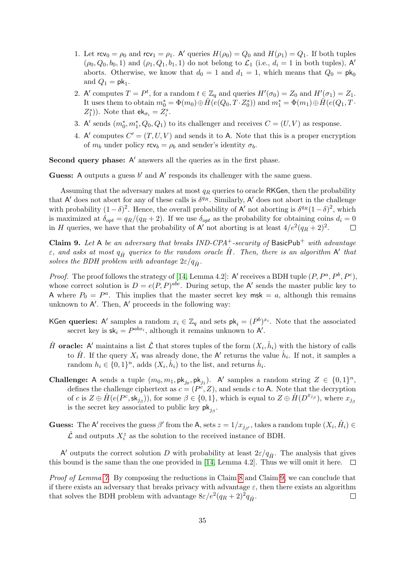- 1. Let  $rcv_0 = \rho_0$  and  $rcv_1 = \rho_1$ . A' queries  $H(\rho_0) = Q_0$  and  $H(\rho_1) = Q_1$ . If both tuples  $(\rho_0, Q_0, b_0, 1)$  and  $(\rho_1, Q_1, b_1, 1)$  do not belong to  $\mathcal{L}_1$  (i.e.,  $d_i = 1$  in both tuples), A aborts. Otherwise, we know that  $d_0 = 1$  and  $d_1 = 1$ , which means that  $Q_0 = pk_0$ and  $Q_1 = \mathsf{pk}_1$ .
- 2. A' computes  $T = P^t$ , for a random  $t \in \mathbb{Z}_q$  and queries  $H'(\sigma_0) = Z_0$  and  $H'(\sigma_1) = Z_1$ . It uses them to obtain  $m_0^* = \Phi(m_0) \oplus \hat{H}(e(Q_0, T \cdot Z_0^s))$  and  $m_1^* = \Phi(m_1) \oplus \hat{H}(e(Q_1, T \cdot$  $Z_1^s$ )). Note that  $ek_{\sigma_i} = Z_i^s$ .
- 3. A' sends  $(m_0^*, m_1^*, Q_0, Q_1)$  to its challenger and receives  $C = (U, V)$  as response.
- 4. A' computes  $C' = (T, U, V)$  and sends it to A. Note that this is a proper encryption of  $m_b$  under policy  $rcv_b = \rho_b$  and sender's identity  $\sigma_b$ .

Second query phase:  $A'$  answers all the queries as in the first phase.

Guess: A outputs a guess  $b'$  and  $A'$  responds its challenger with the same guess.

Assuming that the adversary makes at most  $q_R$  queries to oracle RKGen, then the probability that A' does not abort for any of these calls is  $\delta^{q_R}$ . Similarly, A' does not abort in the challenge with probability  $(1 - \delta)^2$ . Hence, the overall probability of A' not aborting is  $\delta^{q_R}(1 - \delta)^2$ , which is maximized at  $\delta_{opt} = q_R/(q_R + 2)$ . If we use  $\delta_{opt}$  as the probability for obtaining coins  $d_i = 0$ in H queries, we have that the probability of A' not aborting is at least  $4/e^2(q_R+2)^2$ .  $\Box$ 

<span id="page-35-0"></span>Claim 9. Let A be an adversary that breaks IND-CPA<sup>+</sup>-security of BasicPub<sup>+</sup> with advantage  $\varepsilon$ , and asks at most  $q_{\hat{H}}$  queries to the random oracle  $\hat{H}$ . Then, there is an algorithm  $\mathsf{A}'$  that solves the BDH problem with advantage  $2\varepsilon/q_{\hat{H}}$ .

*Proof.* The proof follows the strategy of [\[14,](#page-41-5) Lemma 4.2]: A' receives a BDH tuple  $(P, P^a, P^b, P^c)$ , whose correct solution is  $D = e(P, P)^{abc}$ . During setup, the A' sends the master public key to A where  $P_0 = P^a$ . This implies that the master secret key msk = a, although this remains unknown to A'. Then, A' proceeds in the following way:

- KGen queries: A' samples a random  $x_i \in \mathbb{Z}_q$  and sets  $pk_i = (P^b)^{x_i}$ . Note that the associated secret key is  $sk_i = P^{abx_i}$ , although it remains unknown to A'.
- $\hat{H}$  oracle: A' maintains a list  $\hat{\mathcal{L}}$  that stores tuples of the form  $(X_i, \hat{h}_i)$  with the history of calls to  $\hat{H}$ . If the query  $X_i$  was already done, the A' returns the value  $\hat{h}_i$ . If not, it samples a random  $h_i \in \{0, 1\}^n$ , adds  $(X_i, \hat{h}_i)$  to the list, and returns  $\hat{h}_i$ .
- **Challenge:** A sends a tuple  $(m_0, m_1, \mathsf{pk}_{j_0}, \mathsf{pk}_{j_1})$ . A' samples a random string  $Z \in \{0, 1\}^n$ , defines the challenge ciphertext as  $c = (P^c, Z)$ , and sends c to A. Note that the decryption of c is  $Z \oplus \hat{H}(e(P^c, \mathsf{sk}_{j_\beta}))$ , for some  $\beta \in \{0, 1\}$ , which is equal to  $Z \oplus \hat{H}(D^{x_{j_\beta}})$ , where  $x_{j_\beta}$ is the secret key associated to public key  $\mathsf{pk}_{j_\beta}$ .
- **Guess:** The A' receives the guess  $\beta'$  from the A, sets  $z = 1/x_{j_{\beta'}}$ , takes a random tuple  $(X_i, \hat{H}_i) \in$  $\hat{\mathcal{L}}$  and outputs  $X_i^z$  as the solution to the received instance of BDH.

A' outputs the correct solution D with probability at least  $2\varepsilon/q_{\hat{H}}$ . The analysis that gives this bound is the same than the one provided in [\[14,](#page-41-5) Lemma 4.2]. Thus we will omit it here.  $\square$ 

Proof of Lemma [7.](#page-33-2) By composing the reductions in Claim [8](#page-34-0) and Claim [9,](#page-35-0) we can conclude that if there exists an adversary that breaks privacy with advantage  $\varepsilon$ , then there exists an algorithm that solves the BDH problem with advantage  $8\varepsilon/e^2(q_R+2)^2q_{\hat{H}}$ .  $\Box$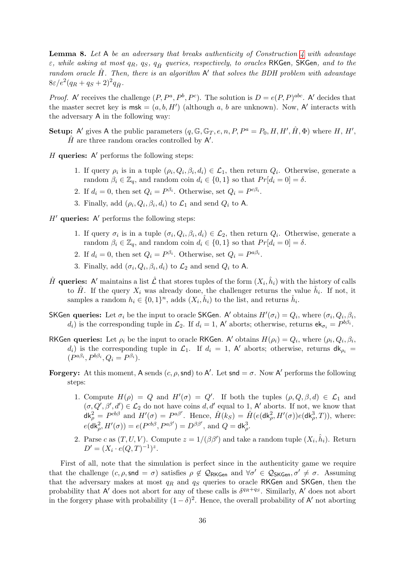<span id="page-36-0"></span>**Lemma 8.** Let A be an adversary that breaks authenticity of Construction [4](#page-31-3) with advantage ε, while asking at most  $q_R$ ,  $q_S$ ,  $q_{\hat{H}}$  queries, respectively, to oracles RKGen, SKGen, and to the random oracle  $\hat{H}$ . Then, there is an algorithm  $A'$  that solves the BDH problem with advantage  $8\varepsilon/e^2(q_R+q_S+2)^2q_{\hat{H}}$ .

*Proof.* A' receives the challenge  $(P, P^a, P^b, P^c)$ . The solution is  $D = e(P, P)^{abc}$ . A' decides that the master secret key is  $msk = (a, b, H')$  (although a, b are unknown). Now, A' interacts with the adversary A in the following way:

Setup: A' gives A the public parameters  $(q, \mathbb{G}, \mathbb{G}_T, e, n, P, P^a = P_0, H, H', \hat{H}, \Phi)$  where H, H',  $\hat{H}$  are three random oracles controlled by  $A'$ .

 $H$  queries: A' performs the following steps:

- 1. If query  $\rho_i$  is in a tuple  $(\rho_i, Q_i, \beta_i, d_i) \in \mathcal{L}_1$ , then return  $Q_i$ . Otherwise, generate a random  $\beta_i \in \mathbb{Z}_q$ , and random coin  $d_i \in \{0,1\}$  so that  $Pr[d_i = 0] = \delta$ .
- 2. If  $d_i = 0$ , then set  $Q_i = P^{\beta_i}$ . Otherwise, set  $Q_i = P^{c\beta_i}$ .
- 3. Finally, add  $(\rho_i, Q_i, \beta_i, d_i)$  to  $\mathcal{L}_1$  and send  $Q_i$  to A.

 $H'$  queries: A' performs the following steps:

- 1. If query  $\sigma_i$  is in a tuple  $(\sigma_i, Q_i, \beta_i, d_i) \in \mathcal{L}_2$ , then return  $Q_i$ . Otherwise, generate a random  $\beta_i \in \mathbb{Z}_q$ , and random coin  $d_i \in \{0,1\}$  so that  $Pr[d_i = 0] = \delta$ .
- 2. If  $d_i = 0$ , then set  $Q_i = P^{\beta_i}$ . Otherwise, set  $Q_i = P^{a\beta_i}$ .
- 3. Finally, add  $(\sigma_i, Q_i, \beta_i, d_i)$  to  $\mathcal{L}_2$  and send  $Q_i$  to A.
- $\hat{H}$  queries: A' maintains a list  $\hat{\mathcal{L}}$  that stores tuples of the form  $(X_i, \hat{h}_i)$  with the history of calls to  $\hat{H}$ . If the query  $X_i$  was already done, the challenger returns the value  $\hat{h}_i$ . If not, it samples a random  $h_i \in \{0,1\}^n$ , adds  $(X_i, \hat{h}_i)$  to the list, and returns  $\hat{h}_i$ .
- SKGen queries: Let  $\sigma_i$  be the input to oracle SKGen. A' obtains  $H'(\sigma_i) = Q_i$ , where  $(\sigma_i, Q_i, \beta_i, \sigma_i)$  $d_i$ ) is the corresponding tuple in  $\mathcal{L}_2$ . If  $d_i = 1$ , A' aborts; otherwise, returns  $\mathsf{ek}_{\sigma_i} = P^{b\beta_i}$ .
- RKGen queries: Let  $\rho_i$  be the input to oracle RKGen. A' obtains  $H(\rho_i) = Q_i$ , where  $(\rho_i, Q_i, \beta_i, \rho_j)$  $d_i$ ) is the corresponding tuple in  $\mathcal{L}_1$ . If  $d_i = 1$ , A' aborts; otherwise, returns  $d\mathsf{k}_{\rho_i} =$  $(P^{a\beta_i}, P^{b\beta_i}, Q_i = P^{\beta_i}).$
- **Forgery:** At this moment, A sends  $(c, \rho, \text{snd})$  to A'. Let snd =  $\sigma$ . Now A' performs the following steps:
	- 1. Compute  $H(\rho) = Q$  and  $H'(\sigma) = Q'$ . If both the tuples  $(\rho, Q, \beta, d) \in \mathcal{L}_1$  and  $(\sigma, Q', \beta', d') \in \mathcal{L}_2$  do not have coins d, d' equal to 1, A' aborts. If not, we know that  $dk_{\rho}^2 = P^{cb\beta}$  and  $H'(\sigma) = P^{a\beta'}$ . Hence,  $\hat{H}(k_S) = \hat{H}(e(dk_{\rho}^2, H'(\sigma))e(dk_{\rho}^3, T))$ , where:  $e(\mathsf{d}\mathsf{k}_{\rho}^2, H'(\sigma)) = e(P^{cb\beta}, P^{a\beta'}) = D^{\beta\beta'}, \text{ and } Q = \mathsf{d}\mathsf{k}_{\rho}^3.$
	- 2. Parse c as  $(T, U, V)$ . Compute  $z = 1/(\beta \beta')$  and take a random tuple  $(X_i, \hat{h}_i)$ . Return  $D' = (X_i \cdot e(Q, T)^{-1})^z.$

First of all, note that the simulation is perfect since in the authenticity game we require that the challenge  $(c, \rho, \text{snd} = \sigma)$  satisfies  $\rho \notin \mathcal{Q}_{\text{RKGen}}$  and  $\forall \sigma' \in \mathcal{Q}_{\text{SKGen}}, \sigma' \neq \sigma$ . Assuming that the adversary makes at most  $q_R$  and  $q_S$  queries to oracle RKGen and SKGen, then the probability that A' does not abort for any of these calls is  $\delta^{q_R+q_S}$ . Similarly, A' does not abort in the forgery phase with probability  $(1 - \delta)^2$ . Hence, the overall probability of A' not aborting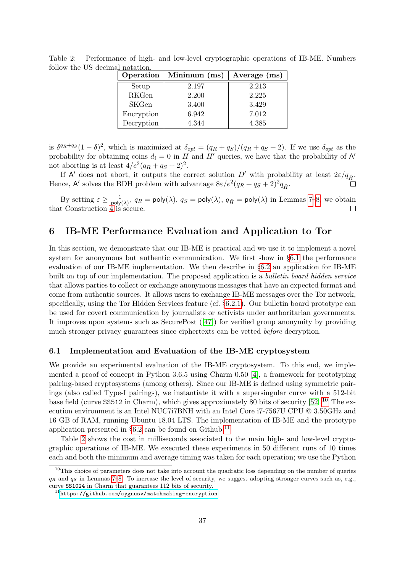| Operation    | Minimum (ms) | Average (ms) |
|--------------|--------------|--------------|
| Setup        | 2.197        | 2.213        |
| <b>RKGen</b> | 2.200        | 2.225        |
| <b>SKGen</b> | 3.400        | 3.429        |
| Encryption   | 6.942        | 7.012        |
| Decryption   | 4.344        | 4.385        |

<span id="page-37-4"></span>Table 2: Performance of high- and low-level cryptographic operations of IB-ME. Numbers follow the US decimal notation.

is  $\delta^{q_R+q_S}(1-\delta)^2$ , which is maximized at  $\delta_{opt} = (q_R+q_S)/(q_R+q_S+2)$ . If we use  $\delta_{opt}$  as the probability for obtaining coins  $d_i = 0$  in H and H' queries, we have that the probability of A' not aborting is at least  $4/e^2(q_R+q_S+2)^2$ .

If A' does not abort, it outputs the correct solution  $D'$  with probability at least  $2\varepsilon/q_{\hat{H}}$ . Hence, A' solves the BDH problem with advantage  $8\varepsilon/e^2(q_R+q_S+2)^2q_{\hat{H}}$ .

By setting  $\varepsilon \geq \frac{1}{2}$  $\frac{1}{\text{poly}(\lambda)},\, q_R=\text{poly}(\lambda),\, q_S=\text{poly}(\lambda),\, q_{\hat{H}}=\text{poly}(\lambda)$  in Lemmas [7–](#page-33-2)[8,](#page-36-0) we obtain that Construction  $\ddot{4}$  is secure.

# <span id="page-37-0"></span>6 IB-ME Performance Evaluation and Application to Tor

In this section, we demonstrate that our IB-ME is practical and we use it to implement a novel system for anonymous but authentic communication. We first show in §[6.1](#page-37-1) the performance evaluation of our IB-ME implementation. We then describe in §[6.2](#page-38-0) an application for IB-ME built on top of our implementation. The proposed application is a *bulletin board hidden service* that allows parties to collect or exchange anonymous messages that have an expected format and come from authentic sources. It allows users to exchange IB-ME messages over the Tor network, specifically, using the Tor Hidden Services feature (cf. §[6.2.1\)](#page-38-1). Our bulletin board prototype can be used for covert communication by journalists or activists under authoritarian governments. It improves upon systems such as SecurePost ([\[47\]](#page-43-0)) for verified group anonymity by providing much stronger privacy guarantees since ciphertexts can be vetted before decryption.

#### <span id="page-37-1"></span>6.1 Implementation and Evaluation of the IB-ME cryptosystem

We provide an experimental evaluation of the IB-ME cryptosystem. To this end, we implemented a proof of concept in Python 3.6.5 using Charm 0.50 [\[4\]](#page-41-14), a framework for prototyping pairing-based cryptosystems (among others). Since our IB-ME is defined using symmetric pairings (also called Type-I pairings), we instantiate it with a supersingular curve with a 512-bit base field (curve SS512 in Charm), which gives approximately 80 bits of security  $[52]$ .<sup>[10](#page-37-2)</sup> The execution environment is an Intel NUC7i7BNH with an Intel Core i7-7567U CPU @ 3.50GHz and 16 GB of RAM, running Ubuntu 18.04 LTS. The implementation of IB-ME and the prototype application presented in  $\S6.2$  $\S6.2$  can be found on Github.<sup>[11](#page-37-3)</sup>

Table [2](#page-37-4) shows the cost in milliseconds associated to the main high- and low-level cryptographic operations of IB-ME. We executed these experiments in 50 different runs of 10 times each and both the minimum and average timing was taken for each operation; we use the Python

<span id="page-37-2"></span><sup>&</sup>lt;sup>10</sup>This choice of parameters does not take into account the quadratic loss depending on the number of queries  $q_R$  and  $q_S$  in Lemmas [7](#page-33-2)[–8.](#page-36-0) To increase the level of security, we suggest adopting stronger curves such as, e.g., curve SS1024 in Charm that guarantees 112 bits of security.

<span id="page-37-3"></span> $11$ <https://github.com/cygnusv/matchmaking-encryption>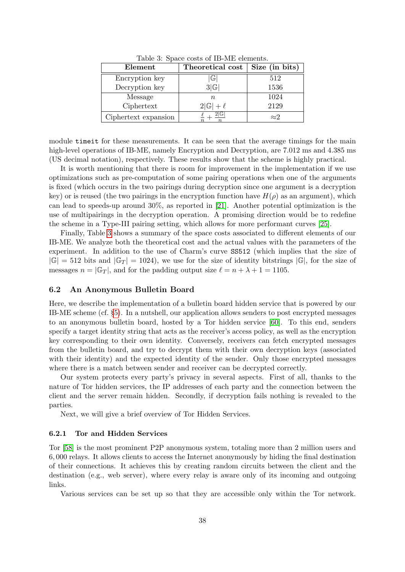| Element              | Theoretical cost     | Size (in bits) |
|----------------------|----------------------|----------------|
| Encryption key       | U                    | 512            |
| Decryption key       | $3 \mathbb{G}$       | 1536           |
| Message              | $n\,$                | 1024           |
| Ciphertext           | $2 \mathbb{G} +\ell$ | 2129           |
| Ciphertext expansion | $\angle$ G $^+$      | $\approx\!\!2$ |

<span id="page-38-2"></span>Table 3: Space costs of IB-ME elements.

module timeit for these measurements. It can be seen that the average timings for the main high-level operations of IB-ME, namely Encryption and Decryption, are 7.012 ms and 4.385 ms (US decimal notation), respectively. These results show that the scheme is highly practical.

It is worth mentioning that there is room for improvement in the implementation if we use optimizations such as pre-computation of some pairing operations when one of the arguments is fixed (which occurs in the two pairings during decryption since one argument is a decryption key) or is reused (the two pairings in the encryption function have  $H(\rho)$  as an argument), which can lead to speeds-up around 30%, as reported in [\[21\]](#page-42-13). Another potential optimization is the use of multipairings in the decryption operation. A promising direction would be to redefine the scheme in a Type-III pairing setting, which allows for more performant curves [\[25\]](#page-42-14).

Finally, Table [3](#page-38-2) shows a summary of the space costs associated to different elements of our IB-ME. We analyze both the theoretical cost and the actual values with the parameters of the experiment. In addition to the use of Charm's curve SS512 (which implies that the size of  $|\mathbb{G}| = 512$  bits and  $|\mathbb{G}_T| = 1024$ , we use for the size of identity bitstrings  $|\mathbb{G}|$ , for the size of messages  $n = |\mathbb{G}_T|$ , and for the padding output size  $\ell = n + \lambda + 1 = 1105$ .

### <span id="page-38-0"></span>6.2 An Anonymous Bulletin Board

Here, we describe the implementation of a bulletin board hidden service that is powered by our IB-ME scheme (cf. §[5\)](#page-29-0). In a nutshell, our application allows senders to post encrypted messages to an anonymous bulletin board, hosted by a Tor hidden service [\[60\]](#page-44-16). To this end, senders specify a target identity string that acts as the receiver's access policy, as well as the encryption key corresponding to their own identity. Conversely, receivers can fetch encrypted messages from the bulletin board, and try to decrypt them with their own decryption keys (associated with their identity) and the expected identity of the sender. Only those encrypted messages where there is a match between sender and receiver can be decrypted correctly.

Our system protects every party's privacy in several aspects. First of all, thanks to the nature of Tor hidden services, the IP addresses of each party and the connection between the client and the server remain hidden. Secondly, if decryption fails nothing is revealed to the parties.

Next, we will give a brief overview of Tor Hidden Services.

### <span id="page-38-1"></span>6.2.1 Tor and Hidden Services

Tor [\[58\]](#page-44-0) is the most prominent P2P anonymous system, totaling more than 2 million users and 6, 000 relays. It allows clients to access the Internet anonymously by hiding the final destination of their connections. It achieves this by creating random circuits between the client and the destination (e.g., web server), where every relay is aware only of its incoming and outgoing links.

Various services can be set up so that they are accessible only within the Tor network.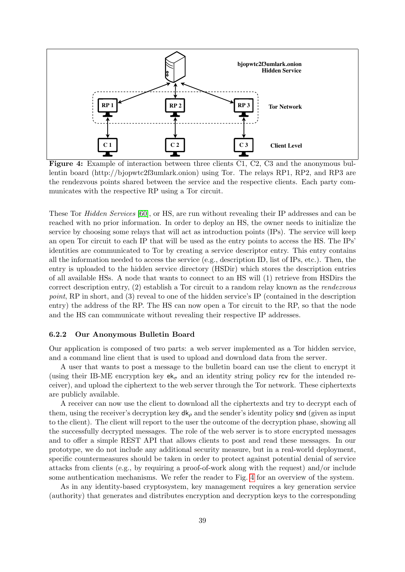<span id="page-39-0"></span>

Figure 4: Example of interaction between three clients C1, C2, C3 and the anonymous bullentin board (http://bjopwtc2f3umlark.onion) using Tor. The relays RP1, RP2, and RP3 are the rendezvous points shared between the service and the respective clients. Each party communicates with the respective RP using a Tor circuit.

These Tor Hidden Services [\[60\]](#page-44-16), or HS, are run without revealing their IP addresses and can be reached with no prior information. In order to deploy an HS, the owner needs to initialize the service by choosing some relays that will act as introduction points (IPs). The service will keep an open Tor circuit to each IP that will be used as the entry points to access the HS. The IPs' identities are communicated to Tor by creating a service descriptor entry. This entry contains all the information needed to access the service (e.g., description ID, list of IPs, etc.). Then, the entry is uploaded to the hidden service directory (HSDir) which stores the description entries of all available HSs. A node that wants to connect to an HS will (1) retrieve from HSDirs the correct description entry, (2) establish a Tor circuit to a random relay known as the rendezvous point, RP in short, and (3) reveal to one of the hidden service's IP (contained in the description entry) the address of the RP. The HS can now open a Tor circuit to the RP, so that the node and the HS can communicate without revealing their respective IP addresses.

#### 6.2.2 Our Anonymous Bulletin Board

Our application is composed of two parts: a web server implemented as a Tor hidden service, and a command line client that is used to upload and download data from the server.

A user that wants to post a message to the bulletin board can use the client to encrypt it (using their IB-ME encryption key  $ek_{\sigma}$  and an identity string policy rcv for the intended receiver), and upload the ciphertext to the web server through the Tor network. These ciphertexts are publicly available.

A receiver can now use the client to download all the ciphertexts and try to decrypt each of them, using the receiver's decryption key  $d\mathbf{k}_{\rho}$  and the sender's identity policy snd (given as input to the client). The client will report to the user the outcome of the decryption phase, showing all the successfully decrypted messages. The role of the web server is to store encrypted messages and to offer a simple REST API that allows clients to post and read these messages. In our prototype, we do not include any additional security measure, but in a real-world deployment, specific countermeasures should be taken in order to protect against potential denial of service attacks from clients (e.g., by requiring a proof-of-work along with the request) and/or include some authentication mechanisms. We refer the reader to Fig. [4](#page-39-0) for an overview of the system.

As in any identity-based cryptosystem, key management requires a key generation service (authority) that generates and distributes encryption and decryption keys to the corresponding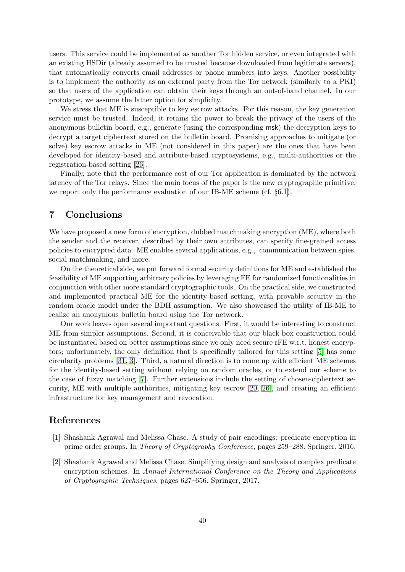users. This service could be implemented as another Tor hidden service, or even integrated with an existing HSDir (already assumed to be trusted because downloaded from legitimate servers), that automatically converts email addresses or phone numbers into keys. Another possibility is to implement the authority as an external party from the Tor network (similarly to a PKI) so that users of the application can obtain their keys through an out-of-band channel. In our prototype, we assume the latter option for simplicity.

We stress that ME is susceptible to key escrow attacks. For this reason, the key generation service must be trusted. Indeed, it retains the power to break the privacy of the users of the anonymous bulletin board, e.g., generate (using the corresponding msk) the decryption keys to decrypt a target ciphertext stored on the bulletin board. Promising approaches to mitigate (or solve) key escrow attacks in ME (not considered in this paper) are the ones that have been developed for identity-based and attribute-based cryptosystems, e.g., multi-authorities or the registration-based setting [\[26\]](#page-42-15).

Finally, note that the performance cost of our Tor application is dominated by the network latency of the Tor relays. Since the main focus of the paper is the new cryptographic primitive, we report only the performance evaluation of our IB-ME scheme (cf. §[6.1\)](#page-37-1).

# 7 Conclusions

We have proposed a new form of encryption, dubbed matchmaking encryption (ME), where both the sender and the receiver, described by their own attributes, can specify fine-grained access policies to encrypted data. ME enables several applications, e.g., communication between spies, social matchmaking, and more.

On the theoretical side, we put forward formal security definitions for ME and established the feasibility of ME supporting arbitrary policies by leveraging FE for randomized functionalities in conjunction with other more standard cryptographic tools. On the practical side, we constructed and implemented practical ME for the identity-based setting, with provable security in the random oracle model under the BDH assumption. We also showcased the utility of IB-ME to realize an anonymous bulletin board using the Tor network.

Our work leaves open several important questions. First, it would be interesting to construct ME from simpler assumptions. Second, it is conceivable that our black-box construction could be instantiated based on better assumptions since we only need secure rFE w.r.t. honest encryptors; unfortunately, the only definition that is specifically tailored for this setting [\[5\]](#page-41-15) has some circularity problems [\[31,](#page-42-12) [3\]](#page-41-2). Third, a natural direction is to come up with efficient ME schemes for the identity-based setting without relying on random oracles, or to extend our scheme to the case of fuzzy matching [\[7\]](#page-41-1). Further extensions include the setting of chosen-ciphertext security, ME with multiple authorities, mitigating key escrow [\[20,](#page-42-16) [26\]](#page-42-15), and creating an efficient infrastructure for key management and revocation.

# References

- <span id="page-40-1"></span>[1] Shashank Agrawal and Melissa Chase. A study of pair encodings: predicate encryption in prime order groups. In Theory of Cryptography Conference, pages 259–288. Springer, 2016.
- <span id="page-40-0"></span>[2] Shashank Agrawal and Melissa Chase. Simplifying design and analysis of complex predicate encryption schemes. In Annual International Conference on the Theory and Applications of Cryptographic Techniques, pages 627–656. Springer, 2017.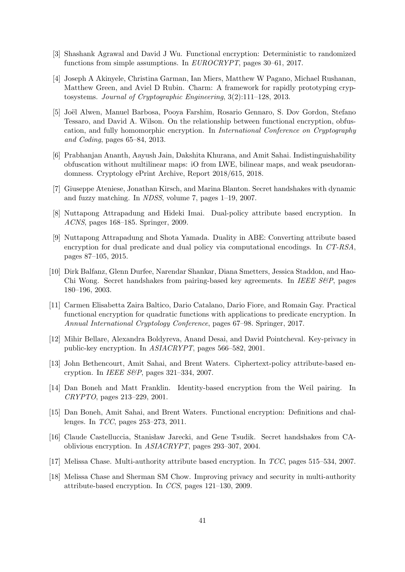- <span id="page-41-2"></span>[3] Shashank Agrawal and David J Wu. Functional encryption: Deterministic to randomized functions from simple assumptions. In EUROCRYPT, pages 30–61, 2017.
- <span id="page-41-14"></span>[4] Joseph A Akinyele, Christina Garman, Ian Miers, Matthew W Pagano, Michael Rushanan, Matthew Green, and Aviel D Rubin. Charm: A framework for rapidly prototyping cryptosystems. Journal of Cryptographic Engineering, 3(2):111–128, 2013.
- <span id="page-41-15"></span>[5] Joël Alwen, Manuel Barbosa, Pooya Farshim, Rosario Gennaro, S. Dov Gordon, Stefano Tessaro, and David A. Wilson. On the relationship between functional encryption, obfuscation, and fully homomorphic encryption. In International Conference on Cryptography and Coding, pages 65–84, 2013.
- <span id="page-41-3"></span>[6] Prabhanjan Ananth, Aayush Jain, Dakshita Khurana, and Amit Sahai. Indistinguishability obfuscation without multilinear maps: iO from LWE, bilinear maps, and weak pseudorandomness. Cryptology ePrint Archive, Report 2018/615, 2018.
- <span id="page-41-1"></span>[7] Giuseppe Ateniese, Jonathan Kirsch, and Marina Blanton. Secret handshakes with dynamic and fuzzy matching. In NDSS, volume 7, pages 1–19, 2007.
- <span id="page-41-11"></span>[8] Nuttapong Attrapadung and Hideki Imai. Dual-policy attribute based encryption. In ACNS, pages 168–185. Springer, 2009.
- <span id="page-41-10"></span>[9] Nuttapong Attrapadung and Shota Yamada. Duality in ABE: Converting attribute based encryption for dual predicate and dual policy via computational encodings. In CT-RSA, pages 87–105, 2015.
- <span id="page-41-0"></span>[10] Dirk Balfanz, Glenn Durfee, Narendar Shankar, Diana Smetters, Jessica Staddon, and Hao-Chi Wong. Secret handshakes from pairing-based key agreements. In IEEE  $S\&P$ , pages 180–196, 2003.
- <span id="page-41-12"></span>[11] Carmen Elisabetta Zaira Baltico, Dario Catalano, Dario Fiore, and Romain Gay. Practical functional encryption for quadratic functions with applications to predicate encryption. In Annual International Cryptology Conference, pages 67–98. Springer, 2017.
- <span id="page-41-13"></span>[12] Mihir Bellare, Alexandra Boldyreva, Anand Desai, and David Pointcheval. Key-privacy in public-key encryption. In ASIACRYPT, pages 566–582, 2001.
- <span id="page-41-7"></span>[13] John Bethencourt, Amit Sahai, and Brent Waters. Ciphertext-policy attribute-based encryption. In IEEE S&P, pages 321–334, 2007.
- <span id="page-41-5"></span>[14] Dan Boneh and Matt Franklin. Identity-based encryption from the Weil pairing. In CRYPTO, pages 213–229, 2001.
- <span id="page-41-4"></span>[15] Dan Boneh, Amit Sahai, and Brent Waters. Functional encryption: Definitions and challenges. In TCC, pages 253–273, 2011.
- <span id="page-41-6"></span>[16] Claude Castelluccia, Stanisław Jarecki, and Gene Tsudik. Secret handshakes from CAoblivious encryption. In ASIACRYPT, pages 293–307, 2004.
- <span id="page-41-8"></span>[17] Melissa Chase. Multi-authority attribute based encryption. In TCC, pages 515–534, 2007.
- <span id="page-41-9"></span>[18] Melissa Chase and Sherman SM Chow. Improving privacy and security in multi-authority attribute-based encryption. In CCS, pages 121–130, 2009.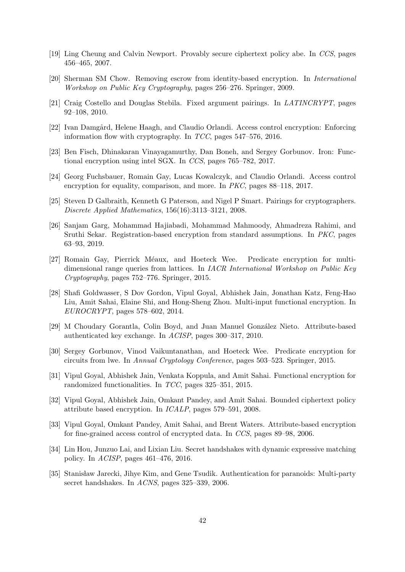- <span id="page-42-6"></span>[19] Ling Cheung and Calvin Newport. Provably secure ciphertext policy abe. In CCS, pages 456–465, 2007.
- <span id="page-42-16"></span>[20] Sherman SM Chow. Removing escrow from identity-based encryption. In International Workshop on Public Key Cryptography, pages 256–276. Springer, 2009.
- <span id="page-42-13"></span>[21] Craig Costello and Douglas Stebila. Fixed argument pairings. In LATINCRYPT, pages 92–108, 2010.
- <span id="page-42-10"></span>[22] Ivan Damgård, Helene Haagh, and Claudio Orlandi. Access control encryption: Enforcing information flow with cryptography. In TCC, pages 547–576, 2016.
- <span id="page-42-2"></span>[23] Ben Fisch, Dhinakaran Vinayagamurthy, Dan Boneh, and Sergey Gorbunov. Iron: Functional encryption using intel SGX. In CCS, pages 765–782, 2017.
- <span id="page-42-11"></span>[24] Georg Fuchsbauer, Romain Gay, Lucas Kowalczyk, and Claudio Orlandi. Access control encryption for equality, comparison, and more. In PKC, pages 88–118, 2017.
- <span id="page-42-14"></span>[25] Steven D Galbraith, Kenneth G Paterson, and Nigel P Smart. Pairings for cryptographers. Discrete Applied Mathematics, 156(16):3113–3121, 2008.
- <span id="page-42-15"></span>[26] Sanjam Garg, Mohammad Hajiabadi, Mohammad Mahmoody, Ahmadreza Rahimi, and Sruthi Sekar. Registration-based encryption from standard assumptions. In PKC, pages 63–93, 2019.
- <span id="page-42-9"></span>[27] Romain Gay, Pierrick Méaux, and Hoeteck Wee. Predicate encryption for multidimensional range queries from lattices. In IACR International Workshop on Public Key Cryptography, pages 752–776. Springer, 2015.
- <span id="page-42-1"></span>[28] Shafi Goldwasser, S Dov Gordon, Vipul Goyal, Abhishek Jain, Jonathan Katz, Feng-Hao Liu, Amit Sahai, Elaine Shi, and Hong-Sheng Zhou. Multi-input functional encryption. In EUROCRYPT, pages 578–602, 2014.
- <span id="page-42-0"></span>[29] M Choudary Gorantla, Colin Boyd, and Juan Manuel Gonz´alez Nieto. Attribute-based authenticated key exchange. In ACISP, pages 300–317, 2010.
- <span id="page-42-8"></span>[30] Sergey Gorbunov, Vinod Vaikuntanathan, and Hoeteck Wee. Predicate encryption for circuits from lwe. In Annual Cryptology Conference, pages 503–523. Springer, 2015.
- <span id="page-42-12"></span>[31] Vipul Goyal, Abhishek Jain, Venkata Koppula, and Amit Sahai. Functional encryption for randomized functionalities. In TCC, pages 325–351, 2015.
- <span id="page-42-7"></span>[32] Vipul Goyal, Abhishek Jain, Omkant Pandey, and Amit Sahai. Bounded ciphertext policy attribute based encryption. In ICALP, pages 579–591, 2008.
- <span id="page-42-3"></span>[33] Vipul Goyal, Omkant Pandey, Amit Sahai, and Brent Waters. Attribute-based encryption for fine-grained access control of encrypted data. In CCS, pages 89–98, 2006.
- <span id="page-42-4"></span>[34] Lin Hou, Junzuo Lai, and Lixian Liu. Secret handshakes with dynamic expressive matching policy. In ACISP, pages 461–476, 2016.
- <span id="page-42-5"></span>[35] Stanisław Jarecki, Jihye Kim, and Gene Tsudik. Authentication for paranoids: Multi-party secret handshakes. In ACNS, pages 325–339, 2006.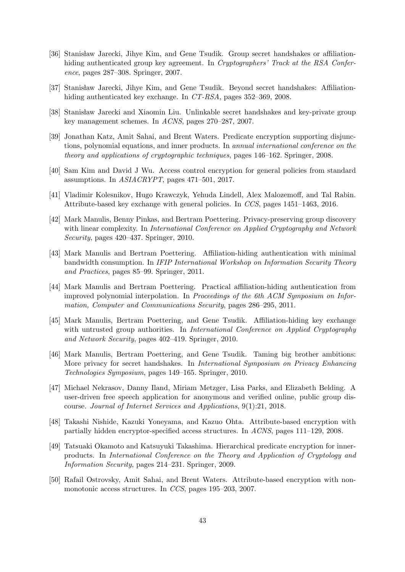- <span id="page-43-2"></span>[36] Stanisław Jarecki, Jihye Kim, and Gene Tsudik. Group secret handshakes or affiliationhiding authenticated group key agreement. In Cryptographers' Track at the RSA Conference, pages 287–308. Springer, 2007.
- <span id="page-43-1"></span>[37] Stanisław Jarecki, Jihye Kim, and Gene Tsudik. Beyond secret handshakes: Affiliationhiding authenticated key exchange. In CT-RSA, pages 352–369, 2008.
- <span id="page-43-3"></span>[38] Stanisław Jarecki and Xiaomin Liu. Unlinkable secret handshakes and key-private group key management schemes. In ACNS, pages 270–287, 2007.
- <span id="page-43-11"></span>[39] Jonathan Katz, Amit Sahai, and Brent Waters. Predicate encryption supporting disjunctions, polynomial equations, and inner products. In annual international conference on the theory and applications of cryptographic techniques, pages 146–162. Springer, 2008.
- <span id="page-43-14"></span>[40] Sam Kim and David J Wu. Access control encryption for general policies from standard assumptions. In ASIACRYPT, pages 471–501, 2017.
- <span id="page-43-13"></span>[41] Vladimir Kolesnikov, Hugo Krawczyk, Yehuda Lindell, Alex Malozemoff, and Tal Rabin. Attribute-based key exchange with general policies. In CCS, pages 1451–1463, 2016.
- <span id="page-43-7"></span>[42] Mark Manulis, Benny Pinkas, and Bertram Poettering. Privacy-preserving group discovery with linear complexity. In *International Conference on Applied Cryptography and Network* Security, pages 420–437. Springer, 2010.
- <span id="page-43-6"></span>[43] Mark Manulis and Bertram Poettering. Affiliation-hiding authentication with minimal bandwidth consumption. In IFIP International Workshop on Information Security Theory and Practices, pages 85–99. Springer, 2011.
- <span id="page-43-8"></span>[44] Mark Manulis and Bertram Poettering. Practical affiliation-hiding authentication from improved polynomial interpolation. In Proceedings of the 6th ACM Symposium on Information, Computer and Communications Security, pages 286–295, 2011.
- <span id="page-43-4"></span>[45] Mark Manulis, Bertram Poettering, and Gene Tsudik. Affiliation-hiding key exchange with untrusted group authorities. In *International Conference on Applied Cryptography* and Network Security, pages 402–419. Springer, 2010.
- <span id="page-43-5"></span>[46] Mark Manulis, Bertram Poettering, and Gene Tsudik. Taming big brother ambitions: More privacy for secret handshakes. In International Symposium on Privacy Enhancing Technologies Symposium, pages 149–165. Springer, 2010.
- <span id="page-43-0"></span>[47] Michael Nekrasov, Danny Iland, Miriam Metzger, Lisa Parks, and Elizabeth Belding. A user-driven free speech application for anonymous and verified online, public group discourse. Journal of Internet Services and Applications, 9(1):21, 2018.
- <span id="page-43-10"></span>[48] Takashi Nishide, Kazuki Yoneyama, and Kazuo Ohta. Attribute-based encryption with partially hidden encryptor-specified access structures. In ACNS, pages 111–129, 2008.
- <span id="page-43-12"></span>[49] Tatsuaki Okamoto and Katsuyuki Takashima. Hierarchical predicate encryption for innerproducts. In International Conference on the Theory and Application of Cryptology and Information Security, pages 214–231. Springer, 2009.
- <span id="page-43-9"></span>[50] Rafail Ostrovsky, Amit Sahai, and Brent Waters. Attribute-based encryption with nonmonotonic access structures. In CCS, pages 195–203, 2007.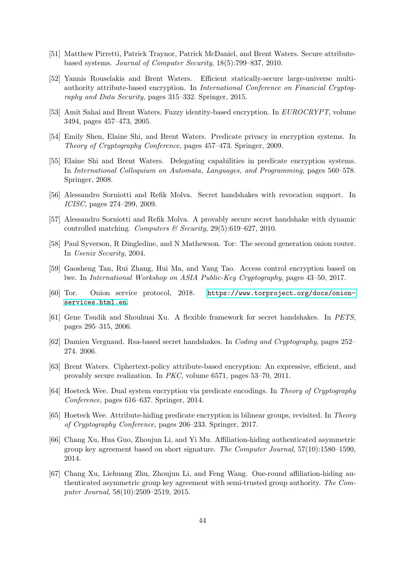- <span id="page-44-9"></span>[51] Matthew Pirretti, Patrick Traynor, Patrick McDaniel, and Brent Waters. Secure attributebased systems. Journal of Computer Security, 18(5):799–837, 2010.
- <span id="page-44-15"></span>[52] Yannis Rouselakis and Brent Waters. Efficient statically-secure large-universe multiauthority attribute-based encryption. In International Conference on Financial Cryptography and Data Security, pages 315–332. Springer, 2015.
- <span id="page-44-7"></span>[53] Amit Sahai and Brent Waters. Fuzzy identity-based encryption. In EUROCRYPT, volume 3494, pages 457–473, 2005.
- <span id="page-44-10"></span>[54] Emily Shen, Elaine Shi, and Brent Waters. Predicate privacy in encryption systems. In Theory of Cryptography Conference, pages 457–473. Springer, 2009.
- <span id="page-44-13"></span>[55] Elaine Shi and Brent Waters. Delegating capabilities in predicate encryption systems. In International Colloquium on Automata, Languages, and Programming, pages 560–578. Springer, 2008.
- <span id="page-44-4"></span>[56] Alessandro Sorniotti and Refik Molva. Secret handshakes with revocation support. In ICISC, pages 274–299, 2009.
- <span id="page-44-1"></span>[57] Alessandro Sorniotti and Refik Molva. A provably secure secret handshake with dynamic controlled matching. Computers & Security, 29(5):619-627, 2010.
- <span id="page-44-0"></span>[58] Paul Syverson, R Dingledine, and N Mathewson. Tor: The second generation onion router. In Usenix Security, 2004.
- <span id="page-44-14"></span>[59] Gaosheng Tan, Rui Zhang, Hui Ma, and Yang Tao. Access control encryption based on lwe. In International Workshop on ASIA Public-Key Cryptography, pages 43–50, 2017.
- <span id="page-44-16"></span>[60] Tor. Onion service protocol, 2018. [https://www.torproject.org/docs/onion](https://www.torproject.org/docs/onion-services.html.en)[services.html.en](https://www.torproject.org/docs/onion-services.html.en).
- <span id="page-44-3"></span>[61] Gene Tsudik and Shouhuai Xu. A flexible framework for secret handshakes. In PETS, pages 295–315, 2006.
- <span id="page-44-2"></span>[62] Damien Vergnaud. Rsa-based secret handshakes. In Coding and Cryptography, pages 252– 274. 2006.
- <span id="page-44-8"></span>[63] Brent Waters. Ciphertext-policy attribute-based encryption: An expressive, efficient, and provably secure realization. In PKC, volume 6571, pages 53–70, 2011.
- <span id="page-44-12"></span>[64] Hoeteck Wee. Dual system encryption via predicate encodings. In Theory of Cryptography Conference, pages 616–637. Springer, 2014.
- <span id="page-44-11"></span>[65] Hoeteck Wee. Attribute-hiding predicate encryption in bilinear groups, revisited. In Theory of Cryptography Conference, pages 206–233. Springer, 2017.
- <span id="page-44-5"></span>[66] Chang Xu, Hua Guo, Zhoujun Li, and Yi Mu. Affiliation-hiding authenticated asymmetric group key agreement based on short signature. The Computer Journal, 57(10):1580–1590, 2014.
- <span id="page-44-6"></span>[67] Chang Xu, Liehuang Zhu, Zhoujun Li, and Feng Wang. One-round affiliation-hiding authenticated asymmetric group key agreement with semi-trusted group authority. The Computer Journal, 58(10):2509–2519, 2015.